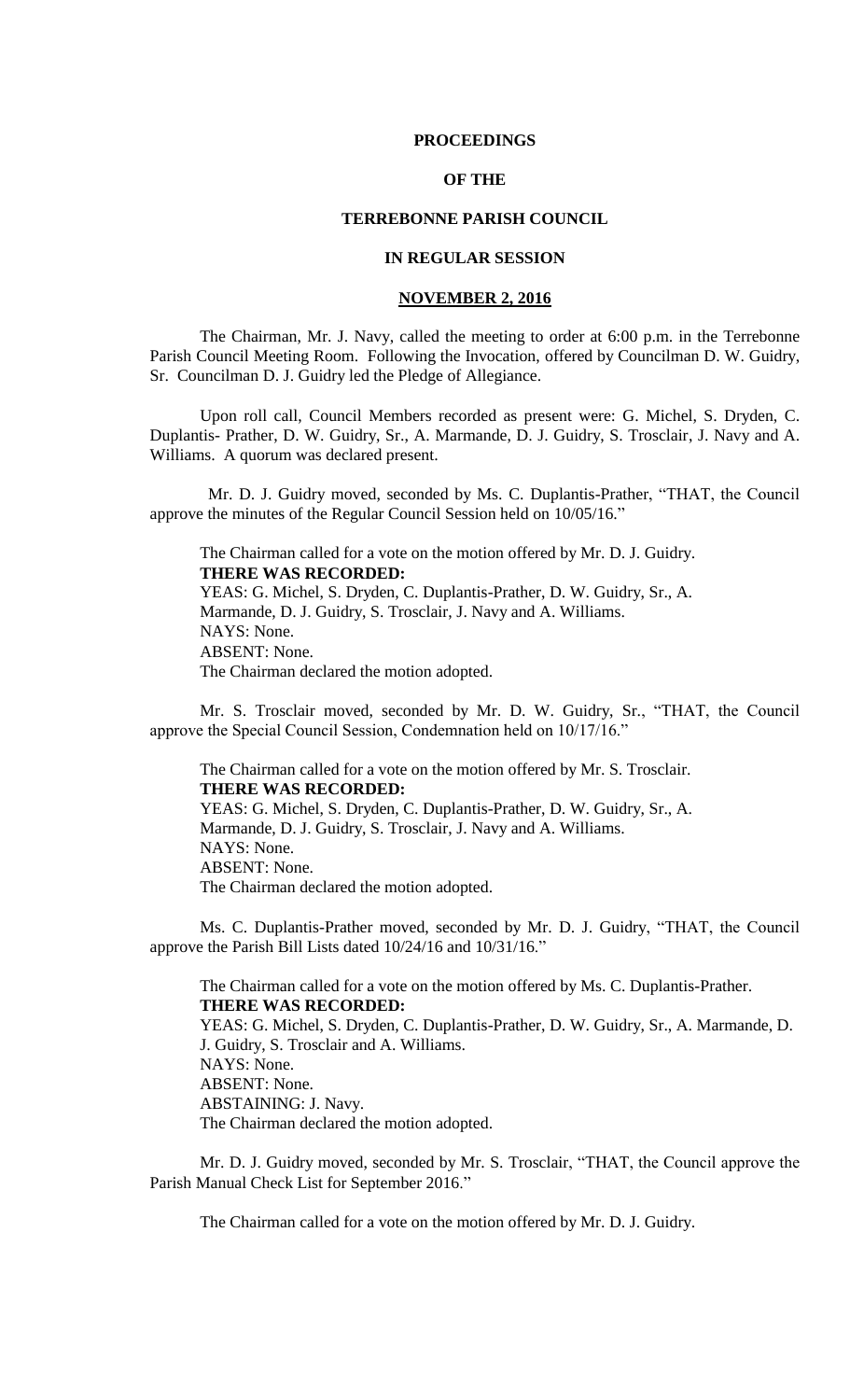#### **PROCEEDINGS**

# **OF THE**

# **TERREBONNE PARISH COUNCIL**

# **IN REGULAR SESSION**

# **NOVEMBER 2, 2016**

The Chairman, Mr. J. Navy, called the meeting to order at 6:00 p.m. in the Terrebonne Parish Council Meeting Room. Following the Invocation, offered by Councilman D. W. Guidry, Sr. Councilman D. J. Guidry led the Pledge of Allegiance.

Upon roll call, Council Members recorded as present were: G. Michel, S. Dryden, C. Duplantis- Prather, D. W. Guidry, Sr., A. Marmande, D. J. Guidry, S. Trosclair, J. Navy and A. Williams. A quorum was declared present.

 Mr. D. J. Guidry moved, seconded by Ms. C. Duplantis-Prather, "THAT, the Council approve the minutes of the Regular Council Session held on 10/05/16."

The Chairman called for a vote on the motion offered by Mr. D. J. Guidry. **THERE WAS RECORDED:** YEAS: G. Michel, S. Dryden, C. Duplantis-Prather, D. W. Guidry, Sr., A. Marmande, D. J. Guidry, S. Trosclair, J. Navy and A. Williams. NAYS: None. ABSENT: None. The Chairman declared the motion adopted.

Mr. S. Trosclair moved, seconded by Mr. D. W. Guidry, Sr., "THAT, the Council approve the Special Council Session, Condemnation held on 10/17/16."

The Chairman called for a vote on the motion offered by Mr. S. Trosclair. **THERE WAS RECORDED:** YEAS: G. Michel, S. Dryden, C. Duplantis-Prather, D. W. Guidry, Sr., A. Marmande, D. J. Guidry, S. Trosclair, J. Navy and A. Williams. NAYS: None. ABSENT: None. The Chairman declared the motion adopted.

Ms. C. Duplantis-Prather moved, seconded by Mr. D. J. Guidry, "THAT, the Council approve the Parish Bill Lists dated 10/24/16 and 10/31/16."

The Chairman called for a vote on the motion offered by Ms. C. Duplantis-Prather. **THERE WAS RECORDED:** YEAS: G. Michel, S. Dryden, C. Duplantis-Prather, D. W. Guidry, Sr., A. Marmande, D. J. Guidry, S. Trosclair and A. Williams. NAYS: None. ABSENT: None. ABSTAINING: J. Navy. The Chairman declared the motion adopted.

Mr. D. J. Guidry moved, seconded by Mr. S. Trosclair, "THAT, the Council approve the Parish Manual Check List for September 2016."

The Chairman called for a vote on the motion offered by Mr. D. J. Guidry.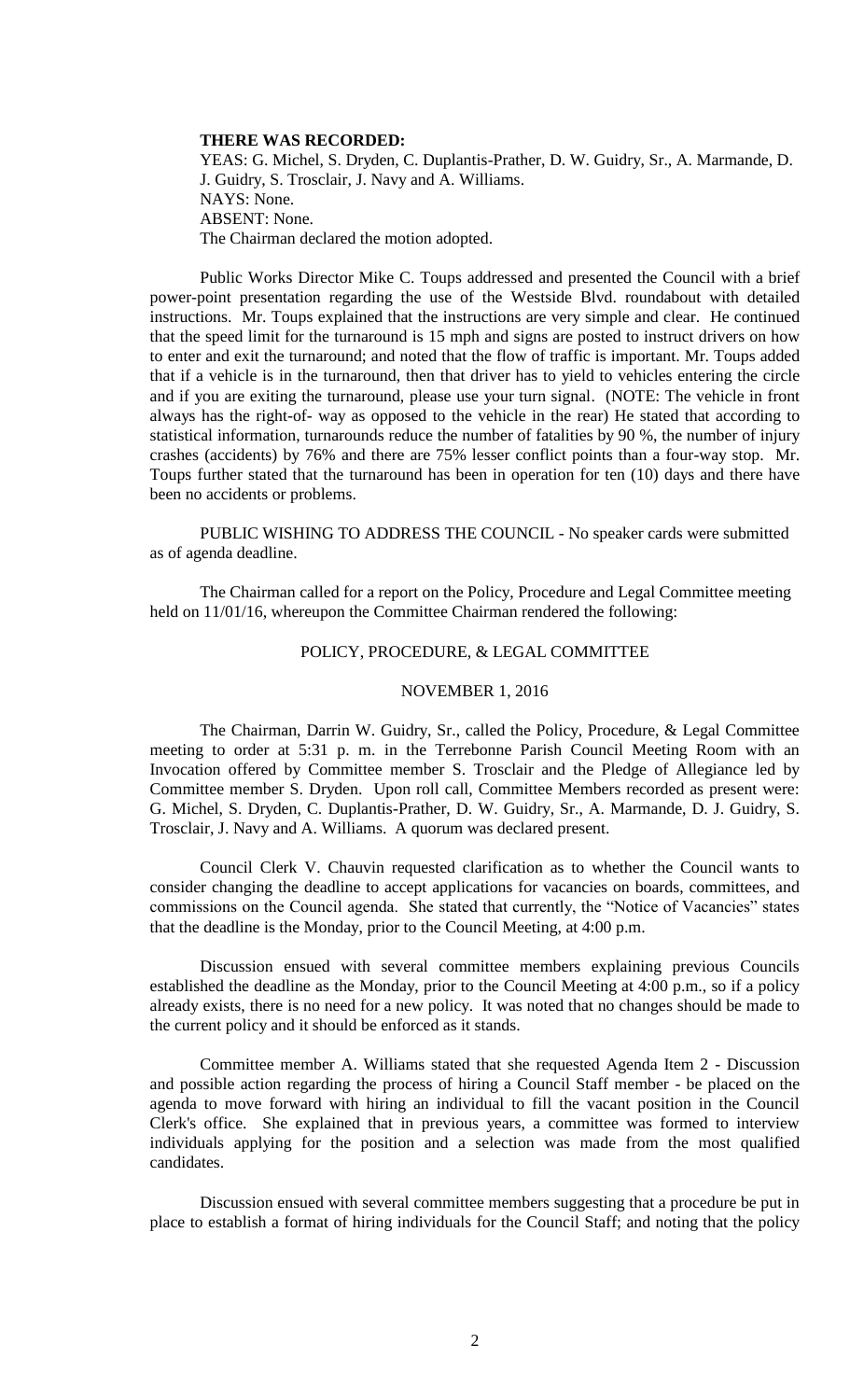#### **THERE WAS RECORDED:**

YEAS: G. Michel, S. Dryden, C. Duplantis-Prather, D. W. Guidry, Sr., A. Marmande, D. J. Guidry, S. Trosclair, J. Navy and A. Williams. NAYS: None. ABSENT: None. The Chairman declared the motion adopted.

Public Works Director Mike C. Toups addressed and presented the Council with a brief power-point presentation regarding the use of the Westside Blvd. roundabout with detailed instructions. Mr. Toups explained that the instructions are very simple and clear. He continued that the speed limit for the turnaround is 15 mph and signs are posted to instruct drivers on how to enter and exit the turnaround; and noted that the flow of traffic is important. Mr. Toups added that if a vehicle is in the turnaround, then that driver has to yield to vehicles entering the circle and if you are exiting the turnaround, please use your turn signal. (NOTE: The vehicle in front always has the right-of- way as opposed to the vehicle in the rear) He stated that according to statistical information, turnarounds reduce the number of fatalities by 90 %, the number of injury crashes (accidents) by 76% and there are 75% lesser conflict points than a four-way stop. Mr. Toups further stated that the turnaround has been in operation for ten (10) days and there have been no accidents or problems.

PUBLIC WISHING TO ADDRESS THE COUNCIL - No speaker cards were submitted as of agenda deadline.

The Chairman called for a report on the Policy, Procedure and Legal Committee meeting held on 11/01/16, whereupon the Committee Chairman rendered the following:

# POLICY, PROCEDURE, & LEGAL COMMITTEE

#### NOVEMBER 1, 2016

The Chairman, Darrin W. Guidry, Sr., called the Policy, Procedure, & Legal Committee meeting to order at 5:31 p. m. in the Terrebonne Parish Council Meeting Room with an Invocation offered by Committee member S. Trosclair and the Pledge of Allegiance led by Committee member S. Dryden. Upon roll call, Committee Members recorded as present were: G. Michel, S. Dryden, C. Duplantis-Prather, D. W. Guidry, Sr., A. Marmande, D. J. Guidry, S. Trosclair, J. Navy and A. Williams. A quorum was declared present.

Council Clerk V. Chauvin requested clarification as to whether the Council wants to consider changing the deadline to accept applications for vacancies on boards, committees, and commissions on the Council agenda. She stated that currently, the "Notice of Vacancies" states that the deadline is the Monday, prior to the Council Meeting, at 4:00 p.m.

Discussion ensued with several committee members explaining previous Councils established the deadline as the Monday, prior to the Council Meeting at 4:00 p.m., so if a policy already exists, there is no need for a new policy. It was noted that no changes should be made to the current policy and it should be enforced as it stands.

Committee member A. Williams stated that she requested Agenda Item 2 - Discussion and possible action regarding the process of hiring a Council Staff member - be placed on the agenda to move forward with hiring an individual to fill the vacant position in the Council Clerk's office. She explained that in previous years, a committee was formed to interview individuals applying for the position and a selection was made from the most qualified candidates.

Discussion ensued with several committee members suggesting that a procedure be put in place to establish a format of hiring individuals for the Council Staff; and noting that the policy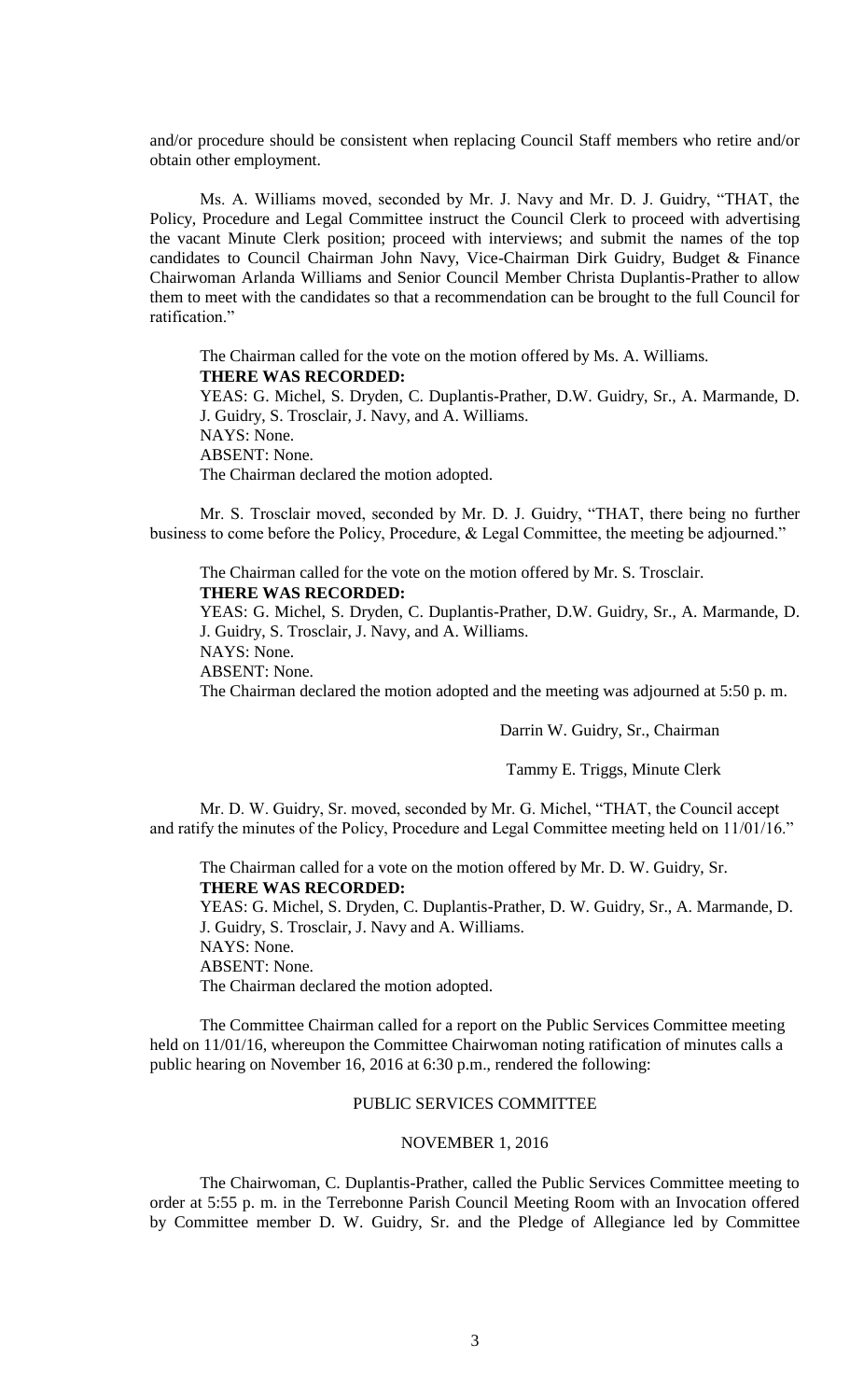and/or procedure should be consistent when replacing Council Staff members who retire and/or obtain other employment.

Ms. A. Williams moved, seconded by Mr. J. Navy and Mr. D. J. Guidry, "THAT, the Policy, Procedure and Legal Committee instruct the Council Clerk to proceed with advertising the vacant Minute Clerk position; proceed with interviews; and submit the names of the top candidates to Council Chairman John Navy, Vice-Chairman Dirk Guidry, Budget & Finance Chairwoman Arlanda Williams and Senior Council Member Christa Duplantis-Prather to allow them to meet with the candidates so that a recommendation can be brought to the full Council for ratification."

The Chairman called for the vote on the motion offered by Ms. A. Williams. **THERE WAS RECORDED:** YEAS: G. Michel, S. Dryden, C. Duplantis-Prather, D.W. Guidry, Sr., A. Marmande, D. J. Guidry, S. Trosclair, J. Navy, and A. Williams. NAYS: None. ABSENT: None. The Chairman declared the motion adopted.

Mr. S. Trosclair moved, seconded by Mr. D. J. Guidry, "THAT, there being no further business to come before the Policy, Procedure, & Legal Committee, the meeting be adjourned."

The Chairman called for the vote on the motion offered by Mr. S. Trosclair. **THERE WAS RECORDED:**

YEAS: G. Michel, S. Dryden, C. Duplantis-Prather, D.W. Guidry, Sr., A. Marmande, D. J. Guidry, S. Trosclair, J. Navy, and A. Williams.

NAYS: None.

ABSENT: None.

The Chairman declared the motion adopted and the meeting was adjourned at 5:50 p. m.

Darrin W. Guidry, Sr., Chairman

Tammy E. Triggs, Minute Clerk

Mr. D. W. Guidry, Sr. moved, seconded by Mr. G. Michel, "THAT, the Council accept and ratify the minutes of the Policy, Procedure and Legal Committee meeting held on 11/01/16."

The Chairman called for a vote on the motion offered by Mr. D. W. Guidry, Sr. **THERE WAS RECORDED:**

YEAS: G. Michel, S. Dryden, C. Duplantis-Prather, D. W. Guidry, Sr., A. Marmande, D. J. Guidry, S. Trosclair, J. Navy and A. Williams. NAYS: None. ABSENT: None.

The Chairman declared the motion adopted.

The Committee Chairman called for a report on the Public Services Committee meeting held on 11/01/16, whereupon the Committee Chairwoman noting ratification of minutes calls a public hearing on November 16, 2016 at 6:30 p.m., rendered the following:

## PUBLIC SERVICES COMMITTEE

# NOVEMBER 1, 2016

The Chairwoman, C. Duplantis-Prather, called the Public Services Committee meeting to order at 5:55 p. m. in the Terrebonne Parish Council Meeting Room with an Invocation offered by Committee member D. W. Guidry, Sr. and the Pledge of Allegiance led by Committee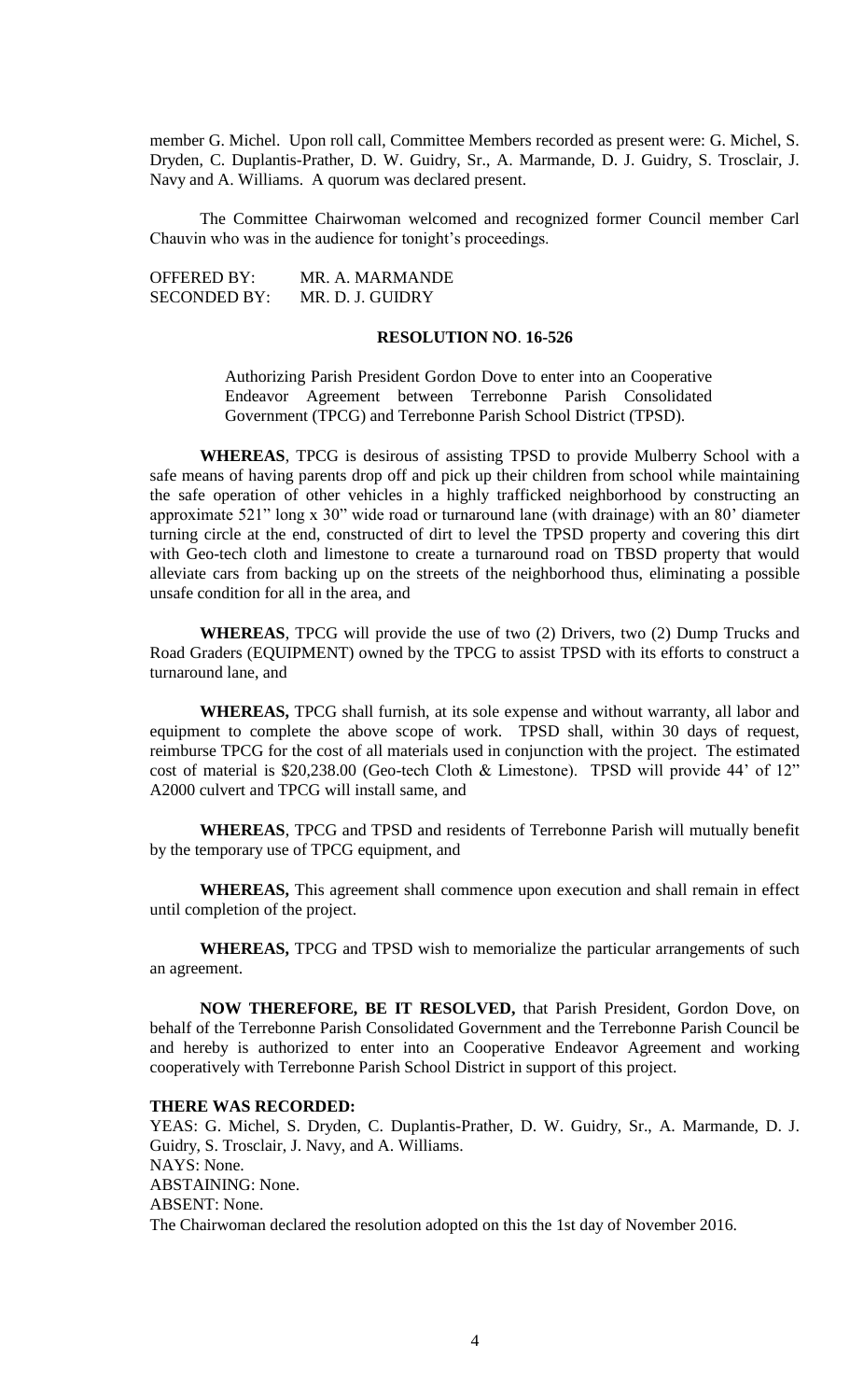member G. Michel. Upon roll call, Committee Members recorded as present were: G. Michel, S. Dryden, C. Duplantis-Prather, D. W. Guidry, Sr., A. Marmande, D. J. Guidry, S. Trosclair, J. Navy and A. Williams. A quorum was declared present.

The Committee Chairwoman welcomed and recognized former Council member Carl Chauvin who was in the audience for tonight's proceedings.

OFFERED BY: MR. A. MARMANDE SECONDED BY: MR. D. J. GUIDRY

# **RESOLUTION NO**. **16-526**

Authorizing Parish President Gordon Dove to enter into an Cooperative Endeavor Agreement between Terrebonne Parish Consolidated Government (TPCG) and Terrebonne Parish School District (TPSD).

**WHEREAS**, TPCG is desirous of assisting TPSD to provide Mulberry School with a safe means of having parents drop off and pick up their children from school while maintaining the safe operation of other vehicles in a highly trafficked neighborhood by constructing an approximate 521" long x 30" wide road or turnaround lane (with drainage) with an 80' diameter turning circle at the end, constructed of dirt to level the TPSD property and covering this dirt with Geo-tech cloth and limestone to create a turnaround road on TBSD property that would alleviate cars from backing up on the streets of the neighborhood thus, eliminating a possible unsafe condition for all in the area, and

**WHEREAS**, TPCG will provide the use of two (2) Drivers, two (2) Dump Trucks and Road Graders (EQUIPMENT) owned by the TPCG to assist TPSD with its efforts to construct a turnaround lane, and

**WHEREAS,** TPCG shall furnish, at its sole expense and without warranty, all labor and equipment to complete the above scope of work. TPSD shall, within 30 days of request, reimburse TPCG for the cost of all materials used in conjunction with the project. The estimated cost of material is \$20,238.00 (Geo-tech Cloth & Limestone). TPSD will provide 44' of 12" A2000 culvert and TPCG will install same, and

**WHEREAS**, TPCG and TPSD and residents of Terrebonne Parish will mutually benefit by the temporary use of TPCG equipment, and

**WHEREAS,** This agreement shall commence upon execution and shall remain in effect until completion of the project.

**WHEREAS,** TPCG and TPSD wish to memorialize the particular arrangements of such an agreement.

**NOW THEREFORE, BE IT RESOLVED,** that Parish President, Gordon Dove, on behalf of the Terrebonne Parish Consolidated Government and the Terrebonne Parish Council be and hereby is authorized to enter into an Cooperative Endeavor Agreement and working cooperatively with Terrebonne Parish School District in support of this project.

#### **THERE WAS RECORDED:**

YEAS: G. Michel, S. Dryden, C. Duplantis-Prather, D. W. Guidry, Sr., A. Marmande, D. J. Guidry, S. Trosclair, J. Navy, and A. Williams. NAYS: None. ABSTAINING: None. ABSENT: None. The Chairwoman declared the resolution adopted on this the 1st day of November 2016.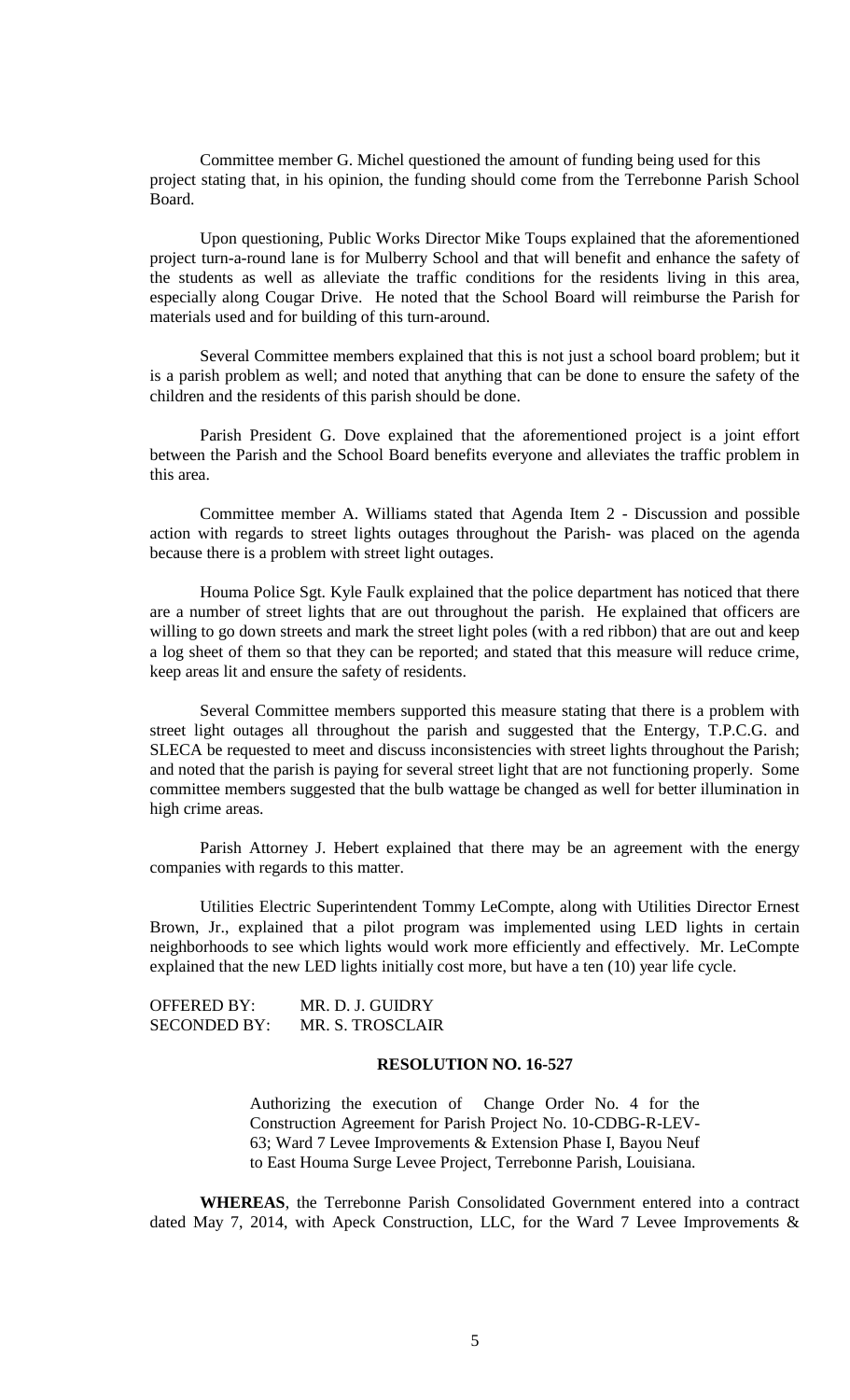Committee member G. Michel questioned the amount of funding being used for this project stating that, in his opinion, the funding should come from the Terrebonne Parish School Board.

Upon questioning, Public Works Director Mike Toups explained that the aforementioned project turn-a-round lane is for Mulberry School and that will benefit and enhance the safety of the students as well as alleviate the traffic conditions for the residents living in this area, especially along Cougar Drive. He noted that the School Board will reimburse the Parish for materials used and for building of this turn-around.

Several Committee members explained that this is not just a school board problem; but it is a parish problem as well; and noted that anything that can be done to ensure the safety of the children and the residents of this parish should be done.

Parish President G. Dove explained that the aforementioned project is a joint effort between the Parish and the School Board benefits everyone and alleviates the traffic problem in this area.

Committee member A. Williams stated that Agenda Item 2 - Discussion and possible action with regards to street lights outages throughout the Parish- was placed on the agenda because there is a problem with street light outages.

Houma Police Sgt. Kyle Faulk explained that the police department has noticed that there are a number of street lights that are out throughout the parish. He explained that officers are willing to go down streets and mark the street light poles (with a red ribbon) that are out and keep a log sheet of them so that they can be reported; and stated that this measure will reduce crime, keep areas lit and ensure the safety of residents.

Several Committee members supported this measure stating that there is a problem with street light outages all throughout the parish and suggested that the Entergy, T.P.C.G. and SLECA be requested to meet and discuss inconsistencies with street lights throughout the Parish; and noted that the parish is paying for several street light that are not functioning properly. Some committee members suggested that the bulb wattage be changed as well for better illumination in high crime areas.

Parish Attorney J. Hebert explained that there may be an agreement with the energy companies with regards to this matter.

Utilities Electric Superintendent Tommy LeCompte, along with Utilities Director Ernest Brown, Jr., explained that a pilot program was implemented using LED lights in certain neighborhoods to see which lights would work more efficiently and effectively. Mr. LeCompte explained that the new LED lights initially cost more, but have a ten (10) year life cycle.

| OFFERED BY:         | MR. D. J. GUIDRY |
|---------------------|------------------|
| <b>SECONDED BY:</b> | MR. S. TROSCLAIR |

### **RESOLUTION NO. 16-527**

Authorizing the execution of Change Order No. 4 for the Construction Agreement for Parish Project No. 10-CDBG-R-LEV-63; Ward 7 Levee Improvements & Extension Phase I, Bayou Neuf to East Houma Surge Levee Project, Terrebonne Parish, Louisiana.

**WHEREAS**, the Terrebonne Parish Consolidated Government entered into a contract dated May 7, 2014, with Apeck Construction, LLC, for the Ward 7 Levee Improvements &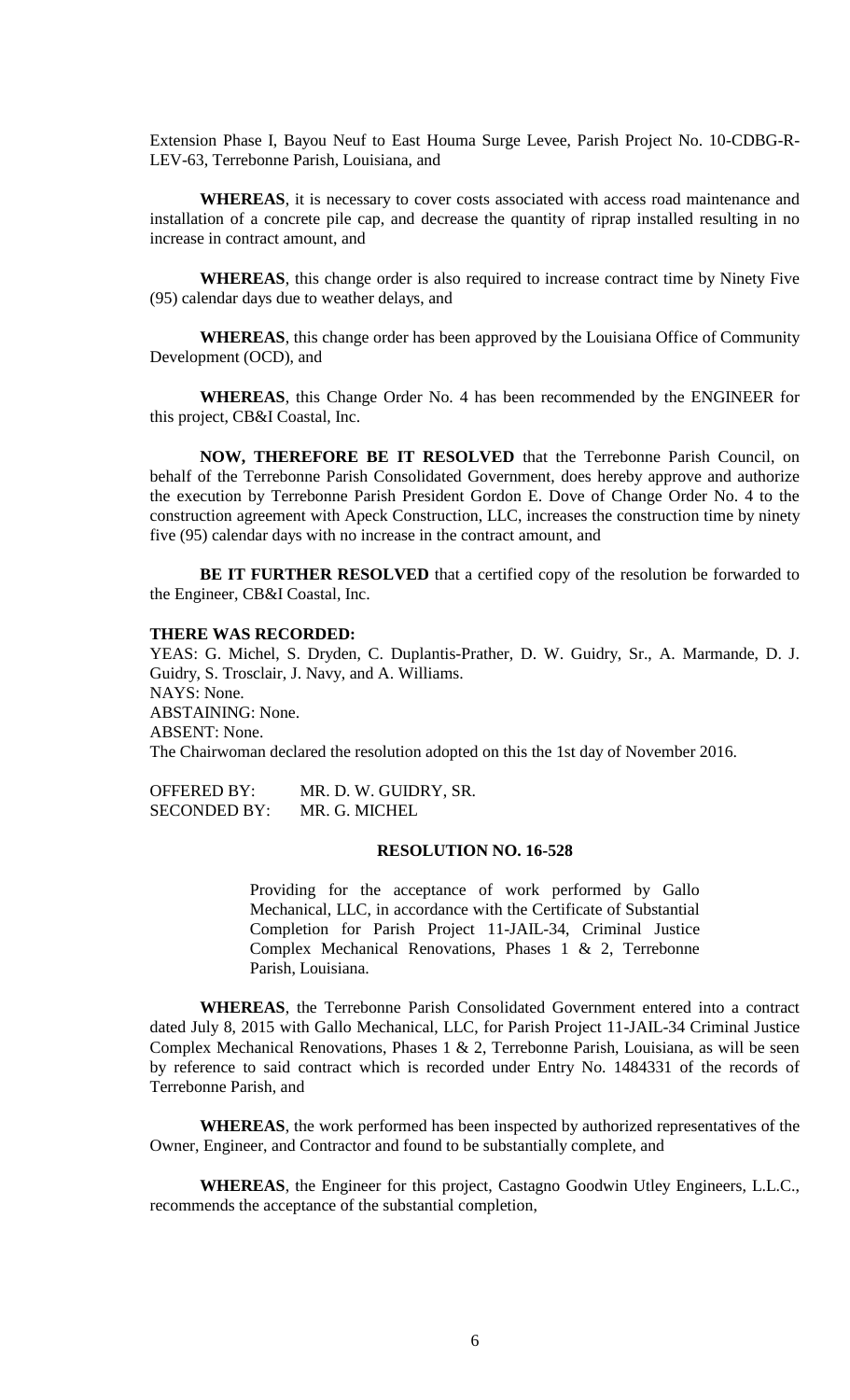Extension Phase I, Bayou Neuf to East Houma Surge Levee, Parish Project No. 10-CDBG-R-LEV-63, Terrebonne Parish, Louisiana, and

**WHEREAS**, it is necessary to cover costs associated with access road maintenance and installation of a concrete pile cap, and decrease the quantity of riprap installed resulting in no increase in contract amount, and

**WHEREAS**, this change order is also required to increase contract time by Ninety Five (95) calendar days due to weather delays, and

**WHEREAS**, this change order has been approved by the Louisiana Office of Community Development (OCD), and

**WHEREAS**, this Change Order No. 4 has been recommended by the ENGINEER for this project, CB&I Coastal, Inc.

**NOW, THEREFORE BE IT RESOLVED** that the Terrebonne Parish Council, on behalf of the Terrebonne Parish Consolidated Government, does hereby approve and authorize the execution by Terrebonne Parish President Gordon E. Dove of Change Order No. 4 to the construction agreement with Apeck Construction, LLC, increases the construction time by ninety five (95) calendar days with no increase in the contract amount, and

BE IT FURTHER RESOLVED that a certified copy of the resolution be forwarded to the Engineer, CB&I Coastal, Inc.

#### **THERE WAS RECORDED:**

YEAS: G. Michel, S. Dryden, C. Duplantis-Prather, D. W. Guidry, Sr., A. Marmande, D. J. Guidry, S. Trosclair, J. Navy, and A. Williams. NAYS: None. ABSTAINING: None. ABSENT: None. The Chairwoman declared the resolution adopted on this the 1st day of November 2016.

OFFERED BY: MR. D. W. GUIDRY, SR. SECONDED BY: MR. G. MICHEL

# **RESOLUTION NO. 16-528**

Providing for the acceptance of work performed by Gallo Mechanical, LLC, in accordance with the Certificate of Substantial Completion for Parish Project 11-JAIL-34, Criminal Justice Complex Mechanical Renovations, Phases 1 & 2, Terrebonne Parish, Louisiana.

**WHEREAS**, the Terrebonne Parish Consolidated Government entered into a contract dated July 8, 2015 with Gallo Mechanical, LLC, for Parish Project 11-JAIL-34 Criminal Justice Complex Mechanical Renovations, Phases 1 & 2, Terrebonne Parish, Louisiana, as will be seen by reference to said contract which is recorded under Entry No. 1484331 of the records of Terrebonne Parish, and

**WHEREAS**, the work performed has been inspected by authorized representatives of the Owner, Engineer, and Contractor and found to be substantially complete, and

**WHEREAS**, the Engineer for this project, Castagno Goodwin Utley Engineers, L.L.C., recommends the acceptance of the substantial completion,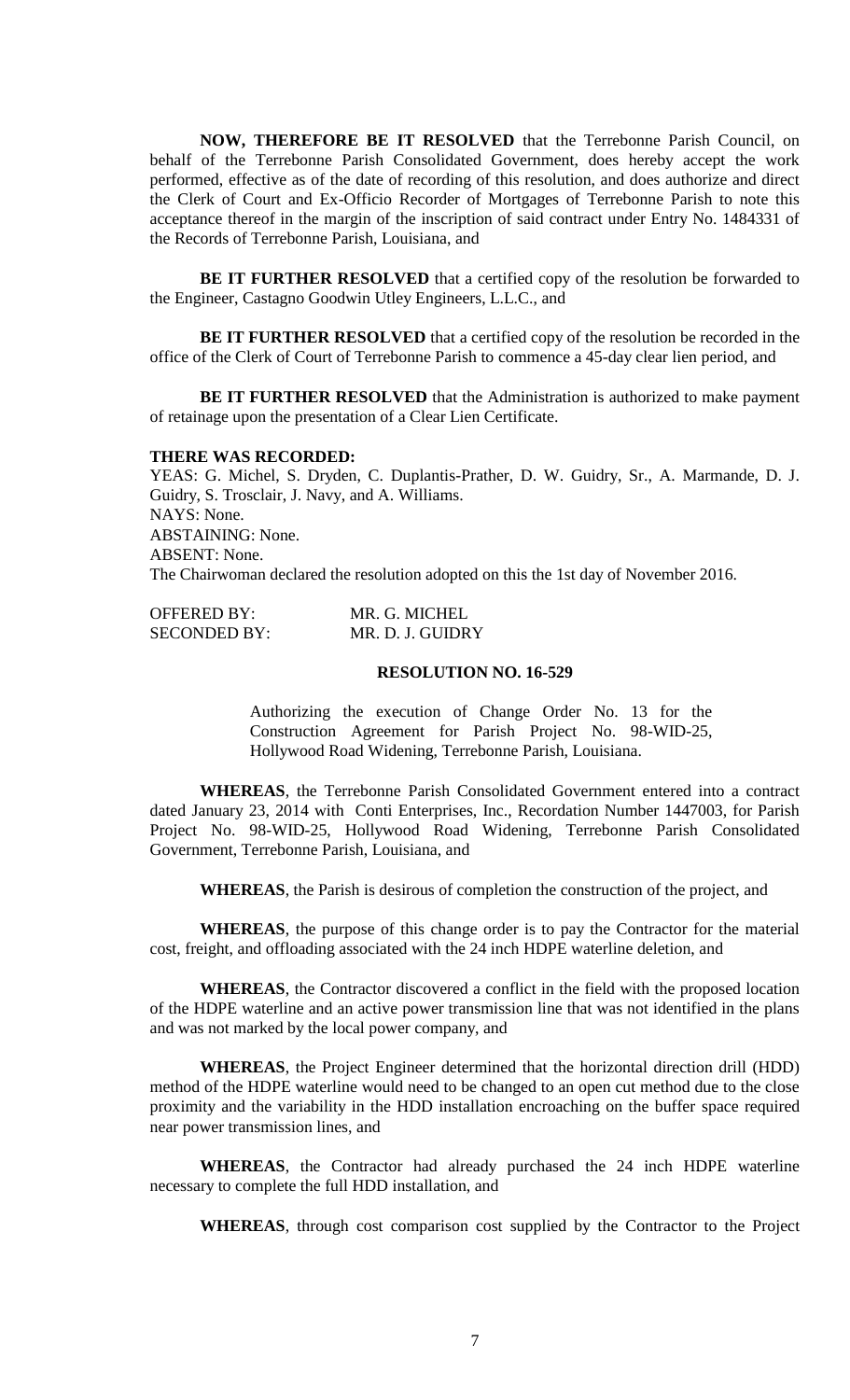**NOW, THEREFORE BE IT RESOLVED** that the Terrebonne Parish Council, on behalf of the Terrebonne Parish Consolidated Government, does hereby accept the work performed, effective as of the date of recording of this resolution, and does authorize and direct the Clerk of Court and Ex-Officio Recorder of Mortgages of Terrebonne Parish to note this acceptance thereof in the margin of the inscription of said contract under Entry No. 1484331 of the Records of Terrebonne Parish, Louisiana, and

**BE IT FURTHER RESOLVED** that a certified copy of the resolution be forwarded to the Engineer, Castagno Goodwin Utley Engineers, L.L.C., and

**BE IT FURTHER RESOLVED** that a certified copy of the resolution be recorded in the office of the Clerk of Court of Terrebonne Parish to commence a 45-day clear lien period, and

**BE IT FURTHER RESOLVED** that the Administration is authorized to make payment of retainage upon the presentation of a Clear Lien Certificate.

#### **THERE WAS RECORDED:**

YEAS: G. Michel, S. Dryden, C. Duplantis-Prather, D. W. Guidry, Sr., A. Marmande, D. J. Guidry, S. Trosclair, J. Navy, and A. Williams. NAYS: None. ABSTAINING: None. ABSENT: None. The Chairwoman declared the resolution adopted on this the 1st day of November 2016.

| <b>OFFERED BY:</b>  | MR. G. MICHEL    |
|---------------------|------------------|
| <b>SECONDED BY:</b> | MR. D. J. GUIDRY |

# **RESOLUTION NO. 16-529**

Authorizing the execution of Change Order No. 13 for the Construction Agreement for Parish Project No. 98-WID-25, Hollywood Road Widening, Terrebonne Parish, Louisiana.

**WHEREAS**, the Terrebonne Parish Consolidated Government entered into a contract dated January 23, 2014 with Conti Enterprises, Inc., Recordation Number 1447003, for Parish Project No. 98-WID-25, Hollywood Road Widening, Terrebonne Parish Consolidated Government, Terrebonne Parish, Louisiana, and

**WHEREAS**, the Parish is desirous of completion the construction of the project, and

**WHEREAS**, the purpose of this change order is to pay the Contractor for the material cost, freight, and offloading associated with the 24 inch HDPE waterline deletion, and

**WHEREAS**, the Contractor discovered a conflict in the field with the proposed location of the HDPE waterline and an active power transmission line that was not identified in the plans and was not marked by the local power company, and

**WHEREAS**, the Project Engineer determined that the horizontal direction drill (HDD) method of the HDPE waterline would need to be changed to an open cut method due to the close proximity and the variability in the HDD installation encroaching on the buffer space required near power transmission lines, and

**WHEREAS**, the Contractor had already purchased the 24 inch HDPE waterline necessary to complete the full HDD installation, and

**WHEREAS**, through cost comparison cost supplied by the Contractor to the Project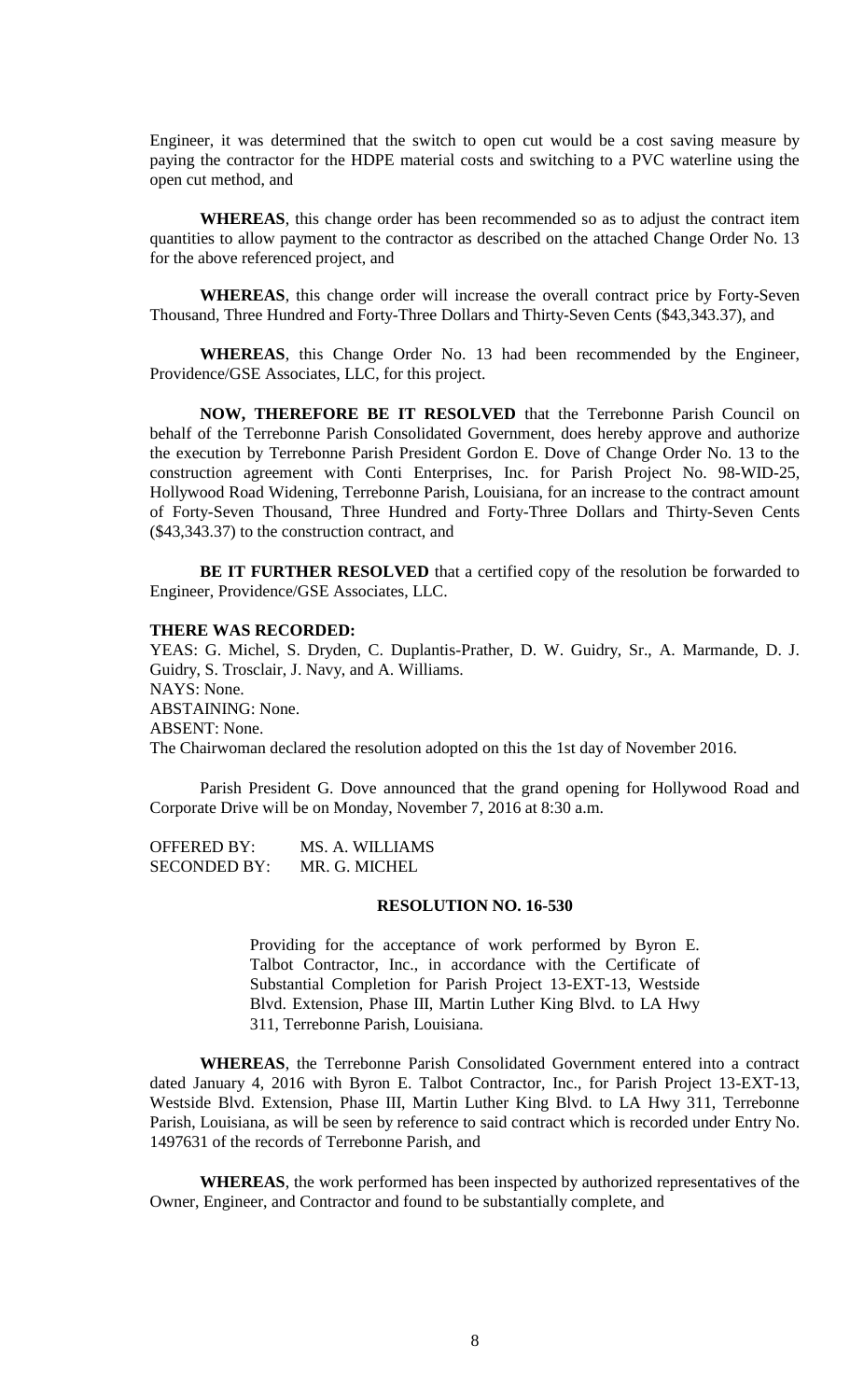Engineer, it was determined that the switch to open cut would be a cost saving measure by paying the contractor for the HDPE material costs and switching to a PVC waterline using the open cut method, and

**WHEREAS**, this change order has been recommended so as to adjust the contract item quantities to allow payment to the contractor as described on the attached Change Order No. 13 for the above referenced project, and

**WHEREAS**, this change order will increase the overall contract price by Forty-Seven Thousand, Three Hundred and Forty-Three Dollars and Thirty-Seven Cents (\$43,343.37), and

**WHEREAS**, this Change Order No. 13 had been recommended by the Engineer, Providence/GSE Associates, LLC, for this project.

**NOW, THEREFORE BE IT RESOLVED** that the Terrebonne Parish Council on behalf of the Terrebonne Parish Consolidated Government, does hereby approve and authorize the execution by Terrebonne Parish President Gordon E. Dove of Change Order No. 13 to the construction agreement with Conti Enterprises, Inc. for Parish Project No. 98-WID-25, Hollywood Road Widening, Terrebonne Parish, Louisiana, for an increase to the contract amount of Forty-Seven Thousand, Three Hundred and Forty-Three Dollars and Thirty-Seven Cents (\$43,343.37) to the construction contract, and

**BE IT FURTHER RESOLVED** that a certified copy of the resolution be forwarded to Engineer, Providence/GSE Associates, LLC.

#### **THERE WAS RECORDED:**

YEAS: G. Michel, S. Dryden, C. Duplantis-Prather, D. W. Guidry, Sr., A. Marmande, D. J. Guidry, S. Trosclair, J. Navy, and A. Williams. NAYS: None. ABSTAINING: None. ABSENT: None. The Chairwoman declared the resolution adopted on this the 1st day of November 2016.

Parish President G. Dove announced that the grand opening for Hollywood Road and Corporate Drive will be on Monday, November 7, 2016 at 8:30 a.m.

OFFERED BY: MS. A. WILLIAMS SECONDED BY: MR. G. MICHEL

# **RESOLUTION NO. 16-530**

Providing for the acceptance of work performed by Byron E. Talbot Contractor, Inc., in accordance with the Certificate of Substantial Completion for Parish Project 13-EXT-13, Westside Blvd. Extension, Phase III, Martin Luther King Blvd. to LA Hwy 311, Terrebonne Parish, Louisiana.

**WHEREAS**, the Terrebonne Parish Consolidated Government entered into a contract dated January 4, 2016 with Byron E. Talbot Contractor, Inc., for Parish Project 13-EXT-13, Westside Blvd. Extension, Phase III, Martin Luther King Blvd. to LA Hwy 311, Terrebonne Parish, Louisiana, as will be seen by reference to said contract which is recorded under Entry No. 1497631 of the records of Terrebonne Parish, and

**WHEREAS**, the work performed has been inspected by authorized representatives of the Owner, Engineer, and Contractor and found to be substantially complete, and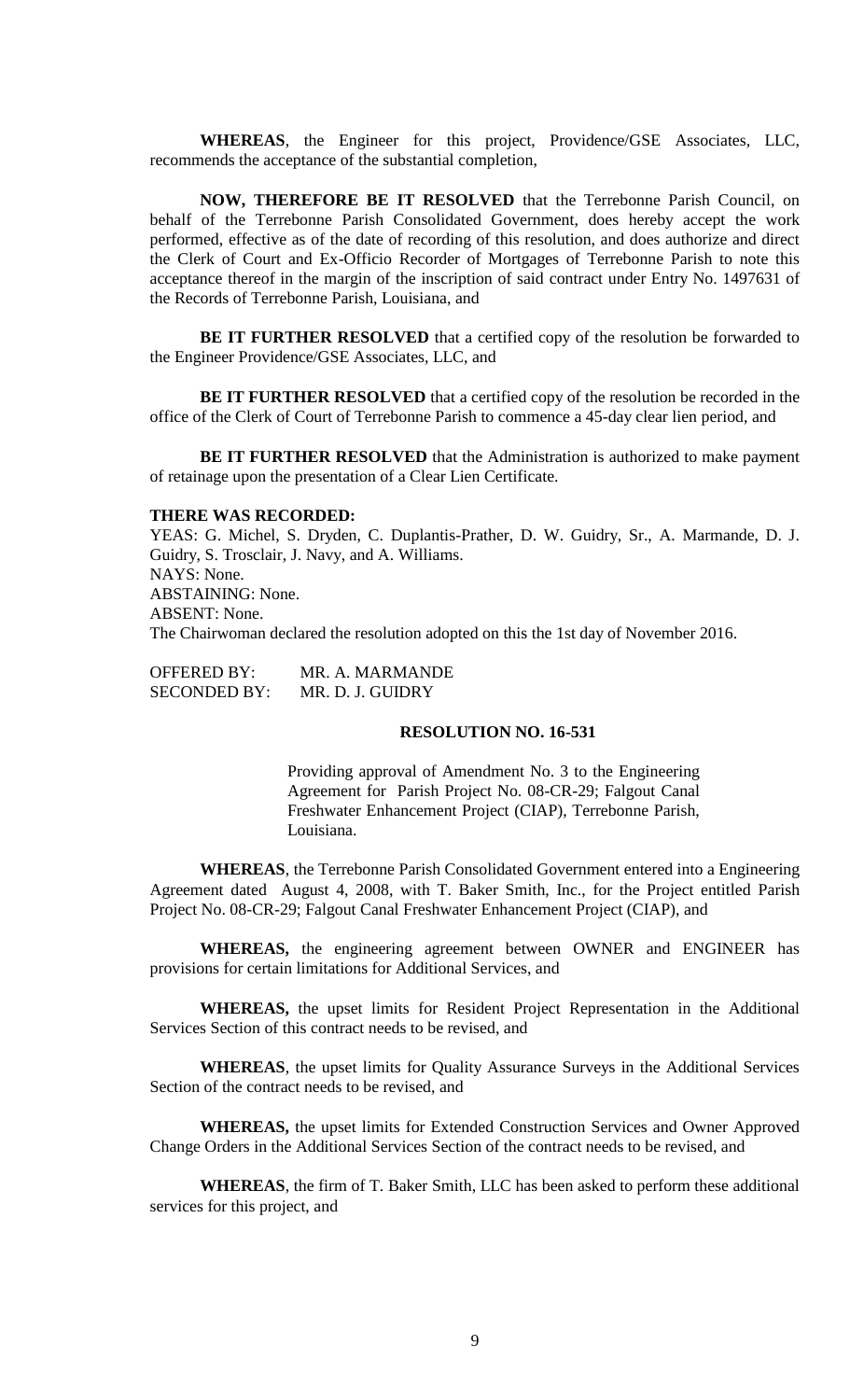**WHEREAS**, the Engineer for this project, Providence/GSE Associates, LLC, recommends the acceptance of the substantial completion,

**NOW, THEREFORE BE IT RESOLVED** that the Terrebonne Parish Council, on behalf of the Terrebonne Parish Consolidated Government, does hereby accept the work performed, effective as of the date of recording of this resolution, and does authorize and direct the Clerk of Court and Ex-Officio Recorder of Mortgages of Terrebonne Parish to note this acceptance thereof in the margin of the inscription of said contract under Entry No. 1497631 of the Records of Terrebonne Parish, Louisiana, and

**BE IT FURTHER RESOLVED** that a certified copy of the resolution be forwarded to the Engineer Providence/GSE Associates, LLC, and

**BE IT FURTHER RESOLVED** that a certified copy of the resolution be recorded in the office of the Clerk of Court of Terrebonne Parish to commence a 45-day clear lien period, and

**BE IT FURTHER RESOLVED** that the Administration is authorized to make payment of retainage upon the presentation of a Clear Lien Certificate.

#### **THERE WAS RECORDED:**

YEAS: G. Michel, S. Dryden, C. Duplantis-Prather, D. W. Guidry, Sr., A. Marmande, D. J. Guidry, S. Trosclair, J. Navy, and A. Williams. NAYS: None. ABSTAINING: None. ABSENT: None. The Chairwoman declared the resolution adopted on this the 1st day of November 2016.

OFFERED BY: MR. A. MARMANDE SECONDED BY: MR. D. J. GUIDRY

# **RESOLUTION NO. 16-531**

Providing approval of Amendment No. 3 to the Engineering Agreement for Parish Project No. 08-CR-29; Falgout Canal Freshwater Enhancement Project (CIAP), Terrebonne Parish, Louisiana.

**WHEREAS**, the Terrebonne Parish Consolidated Government entered into a Engineering Agreement dated August 4, 2008, with T. Baker Smith, Inc., for the Project entitled Parish Project No. 08-CR-29; Falgout Canal Freshwater Enhancement Project (CIAP), and

**WHEREAS,** the engineering agreement between OWNER and ENGINEER has provisions for certain limitations for Additional Services, and

**WHEREAS,** the upset limits for Resident Project Representation in the Additional Services Section of this contract needs to be revised, and

**WHEREAS**, the upset limits for Quality Assurance Surveys in the Additional Services Section of the contract needs to be revised, and

**WHEREAS,** the upset limits for Extended Construction Services and Owner Approved Change Orders in the Additional Services Section of the contract needs to be revised, and

**WHEREAS**, the firm of T. Baker Smith, LLC has been asked to perform these additional services for this project, and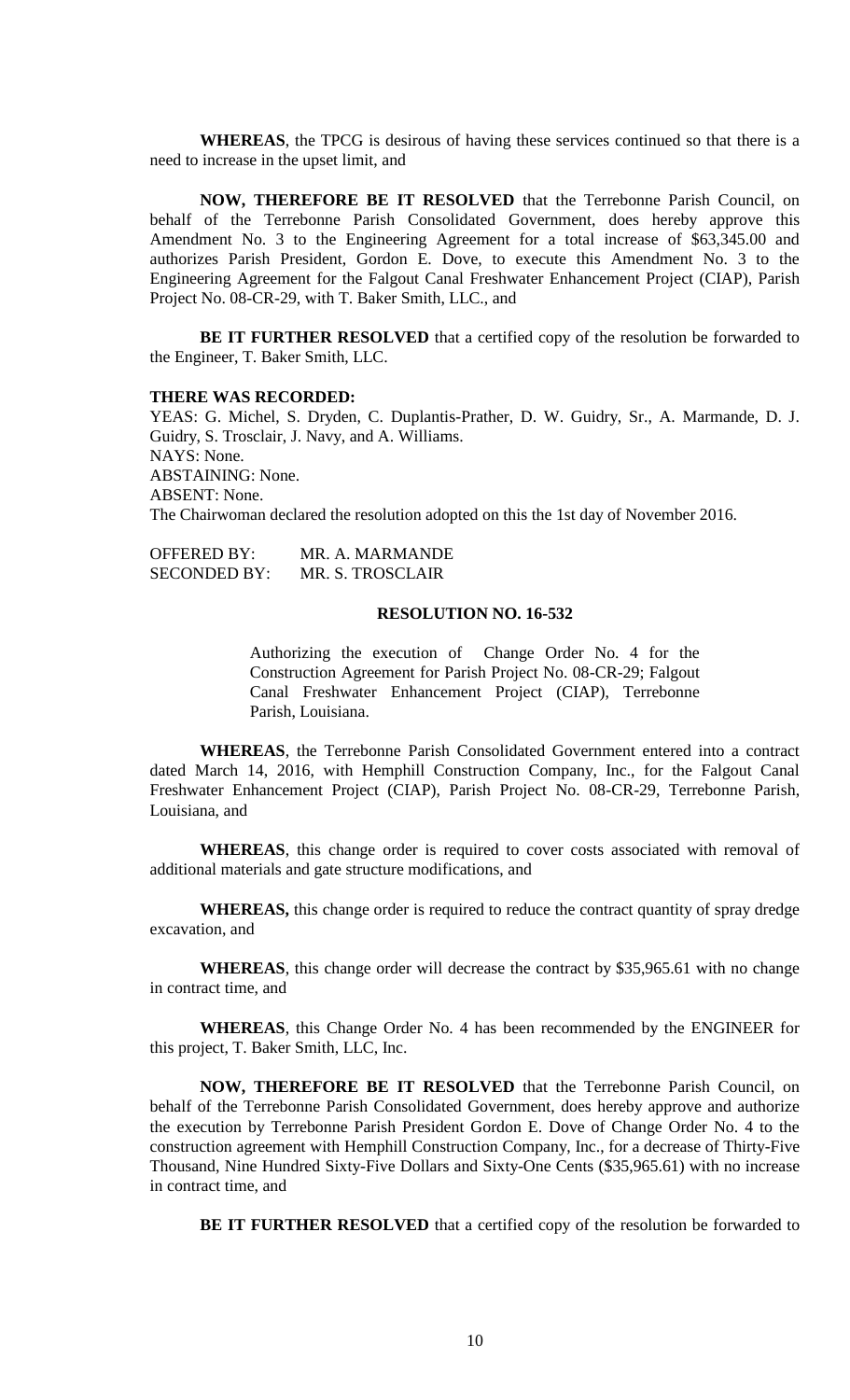**WHEREAS**, the TPCG is desirous of having these services continued so that there is a need to increase in the upset limit, and

**NOW, THEREFORE BE IT RESOLVED** that the Terrebonne Parish Council, on behalf of the Terrebonne Parish Consolidated Government, does hereby approve this Amendment No. 3 to the Engineering Agreement for a total increase of \$63,345.00 and authorizes Parish President, Gordon E. Dove, to execute this Amendment No. 3 to the Engineering Agreement for the Falgout Canal Freshwater Enhancement Project (CIAP), Parish Project No. 08-CR-29, with T. Baker Smith, LLC., and

**BE IT FURTHER RESOLVED** that a certified copy of the resolution be forwarded to the Engineer, T. Baker Smith, LLC.

#### **THERE WAS RECORDED:**

YEAS: G. Michel, S. Dryden, C. Duplantis-Prather, D. W. Guidry, Sr., A. Marmande, D. J. Guidry, S. Trosclair, J. Navy, and A. Williams. NAYS: None. ABSTAINING: None. ABSENT: None. The Chairwoman declared the resolution adopted on this the 1st day of November 2016.

| <b>OFFERED BY:</b>  | MR. A. MARMANDE  |
|---------------------|------------------|
| <b>SECONDED BY:</b> | MR. S. TROSCLAIR |

## **RESOLUTION NO. 16-532**

Authorizing the execution of Change Order No. 4 for the Construction Agreement for Parish Project No. 08-CR-29; Falgout Canal Freshwater Enhancement Project (CIAP), Terrebonne Parish, Louisiana.

**WHEREAS**, the Terrebonne Parish Consolidated Government entered into a contract dated March 14, 2016, with Hemphill Construction Company, Inc., for the Falgout Canal Freshwater Enhancement Project (CIAP), Parish Project No. 08-CR-29, Terrebonne Parish, Louisiana, and

**WHEREAS**, this change order is required to cover costs associated with removal of additional materials and gate structure modifications, and

**WHEREAS,** this change order is required to reduce the contract quantity of spray dredge excavation, and

**WHEREAS**, this change order will decrease the contract by \$35,965.61 with no change in contract time, and

**WHEREAS**, this Change Order No. 4 has been recommended by the ENGINEER for this project, T. Baker Smith, LLC, Inc.

**NOW, THEREFORE BE IT RESOLVED** that the Terrebonne Parish Council, on behalf of the Terrebonne Parish Consolidated Government, does hereby approve and authorize the execution by Terrebonne Parish President Gordon E. Dove of Change Order No. 4 to the construction agreement with Hemphill Construction Company, Inc., for a decrease of Thirty-Five Thousand, Nine Hundred Sixty-Five Dollars and Sixty-One Cents (\$35,965.61) with no increase in contract time, and

BE IT FURTHER RESOLVED that a certified copy of the resolution be forwarded to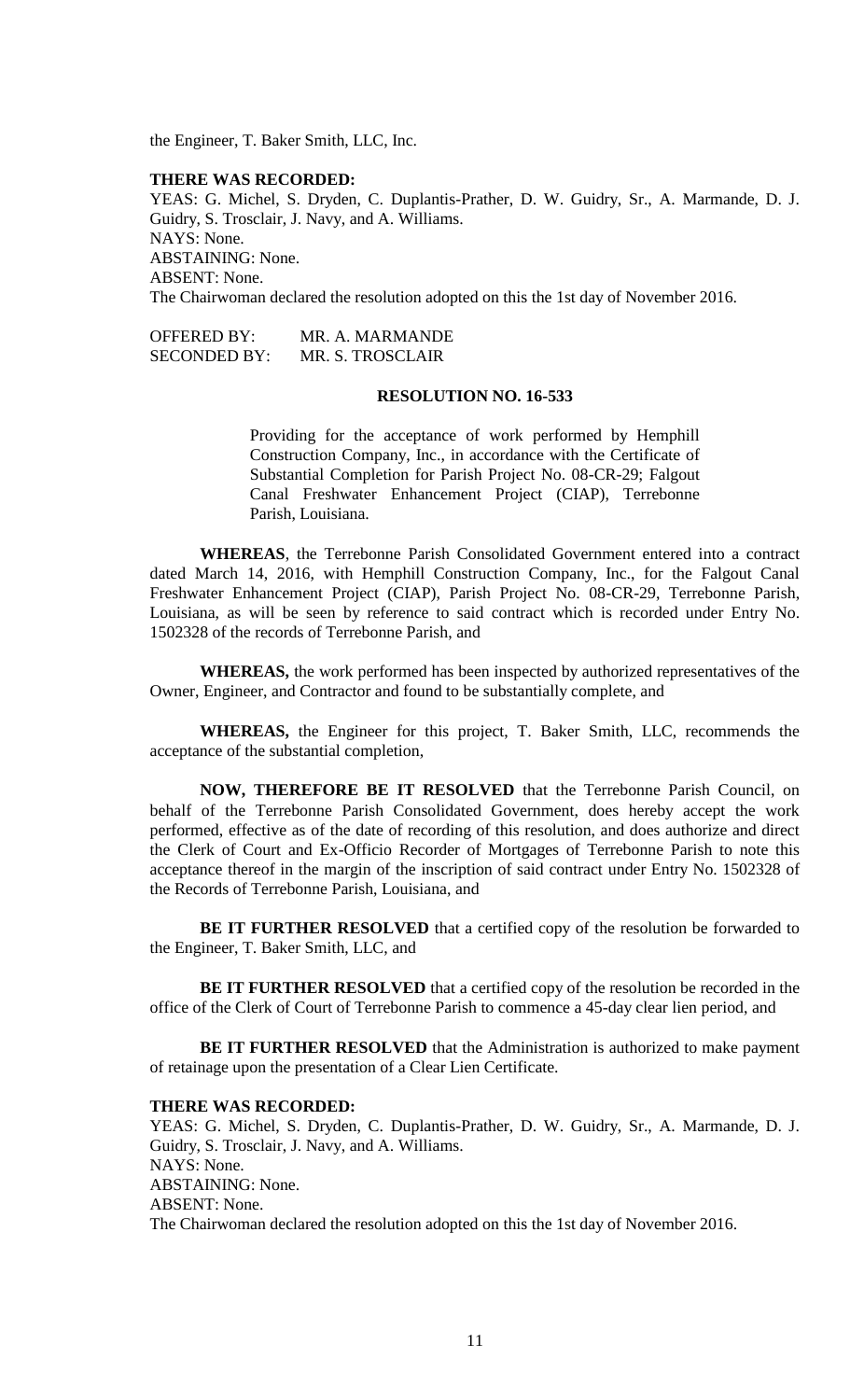the Engineer, T. Baker Smith, LLC, Inc.

## **THERE WAS RECORDED:**

YEAS: G. Michel, S. Dryden, C. Duplantis-Prather, D. W. Guidry, Sr., A. Marmande, D. J. Guidry, S. Trosclair, J. Navy, and A. Williams. NAYS: None. ABSTAINING: None. ABSENT: None. The Chairwoman declared the resolution adopted on this the 1st day of November 2016.

OFFERED BY: MR. A. MARMANDE SECONDED BY: MR. S. TROSCLAIR

#### **RESOLUTION NO. 16-533**

Providing for the acceptance of work performed by Hemphill Construction Company, Inc., in accordance with the Certificate of Substantial Completion for Parish Project No. 08-CR-29; Falgout Canal Freshwater Enhancement Project (CIAP), Terrebonne Parish, Louisiana.

**WHEREAS**, the Terrebonne Parish Consolidated Government entered into a contract dated March 14, 2016, with Hemphill Construction Company, Inc., for the Falgout Canal Freshwater Enhancement Project (CIAP), Parish Project No. 08-CR-29, Terrebonne Parish, Louisiana, as will be seen by reference to said contract which is recorded under Entry No. 1502328 of the records of Terrebonne Parish, and

**WHEREAS,** the work performed has been inspected by authorized representatives of the Owner, Engineer, and Contractor and found to be substantially complete, and

**WHEREAS,** the Engineer for this project, T. Baker Smith, LLC, recommends the acceptance of the substantial completion,

**NOW, THEREFORE BE IT RESOLVED** that the Terrebonne Parish Council, on behalf of the Terrebonne Parish Consolidated Government, does hereby accept the work performed, effective as of the date of recording of this resolution, and does authorize and direct the Clerk of Court and Ex-Officio Recorder of Mortgages of Terrebonne Parish to note this acceptance thereof in the margin of the inscription of said contract under Entry No. 1502328 of the Records of Terrebonne Parish, Louisiana, and

**BE IT FURTHER RESOLVED** that a certified copy of the resolution be forwarded to the Engineer, T. Baker Smith, LLC, and

**BE IT FURTHER RESOLVED** that a certified copy of the resolution be recorded in the office of the Clerk of Court of Terrebonne Parish to commence a 45-day clear lien period, and

**BE IT FURTHER RESOLVED** that the Administration is authorized to make payment of retainage upon the presentation of a Clear Lien Certificate.

### **THERE WAS RECORDED:**

YEAS: G. Michel, S. Dryden, C. Duplantis-Prather, D. W. Guidry, Sr., A. Marmande, D. J. Guidry, S. Trosclair, J. Navy, and A. Williams. NAYS: None. ABSTAINING: None. ABSENT: None. The Chairwoman declared the resolution adopted on this the 1st day of November 2016.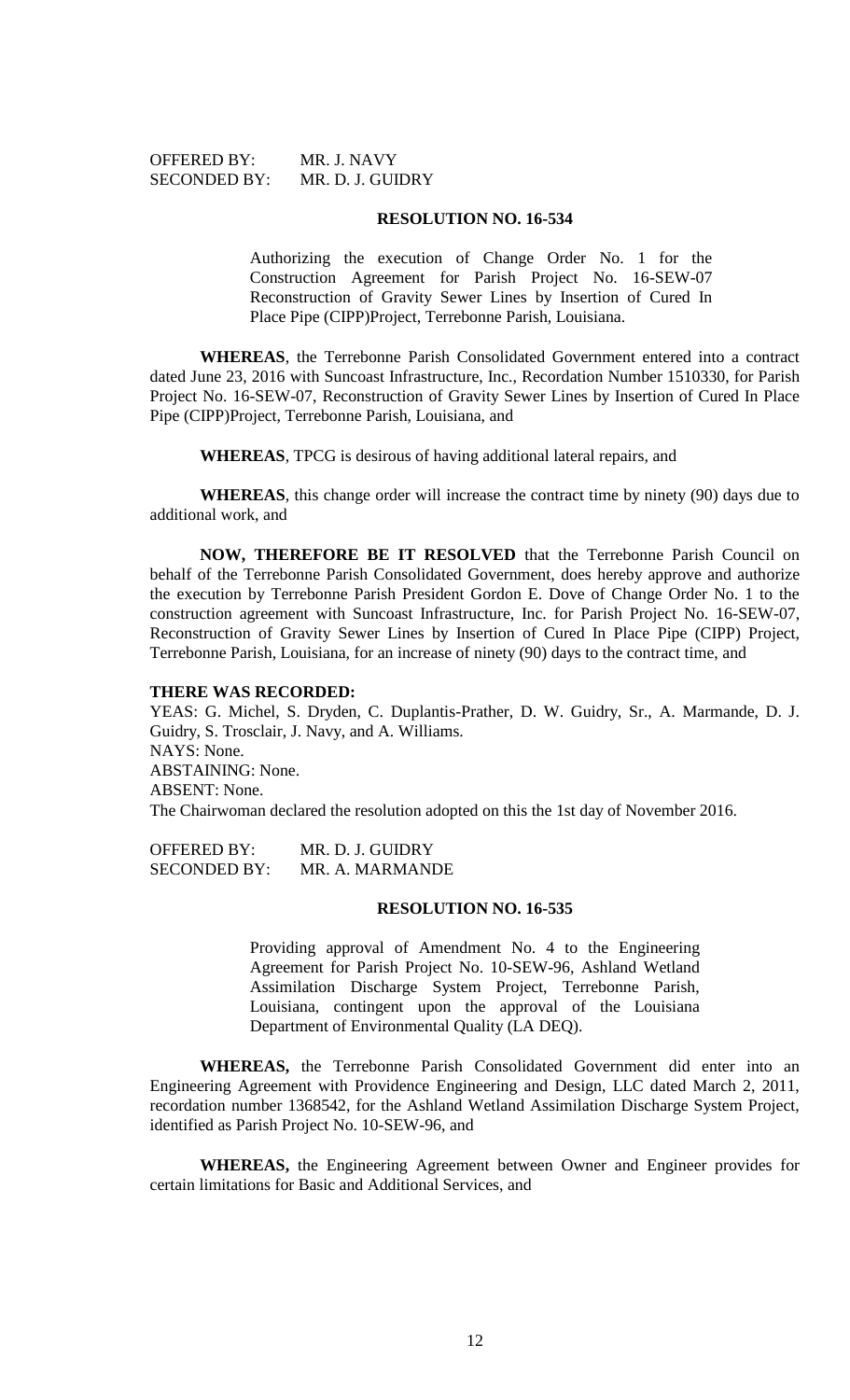# **RESOLUTION NO. 16-534**

Authorizing the execution of Change Order No. 1 for the Construction Agreement for Parish Project No. 16-SEW-07 Reconstruction of Gravity Sewer Lines by Insertion of Cured In Place Pipe (CIPP)Project, Terrebonne Parish, Louisiana.

**WHEREAS**, the Terrebonne Parish Consolidated Government entered into a contract dated June 23, 2016 with Suncoast Infrastructure, Inc., Recordation Number 1510330, for Parish Project No. 16-SEW-07, Reconstruction of Gravity Sewer Lines by Insertion of Cured In Place Pipe (CIPP)Project, Terrebonne Parish, Louisiana, and

**WHEREAS**, TPCG is desirous of having additional lateral repairs, and

**WHEREAS**, this change order will increase the contract time by ninety (90) days due to additional work, and

**NOW, THEREFORE BE IT RESOLVED** that the Terrebonne Parish Council on behalf of the Terrebonne Parish Consolidated Government, does hereby approve and authorize the execution by Terrebonne Parish President Gordon E. Dove of Change Order No. 1 to the construction agreement with Suncoast Infrastructure, Inc. for Parish Project No. 16-SEW-07, Reconstruction of Gravity Sewer Lines by Insertion of Cured In Place Pipe (CIPP) Project, Terrebonne Parish, Louisiana, for an increase of ninety (90) days to the contract time, and

## **THERE WAS RECORDED:**

YEAS: G. Michel, S. Dryden, C. Duplantis-Prather, D. W. Guidry, Sr., A. Marmande, D. J. Guidry, S. Trosclair, J. Navy, and A. Williams. NAYS: None. ABSTAINING: None. ABSENT: None. The Chairwoman declared the resolution adopted on this the 1st day of November 2016.

| <b>OFFERED BY:</b>  | MR. D. J. GUIDRY |
|---------------------|------------------|
| <b>SECONDED BY:</b> | MR. A. MARMANDE  |

## **RESOLUTION NO. 16-535**

Providing approval of Amendment No. 4 to the Engineering Agreement for Parish Project No. 10-SEW-96, Ashland Wetland Assimilation Discharge System Project, Terrebonne Parish, Louisiana, contingent upon the approval of the Louisiana Department of Environmental Quality (LA DEQ).

**WHEREAS,** the Terrebonne Parish Consolidated Government did enter into an Engineering Agreement with Providence Engineering and Design, LLC dated March 2, 2011, recordation number 1368542, for the Ashland Wetland Assimilation Discharge System Project, identified as Parish Project No. 10-SEW-96, and

**WHEREAS,** the Engineering Agreement between Owner and Engineer provides for certain limitations for Basic and Additional Services, and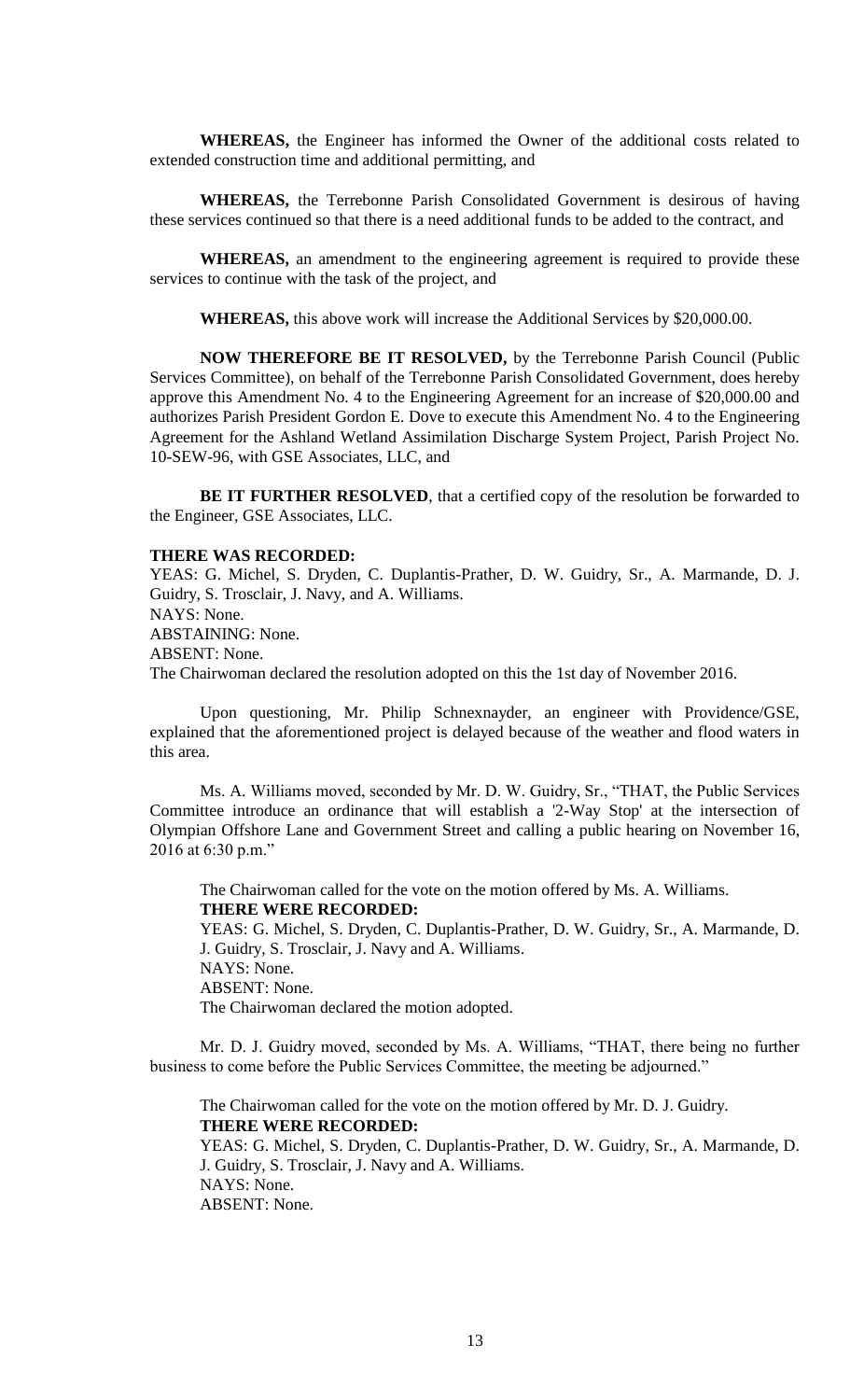**WHEREAS,** the Engineer has informed the Owner of the additional costs related to extended construction time and additional permitting, and

**WHEREAS,** the Terrebonne Parish Consolidated Government is desirous of having these services continued so that there is a need additional funds to be added to the contract, and

**WHEREAS,** an amendment to the engineering agreement is required to provide these services to continue with the task of the project, and

**WHEREAS,** this above work will increase the Additional Services by \$20,000.00.

**NOW THEREFORE BE IT RESOLVED,** by the Terrebonne Parish Council (Public Services Committee), on behalf of the Terrebonne Parish Consolidated Government, does hereby approve this Amendment No. 4 to the Engineering Agreement for an increase of \$20,000.00 and authorizes Parish President Gordon E. Dove to execute this Amendment No. 4 to the Engineering Agreement for the Ashland Wetland Assimilation Discharge System Project, Parish Project No. 10-SEW-96, with GSE Associates, LLC, and

**BE IT FURTHER RESOLVED**, that a certified copy of the resolution be forwarded to the Engineer, GSE Associates, LLC.

## **THERE WAS RECORDED:**

YEAS: G. Michel, S. Dryden, C. Duplantis-Prather, D. W. Guidry, Sr., A. Marmande, D. J. Guidry, S. Trosclair, J. Navy, and A. Williams. NAYS: None. ABSTAINING: None. ABSENT: None. The Chairwoman declared the resolution adopted on this the 1st day of November 2016.

Upon questioning, Mr. Philip Schnexnayder, an engineer with Providence/GSE, explained that the aforementioned project is delayed because of the weather and flood waters in this area.

Ms. A. Williams moved, seconded by Mr. D. W. Guidry, Sr., "THAT, the Public Services Committee introduce an ordinance that will establish a '2-Way Stop' at the intersection of Olympian Offshore Lane and Government Street and calling a public hearing on November 16, 2016 at 6:30 p.m."

The Chairwoman called for the vote on the motion offered by Ms. A. Williams. **THERE WERE RECORDED:**

YEAS: G. Michel, S. Dryden, C. Duplantis-Prather, D. W. Guidry, Sr., A. Marmande, D. J. Guidry, S. Trosclair, J. Navy and A. Williams. NAYS: None.

ABSENT: None.

The Chairwoman declared the motion adopted.

Mr. D. J. Guidry moved, seconded by Ms. A. Williams, "THAT, there being no further business to come before the Public Services Committee, the meeting be adjourned."

The Chairwoman called for the vote on the motion offered by Mr. D. J. Guidry. **THERE WERE RECORDED:**

YEAS: G. Michel, S. Dryden, C. Duplantis-Prather, D. W. Guidry, Sr., A. Marmande, D. J. Guidry, S. Trosclair, J. Navy and A. Williams. NAYS: None. ABSENT: None.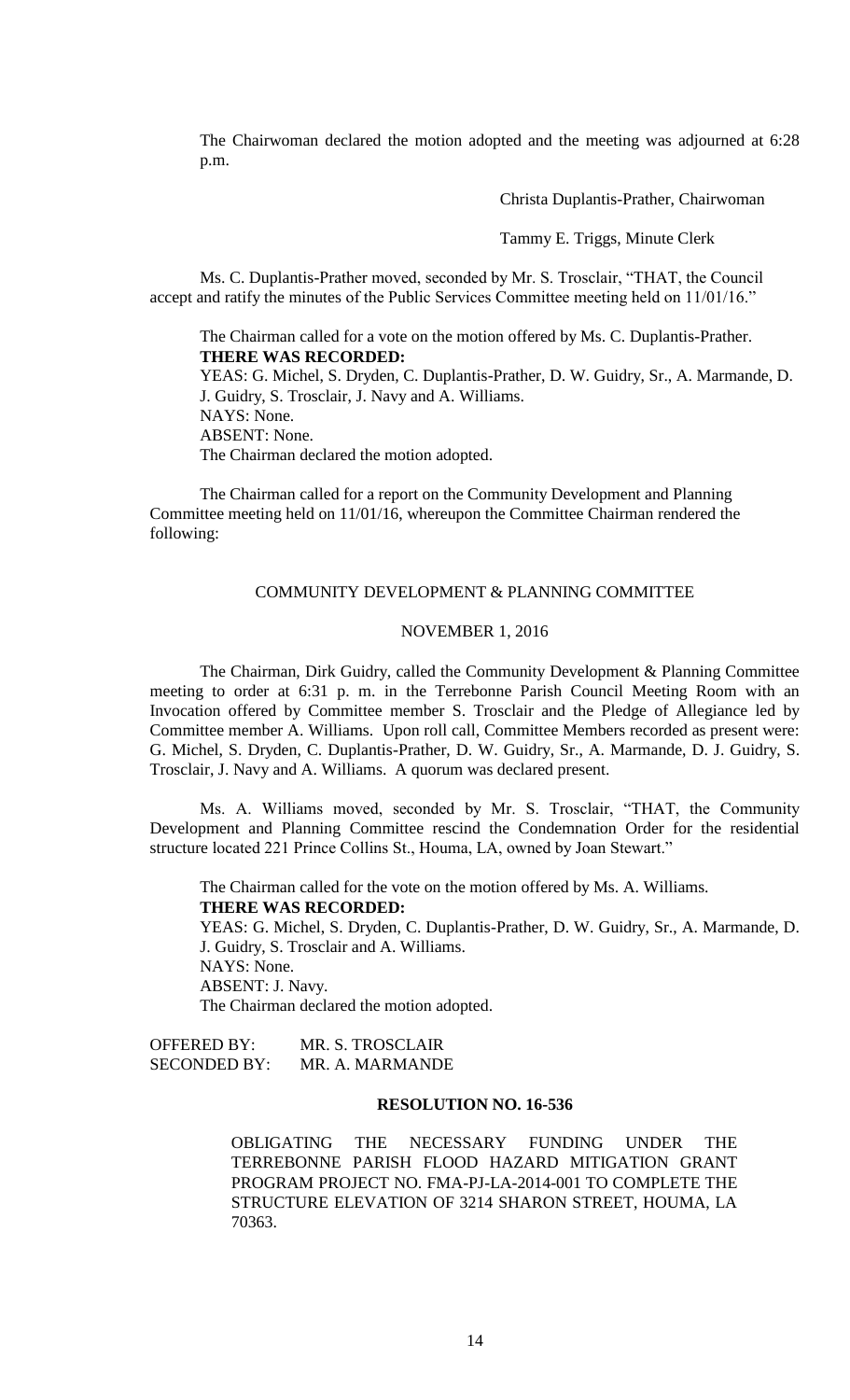The Chairwoman declared the motion adopted and the meeting was adjourned at 6:28 p.m.

Christa Duplantis-Prather, Chairwoman

Tammy E. Triggs, Minute Clerk

Ms. C. Duplantis-Prather moved, seconded by Mr. S. Trosclair, "THAT, the Council accept and ratify the minutes of the Public Services Committee meeting held on 11/01/16."

The Chairman called for a vote on the motion offered by Ms. C. Duplantis-Prather. **THERE WAS RECORDED:** YEAS: G. Michel, S. Dryden, C. Duplantis-Prather, D. W. Guidry, Sr., A. Marmande, D. J. Guidry, S. Trosclair, J. Navy and A. Williams. NAYS: None.

ABSENT: None.

The Chairman declared the motion adopted.

The Chairman called for a report on the Community Development and Planning Committee meeting held on 11/01/16, whereupon the Committee Chairman rendered the following:

#### COMMUNITY DEVELOPMENT & PLANNING COMMITTEE

## NOVEMBER 1, 2016

The Chairman, Dirk Guidry, called the Community Development & Planning Committee meeting to order at 6:31 p. m. in the Terrebonne Parish Council Meeting Room with an Invocation offered by Committee member S. Trosclair and the Pledge of Allegiance led by Committee member A. Williams. Upon roll call, Committee Members recorded as present were: G. Michel, S. Dryden, C. Duplantis-Prather, D. W. Guidry, Sr., A. Marmande, D. J. Guidry, S. Trosclair, J. Navy and A. Williams. A quorum was declared present.

Ms. A. Williams moved, seconded by Mr. S. Trosclair, "THAT, the Community Development and Planning Committee rescind the Condemnation Order for the residential structure located 221 Prince Collins St., Houma, LA, owned by Joan Stewart."

The Chairman called for the vote on the motion offered by Ms. A. Williams.

**THERE WAS RECORDED:**

YEAS: G. Michel, S. Dryden, C. Duplantis-Prather, D. W. Guidry, Sr., A. Marmande, D. J. Guidry, S. Trosclair and A. Williams. NAYS: None. ABSENT: J. Navy.

The Chairman declared the motion adopted.

OFFERED BY: MR. S. TROSCLAIR SECONDED BY: MR. A. MARMANDE

## **RESOLUTION NO. 16-536**

OBLIGATING THE NECESSARY FUNDING UNDER THE TERREBONNE PARISH FLOOD HAZARD MITIGATION GRANT PROGRAM PROJECT NO. FMA-PJ-LA-2014-001 TO COMPLETE THE STRUCTURE ELEVATION OF 3214 SHARON STREET, HOUMA, LA 70363.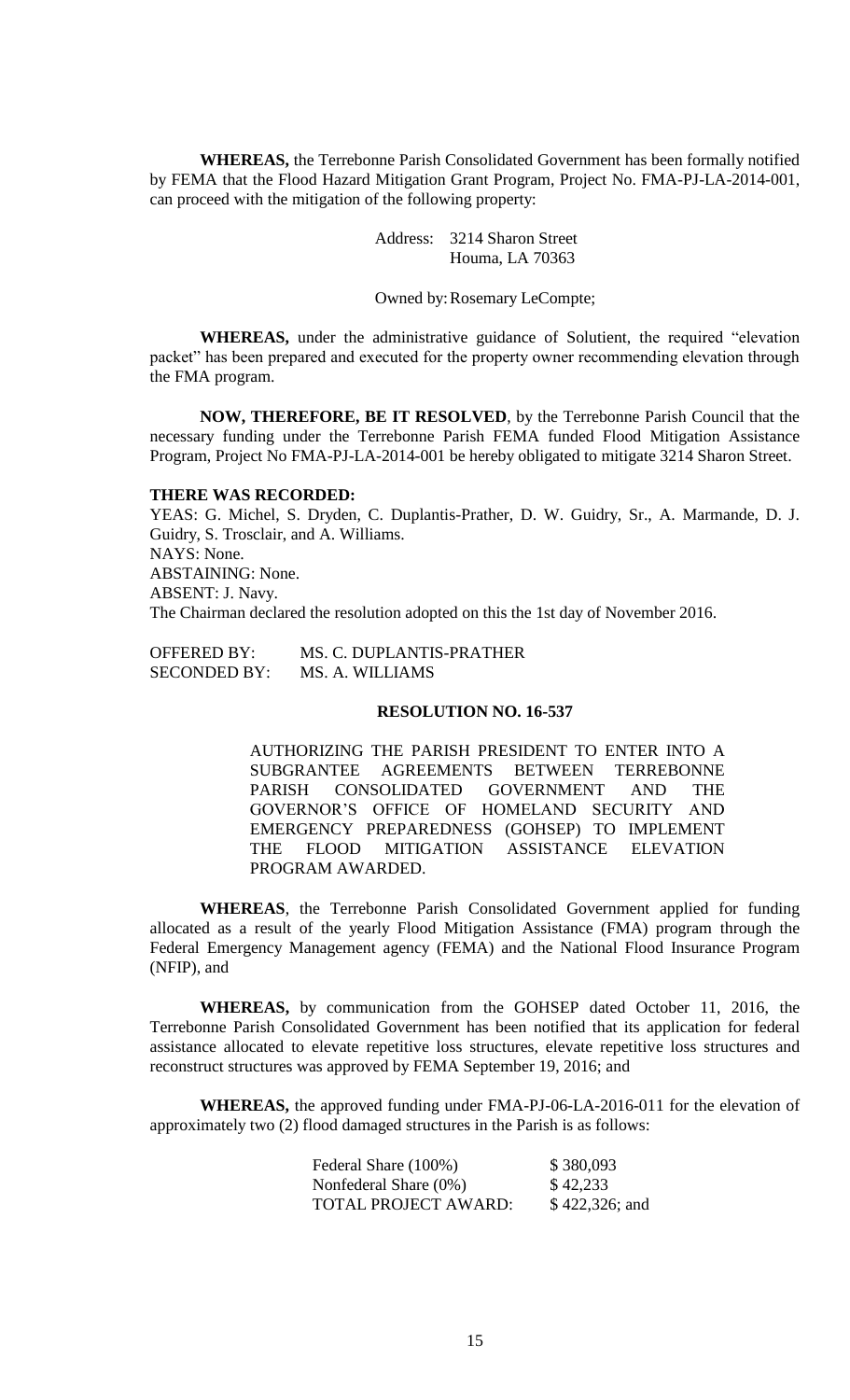**WHEREAS,** the Terrebonne Parish Consolidated Government has been formally notified by FEMA that the Flood Hazard Mitigation Grant Program, Project No. FMA-PJ-LA-2014-001, can proceed with the mitigation of the following property:

> Address: 3214 Sharon Street Houma, LA 70363

Owned by:Rosemary LeCompte;

**WHEREAS,** under the administrative guidance of Solutient, the required "elevation packet" has been prepared and executed for the property owner recommending elevation through the FMA program.

**NOW, THEREFORE, BE IT RESOLVED**, by the Terrebonne Parish Council that the necessary funding under the Terrebonne Parish FEMA funded Flood Mitigation Assistance Program, Project No FMA-PJ-LA-2014-001 be hereby obligated to mitigate 3214 Sharon Street.

#### **THERE WAS RECORDED:**

YEAS: G. Michel, S. Dryden, C. Duplantis-Prather, D. W. Guidry, Sr., A. Marmande, D. J. Guidry, S. Trosclair, and A. Williams. NAYS: None. ABSTAINING: None. ABSENT: J. Navy. The Chairman declared the resolution adopted on this the 1st day of November 2016.

OFFERED BY: MS. C. DUPLANTIS-PRATHER SECONDED BY: MS. A. WILLIAMS

# **RESOLUTION NO. 16-537**

AUTHORIZING THE PARISH PRESIDENT TO ENTER INTO A SUBGRANTEE AGREEMENTS BETWEEN TERREBONNE PARISH CONSOLIDATED GOVERNMENT AND THE GOVERNOR'S OFFICE OF HOMELAND SECURITY AND EMERGENCY PREPAREDNESS (GOHSEP) TO IMPLEMENT THE FLOOD MITIGATION ASSISTANCE ELEVATION PROGRAM AWARDED.

**WHEREAS**, the Terrebonne Parish Consolidated Government applied for funding allocated as a result of the yearly Flood Mitigation Assistance (FMA) program through the Federal Emergency Management agency (FEMA) and the National Flood Insurance Program (NFIP), and

**WHEREAS,** by communication from the GOHSEP dated October 11, 2016, the Terrebonne Parish Consolidated Government has been notified that its application for federal assistance allocated to elevate repetitive loss structures, elevate repetitive loss structures and reconstruct structures was approved by FEMA September 19, 2016; and

**WHEREAS,** the approved funding under FMA-PJ-06-LA-2016-011 for the elevation of approximately two (2) flood damaged structures in the Parish is as follows:

| Federal Share (100%)  | \$380,093        |
|-----------------------|------------------|
| Nonfederal Share (0%) | \$42,233         |
| TOTAL PROJECT AWARD:  | $$422,326$ ; and |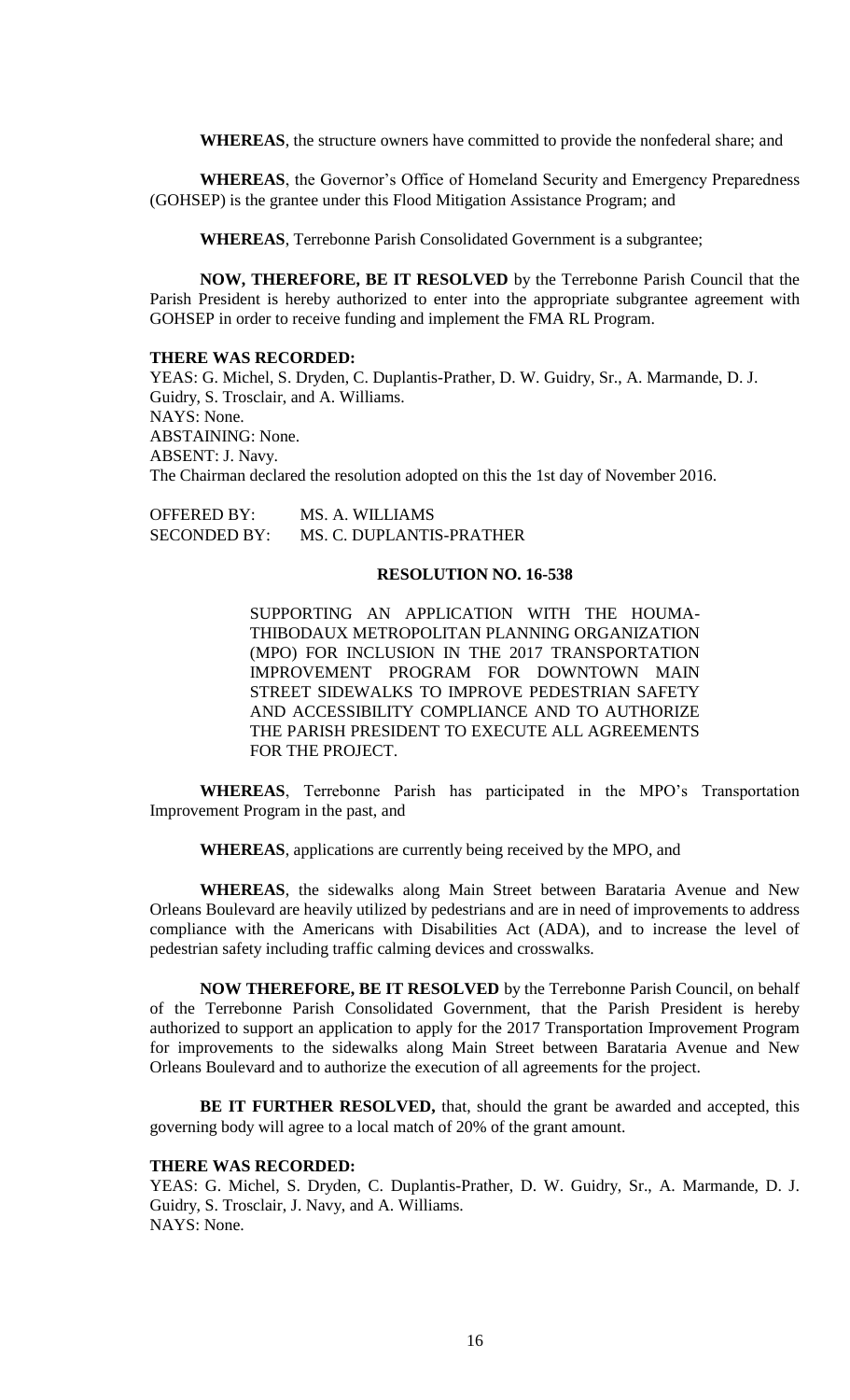**WHEREAS**, the structure owners have committed to provide the nonfederal share; and

**WHEREAS**, the Governor's Office of Homeland Security and Emergency Preparedness (GOHSEP) is the grantee under this Flood Mitigation Assistance Program; and

**WHEREAS**, Terrebonne Parish Consolidated Government is a subgrantee;

**NOW, THEREFORE, BE IT RESOLVED** by the Terrebonne Parish Council that the Parish President is hereby authorized to enter into the appropriate subgrantee agreement with GOHSEP in order to receive funding and implement the FMA RL Program.

#### **THERE WAS RECORDED:**

YEAS: G. Michel, S. Dryden, C. Duplantis-Prather, D. W. Guidry, Sr., A. Marmande, D. J. Guidry, S. Trosclair, and A. Williams. NAYS: None. ABSTAINING: None. ABSENT: J. Navy. The Chairman declared the resolution adopted on this the 1st day of November 2016.

OFFERED BY: MS. A. WILLIAMS SECONDED BY: MS. C. DUPLANTIS-PRATHER

#### **RESOLUTION NO. 16-538**

SUPPORTING AN APPLICATION WITH THE HOUMA-THIBODAUX METROPOLITAN PLANNING ORGANIZATION (MPO) FOR INCLUSION IN THE 2017 TRANSPORTATION IMPROVEMENT PROGRAM FOR DOWNTOWN MAIN STREET SIDEWALKS TO IMPROVE PEDESTRIAN SAFETY AND ACCESSIBILITY COMPLIANCE AND TO AUTHORIZE THE PARISH PRESIDENT TO EXECUTE ALL AGREEMENTS FOR THE PROJECT.

**WHEREAS**, Terrebonne Parish has participated in the MPO's Transportation Improvement Program in the past, and

**WHEREAS**, applications are currently being received by the MPO, and

**WHEREAS**, the sidewalks along Main Street between Barataria Avenue and New Orleans Boulevard are heavily utilized by pedestrians and are in need of improvements to address compliance with the Americans with Disabilities Act (ADA), and to increase the level of pedestrian safety including traffic calming devices and crosswalks.

**NOW THEREFORE, BE IT RESOLVED** by the Terrebonne Parish Council, on behalf of the Terrebonne Parish Consolidated Government, that the Parish President is hereby authorized to support an application to apply for the 2017 Transportation Improvement Program for improvements to the sidewalks along Main Street between Barataria Avenue and New Orleans Boulevard and to authorize the execution of all agreements for the project.

**BE IT FURTHER RESOLVED,** that, should the grant be awarded and accepted, this governing body will agree to a local match of 20% of the grant amount.

## **THERE WAS RECORDED:**

YEAS: G. Michel, S. Dryden, C. Duplantis-Prather, D. W. Guidry, Sr., A. Marmande, D. J. Guidry, S. Trosclair, J. Navy, and A. Williams. NAYS: None.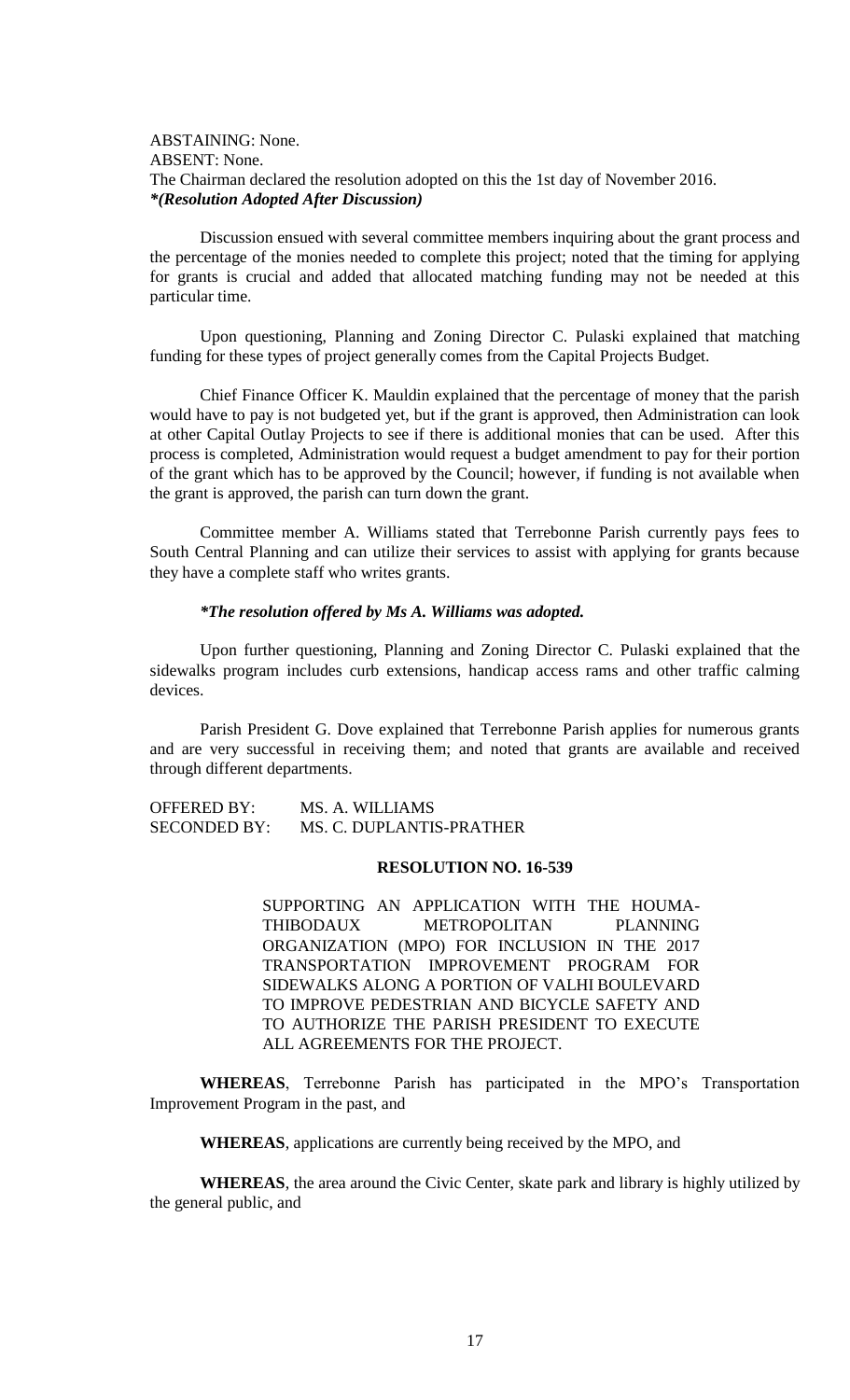# ABSTAINING: None. ABSENT: None. The Chairman declared the resolution adopted on this the 1st day of November 2016. *\*(Resolution Adopted After Discussion)*

Discussion ensued with several committee members inquiring about the grant process and the percentage of the monies needed to complete this project; noted that the timing for applying for grants is crucial and added that allocated matching funding may not be needed at this particular time.

Upon questioning, Planning and Zoning Director C. Pulaski explained that matching funding for these types of project generally comes from the Capital Projects Budget.

Chief Finance Officer K. Mauldin explained that the percentage of money that the parish would have to pay is not budgeted yet, but if the grant is approved, then Administration can look at other Capital Outlay Projects to see if there is additional monies that can be used. After this process is completed, Administration would request a budget amendment to pay for their portion of the grant which has to be approved by the Council; however, if funding is not available when the grant is approved, the parish can turn down the grant.

Committee member A. Williams stated that Terrebonne Parish currently pays fees to South Central Planning and can utilize their services to assist with applying for grants because they have a complete staff who writes grants.

#### *\*The resolution offered by Ms A. Williams was adopted.*

Upon further questioning, Planning and Zoning Director C. Pulaski explained that the sidewalks program includes curb extensions, handicap access rams and other traffic calming devices.

Parish President G. Dove explained that Terrebonne Parish applies for numerous grants and are very successful in receiving them; and noted that grants are available and received through different departments.

OFFERED BY: MS. A. WILLIAMS SECONDED BY: MS. C. DUPLANTIS-PRATHER

#### **RESOLUTION NO. 16-539**

SUPPORTING AN APPLICATION WITH THE HOUMA-THIBODAUX METROPOLITAN PLANNING ORGANIZATION (MPO) FOR INCLUSION IN THE 2017 TRANSPORTATION IMPROVEMENT PROGRAM FOR SIDEWALKS ALONG A PORTION OF VALHI BOULEVARD TO IMPROVE PEDESTRIAN AND BICYCLE SAFETY AND TO AUTHORIZE THE PARISH PRESIDENT TO EXECUTE ALL AGREEMENTS FOR THE PROJECT.

**WHEREAS**, Terrebonne Parish has participated in the MPO's Transportation Improvement Program in the past, and

**WHEREAS**, applications are currently being received by the MPO, and

**WHEREAS**, the area around the Civic Center, skate park and library is highly utilized by the general public, and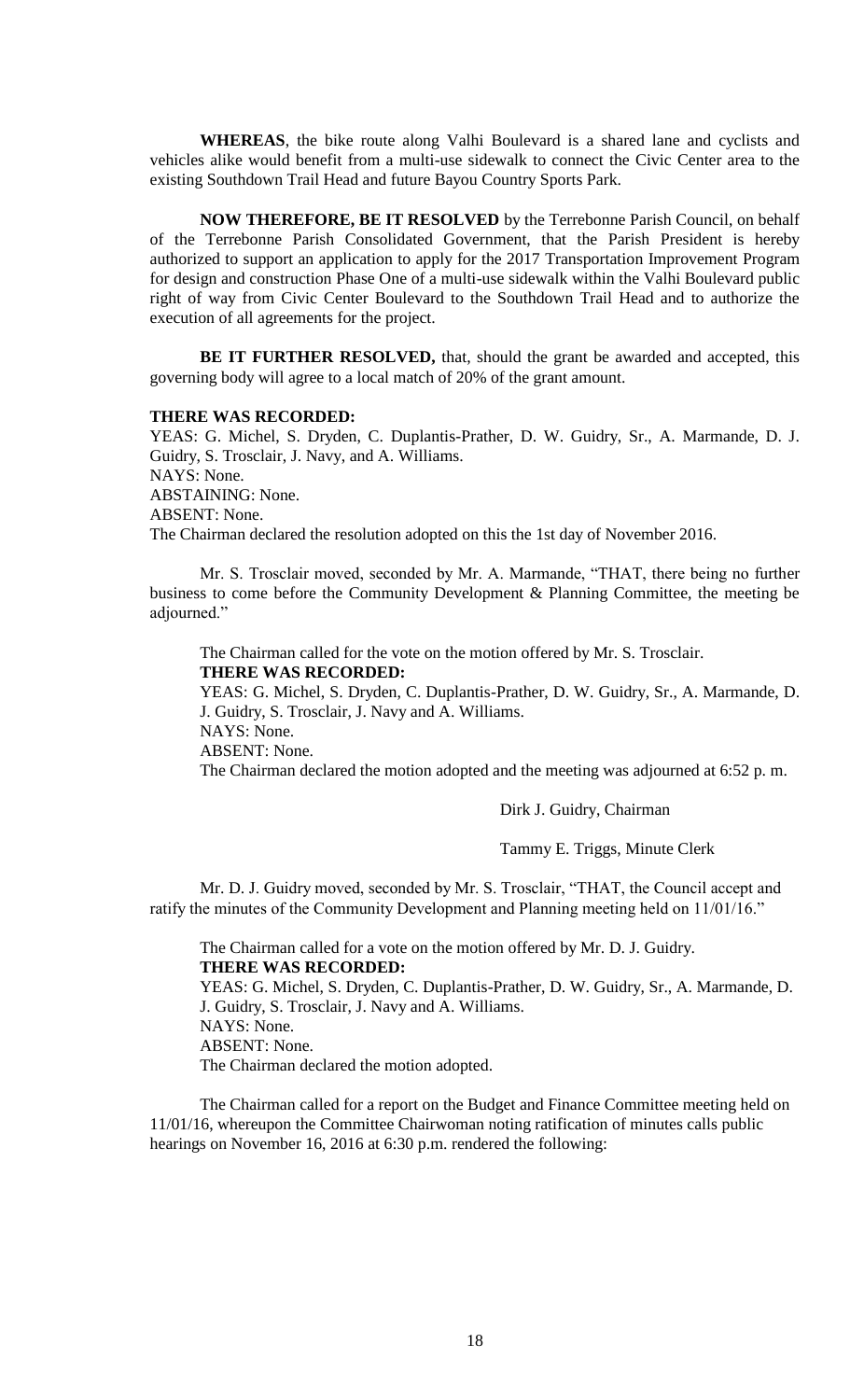**WHEREAS**, the bike route along Valhi Boulevard is a shared lane and cyclists and vehicles alike would benefit from a multi-use sidewalk to connect the Civic Center area to the existing Southdown Trail Head and future Bayou Country Sports Park.

**NOW THEREFORE, BE IT RESOLVED** by the Terrebonne Parish Council, on behalf of the Terrebonne Parish Consolidated Government, that the Parish President is hereby authorized to support an application to apply for the 2017 Transportation Improvement Program for design and construction Phase One of a multi-use sidewalk within the Valhi Boulevard public right of way from Civic Center Boulevard to the Southdown Trail Head and to authorize the execution of all agreements for the project.

**BE IT FURTHER RESOLVED,** that, should the grant be awarded and accepted, this governing body will agree to a local match of 20% of the grant amount.

#### **THERE WAS RECORDED:**

YEAS: G. Michel, S. Dryden, C. Duplantis-Prather, D. W. Guidry, Sr., A. Marmande, D. J. Guidry, S. Trosclair, J. Navy, and A. Williams. NAYS: None.

ABSTAINING: None.

ABSENT: None.

The Chairman declared the resolution adopted on this the 1st day of November 2016.

Mr. S. Trosclair moved, seconded by Mr. A. Marmande, "THAT, there being no further business to come before the Community Development & Planning Committee, the meeting be adjourned."

The Chairman called for the vote on the motion offered by Mr. S. Trosclair. **THERE WAS RECORDED:**

YEAS: G. Michel, S. Dryden, C. Duplantis-Prather, D. W. Guidry, Sr., A. Marmande, D. J. Guidry, S. Trosclair, J. Navy and A. Williams.

NAYS: None.

ABSENT: None.

The Chairman declared the motion adopted and the meeting was adjourned at 6:52 p. m.

Dirk J. Guidry, Chairman

Tammy E. Triggs, Minute Clerk

Mr. D. J. Guidry moved, seconded by Mr. S. Trosclair, "THAT, the Council accept and ratify the minutes of the Community Development and Planning meeting held on 11/01/16."

The Chairman called for a vote on the motion offered by Mr. D. J. Guidry. **THERE WAS RECORDED:**

YEAS: G. Michel, S. Dryden, C. Duplantis-Prather, D. W. Guidry, Sr., A. Marmande, D. J. Guidry, S. Trosclair, J. Navy and A. Williams. NAYS: None. ABSENT: None.

The Chairman declared the motion adopted.

The Chairman called for a report on the Budget and Finance Committee meeting held on 11/01/16, whereupon the Committee Chairwoman noting ratification of minutes calls public hearings on November 16, 2016 at 6:30 p.m. rendered the following: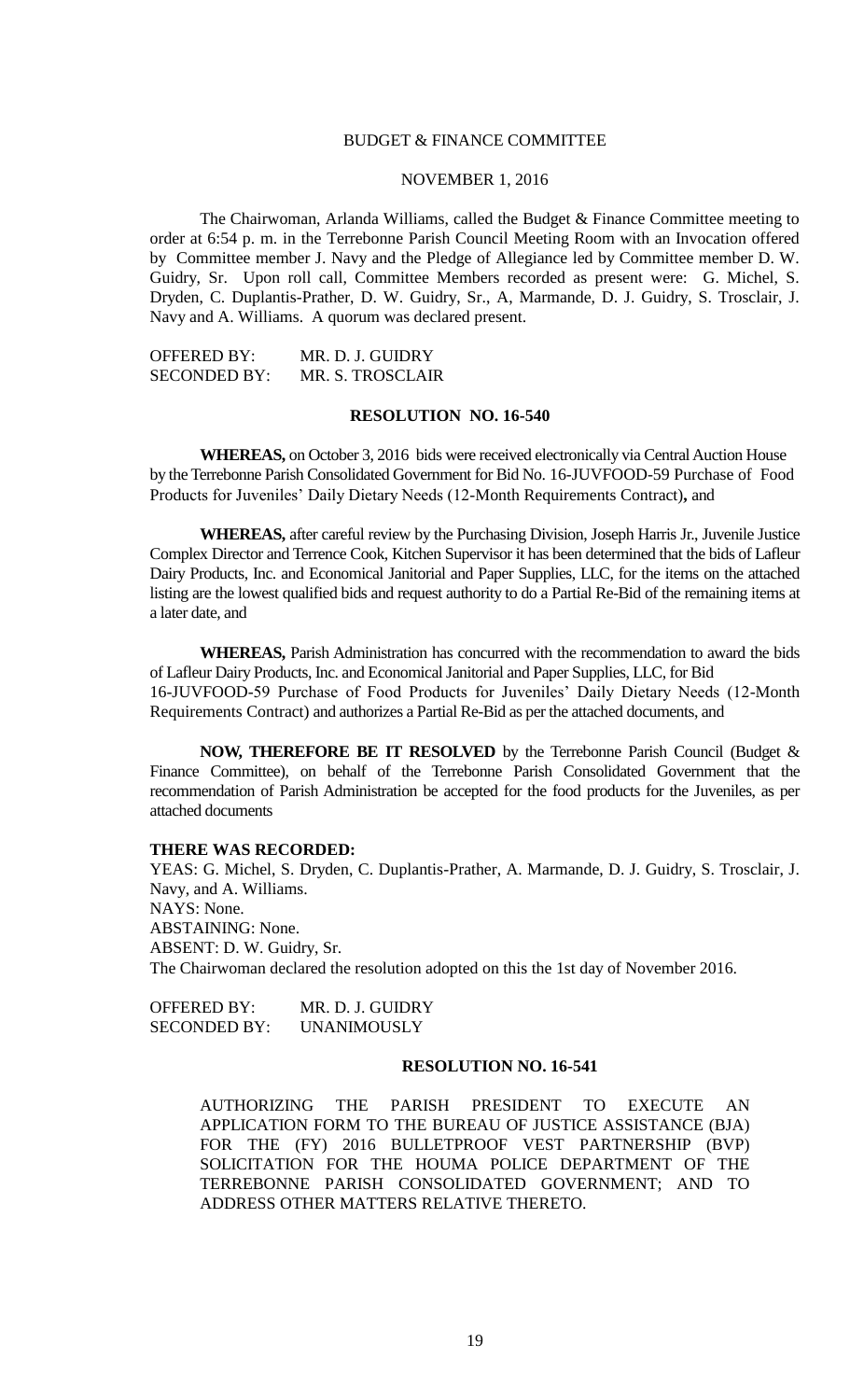## BUDGET & FINANCE COMMITTEE

# NOVEMBER 1, 2016

The Chairwoman, Arlanda Williams, called the Budget & Finance Committee meeting to order at 6:54 p. m. in the Terrebonne Parish Council Meeting Room with an Invocation offered by Committee member J. Navy and the Pledge of Allegiance led by Committee member D. W. Guidry, Sr. Upon roll call, Committee Members recorded as present were: G. Michel, S. Dryden, C. Duplantis-Prather, D. W. Guidry, Sr., A, Marmande, D. J. Guidry, S. Trosclair, J. Navy and A. Williams. A quorum was declared present.

| OFFERED BY:         | MR. D. J. GUIDRY |
|---------------------|------------------|
| <b>SECONDED BY:</b> | MR. S. TROSCLAIR |

# **RESOLUTION NO. 16-540**

**WHEREAS,** on October 3, 2016 bids were received electronically via Central Auction House by the Terrebonne Parish Consolidated Government for Bid No. 16-JUVFOOD-59 Purchase of Food Products for Juveniles' Daily Dietary Needs (12-Month Requirements Contract)**,** and

**WHEREAS,** after careful review by the Purchasing Division, Joseph Harris Jr., Juvenile Justice Complex Director and Terrence Cook, Kitchen Supervisor it has been determined that the bids of Lafleur Dairy Products, Inc. and Economical Janitorial and Paper Supplies, LLC, for the items on the attached listing are the lowest qualified bids and request authority to do a Partial Re-Bid of the remaining items at a later date, and

**WHEREAS,** Parish Administration has concurred with the recommendation to award the bids of Lafleur Dairy Products, Inc. and Economical Janitorial and Paper Supplies, LLC, for Bid 16-JUVFOOD-59 Purchase of Food Products for Juveniles' Daily Dietary Needs (12-Month Requirements Contract) and authorizes a Partial Re-Bid as per the attached documents, and

**NOW, THEREFORE BE IT RESOLVED** by the Terrebonne Parish Council (Budget & Finance Committee), on behalf of the Terrebonne Parish Consolidated Government that the recommendation of Parish Administration be accepted for the food products for the Juveniles, as per attached documents

#### **THERE WAS RECORDED:**

YEAS: G. Michel, S. Dryden, C. Duplantis-Prather, A. Marmande, D. J. Guidry, S. Trosclair, J. Navy, and A. Williams. NAYS: None. ABSTAINING: None. ABSENT: D. W. Guidry, Sr. The Chairwoman declared the resolution adopted on this the 1st day of November 2016.

| OFFERED BY:  | MR. D. J. GUIDRY   |
|--------------|--------------------|
| SECONDED BY: | <b>UNANIMOUSLY</b> |

## **RESOLUTION NO. 16-541**

AUTHORIZING THE PARISH PRESIDENT TO EXECUTE AN APPLICATION FORM TO THE BUREAU OF JUSTICE ASSISTANCE (BJA) FOR THE (FY) 2016 BULLETPROOF VEST PARTNERSHIP (BVP) SOLICITATION FOR THE HOUMA POLICE DEPARTMENT OF THE TERREBONNE PARISH CONSOLIDATED GOVERNMENT; AND TO ADDRESS OTHER MATTERS RELATIVE THERETO.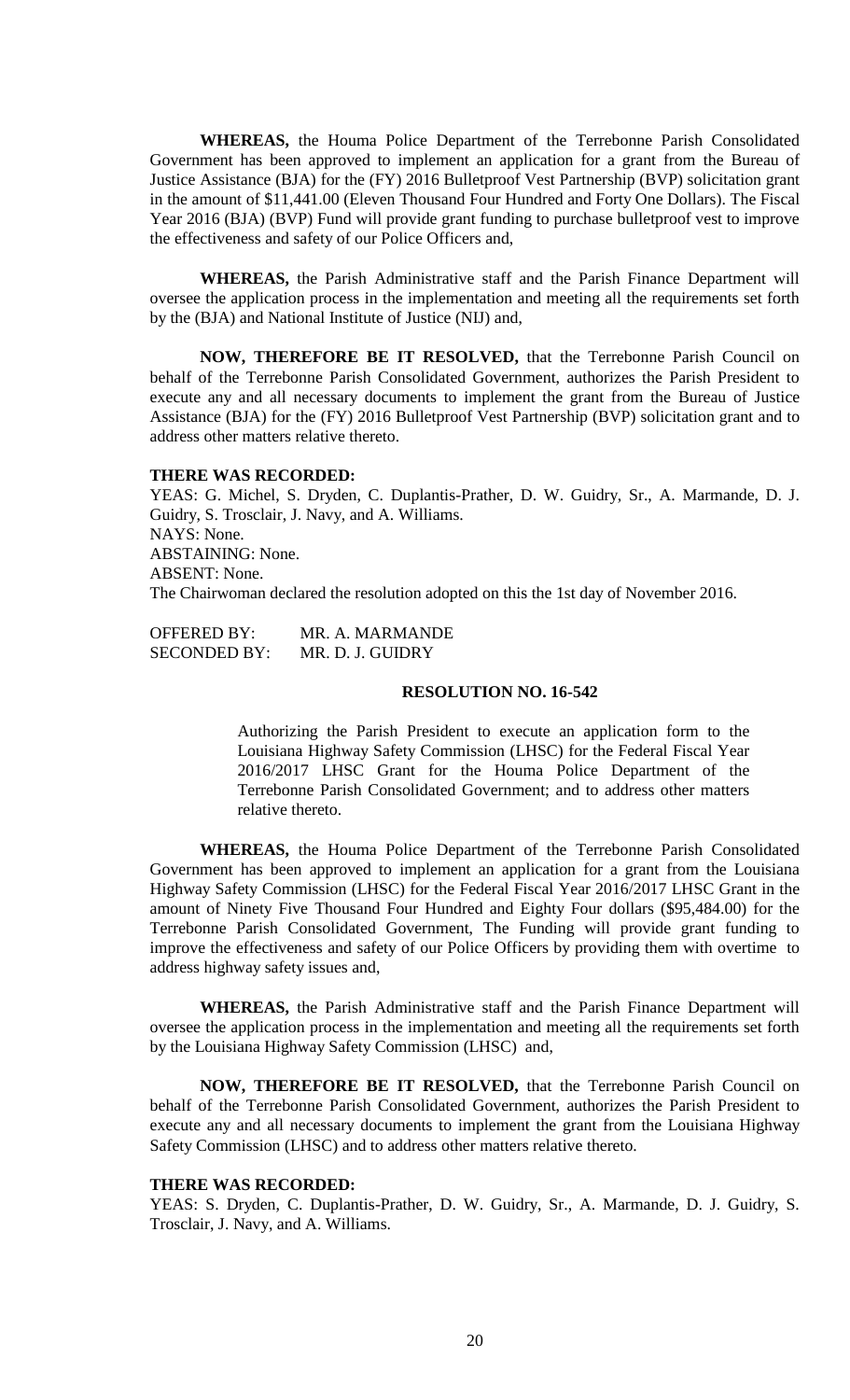**WHEREAS,** the Houma Police Department of the Terrebonne Parish Consolidated Government has been approved to implement an application for a grant from the Bureau of Justice Assistance (BJA) for the (FY) 2016 Bulletproof Vest Partnership (BVP) solicitation grant in the amount of \$11,441.00 (Eleven Thousand Four Hundred and Forty One Dollars). The Fiscal Year 2016 (BJA) (BVP) Fund will provide grant funding to purchase bulletproof vest to improve the effectiveness and safety of our Police Officers and,

**WHEREAS,** the Parish Administrative staff and the Parish Finance Department will oversee the application process in the implementation and meeting all the requirements set forth by the (BJA) and National Institute of Justice (NIJ) and,

**NOW, THEREFORE BE IT RESOLVED,** that the Terrebonne Parish Council on behalf of the Terrebonne Parish Consolidated Government, authorizes the Parish President to execute any and all necessary documents to implement the grant from the Bureau of Justice Assistance (BJA) for the (FY) 2016 Bulletproof Vest Partnership (BVP) solicitation grant and to address other matters relative thereto.

#### **THERE WAS RECORDED:**

YEAS: G. Michel, S. Dryden, C. Duplantis-Prather, D. W. Guidry, Sr., A. Marmande, D. J. Guidry, S. Trosclair, J. Navy, and A. Williams. NAYS: None. ABSTAINING: None. ABSENT: None. The Chairwoman declared the resolution adopted on this the 1st day of November 2016.

OFFERED BY: MR. A. MARMANDE SECONDED BY: MR. D. J. GUIDRY

# **RESOLUTION NO. 16-542**

Authorizing the Parish President to execute an application form to the Louisiana Highway Safety Commission (LHSC) for the Federal Fiscal Year 2016/2017 LHSC Grant for the Houma Police Department of the Terrebonne Parish Consolidated Government; and to address other matters relative thereto.

**WHEREAS,** the Houma Police Department of the Terrebonne Parish Consolidated Government has been approved to implement an application for a grant from the Louisiana Highway Safety Commission (LHSC) for the Federal Fiscal Year 2016/2017 LHSC Grant in the amount of Ninety Five Thousand Four Hundred and Eighty Four dollars (\$95,484.00) for the Terrebonne Parish Consolidated Government, The Funding will provide grant funding to improve the effectiveness and safety of our Police Officers by providing them with overtime to address highway safety issues and,

**WHEREAS,** the Parish Administrative staff and the Parish Finance Department will oversee the application process in the implementation and meeting all the requirements set forth by the Louisiana Highway Safety Commission (LHSC) and,

**NOW, THEREFORE BE IT RESOLVED,** that the Terrebonne Parish Council on behalf of the Terrebonne Parish Consolidated Government, authorizes the Parish President to execute any and all necessary documents to implement the grant from the Louisiana Highway Safety Commission (LHSC) and to address other matters relative thereto.

#### **THERE WAS RECORDED:**

YEAS: S. Dryden, C. Duplantis-Prather, D. W. Guidry, Sr., A. Marmande, D. J. Guidry, S. Trosclair, J. Navy, and A. Williams.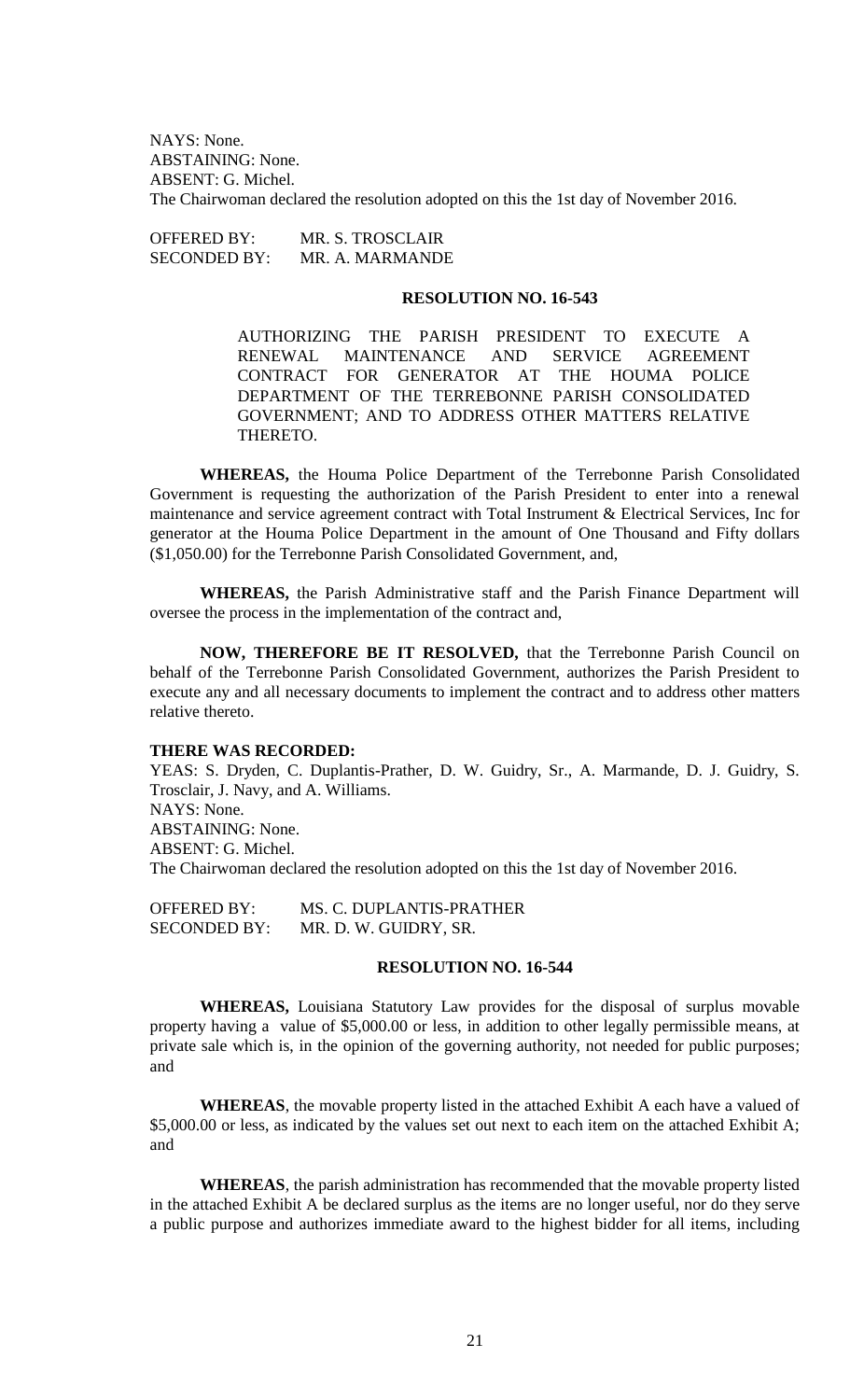NAYS: None. ABSTAINING: None. ABSENT: G. Michel. The Chairwoman declared the resolution adopted on this the 1st day of November 2016.

OFFERED BY: MR. S. TROSCLAIR SECONDED BY: MR. A. MARMANDE

#### **RESOLUTION NO. 16-543**

AUTHORIZING THE PARISH PRESIDENT TO EXECUTE A RENEWAL MAINTENANCE AND SERVICE AGREEMENT CONTRACT FOR GENERATOR AT THE HOUMA POLICE DEPARTMENT OF THE TERREBONNE PARISH CONSOLIDATED GOVERNMENT; AND TO ADDRESS OTHER MATTERS RELATIVE THERETO.

**WHEREAS,** the Houma Police Department of the Terrebonne Parish Consolidated Government is requesting the authorization of the Parish President to enter into a renewal maintenance and service agreement contract with Total Instrument & Electrical Services, Inc for generator at the Houma Police Department in the amount of One Thousand and Fifty dollars (\$1,050.00) for the Terrebonne Parish Consolidated Government, and,

**WHEREAS,** the Parish Administrative staff and the Parish Finance Department will oversee the process in the implementation of the contract and,

**NOW, THEREFORE BE IT RESOLVED,** that the Terrebonne Parish Council on behalf of the Terrebonne Parish Consolidated Government, authorizes the Parish President to execute any and all necessary documents to implement the contract and to address other matters relative thereto.

#### **THERE WAS RECORDED:**

YEAS: S. Dryden, C. Duplantis-Prather, D. W. Guidry, Sr., A. Marmande, D. J. Guidry, S. Trosclair, J. Navy, and A. Williams. NAYS: None. ABSTAINING: None. ABSENT: G. Michel. The Chairwoman declared the resolution adopted on this the 1st day of November 2016.

OFFERED BY: MS. C. DUPLANTIS-PRATHER SECONDED BY: MR. D. W. GUIDRY, SR.

# **RESOLUTION NO. 16-544**

**WHEREAS,** Louisiana Statutory Law provides for the disposal of surplus movable property having a value of \$5,000.00 or less, in addition to other legally permissible means, at private sale which is, in the opinion of the governing authority, not needed for public purposes; and

**WHEREAS**, the movable property listed in the attached Exhibit A each have a valued of \$5,000.00 or less, as indicated by the values set out next to each item on the attached Exhibit A; and

**WHEREAS**, the parish administration has recommended that the movable property listed in the attached Exhibit A be declared surplus as the items are no longer useful, nor do they serve a public purpose and authorizes immediate award to the highest bidder for all items, including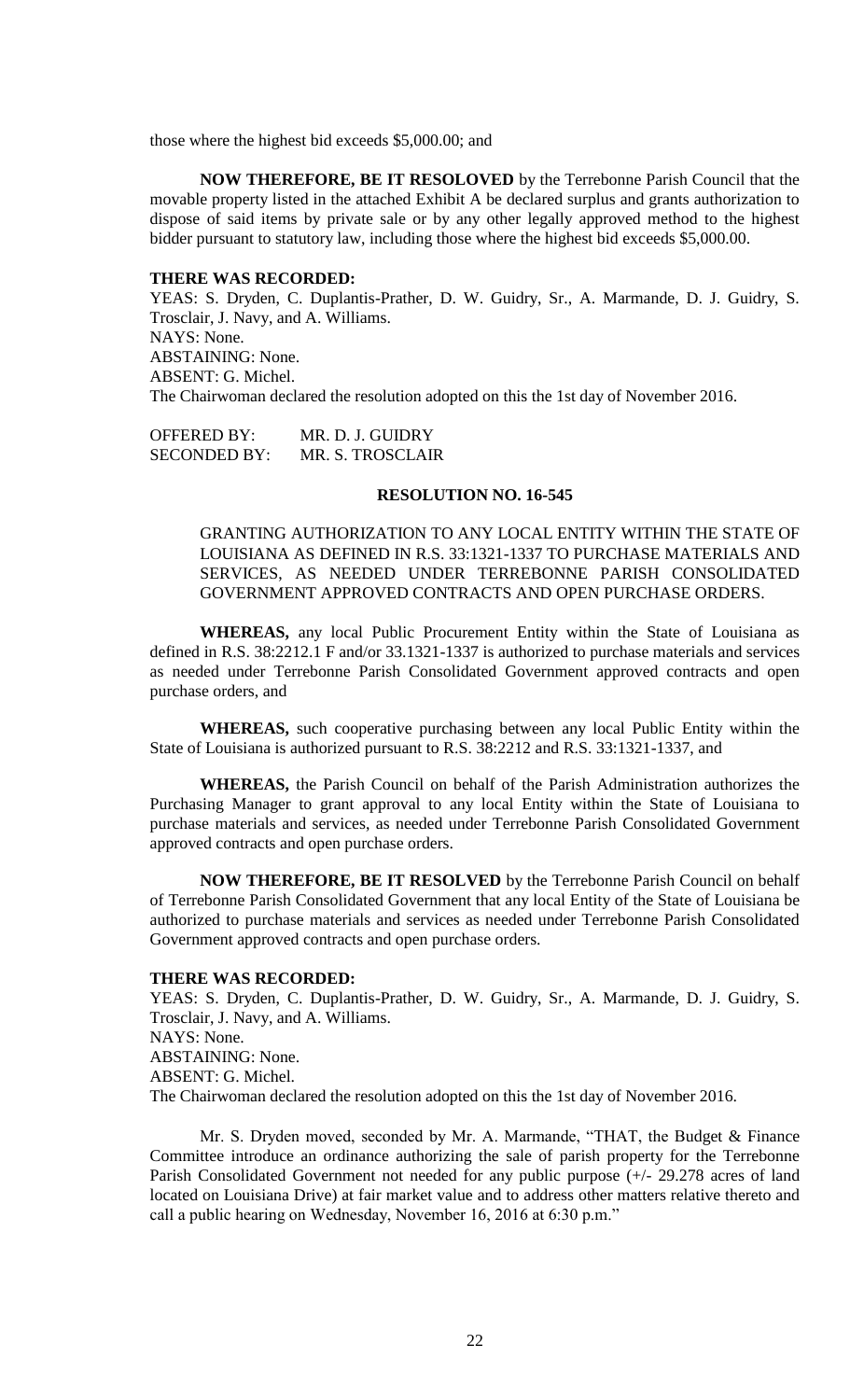those where the highest bid exceeds \$5,000.00; and

**NOW THEREFORE, BE IT RESOLOVED** by the Terrebonne Parish Council that the movable property listed in the attached Exhibit A be declared surplus and grants authorization to dispose of said items by private sale or by any other legally approved method to the highest bidder pursuant to statutory law, including those where the highest bid exceeds \$5,000.00.

#### **THERE WAS RECORDED:**

YEAS: S. Dryden, C. Duplantis-Prather, D. W. Guidry, Sr., A. Marmande, D. J. Guidry, S. Trosclair, J. Navy, and A. Williams. NAYS: None. ABSTAINING: None. ABSENT: G. Michel. The Chairwoman declared the resolution adopted on this the 1st day of November 2016.

OFFERED BY: MR. D. J. GUIDRY SECONDED BY: MR. S. TROSCLAIR

#### **RESOLUTION NO. 16-545**

GRANTING AUTHORIZATION TO ANY LOCAL ENTITY WITHIN THE STATE OF LOUISIANA AS DEFINED IN R.S. 33:1321-1337 TO PURCHASE MATERIALS AND SERVICES, AS NEEDED UNDER TERREBONNE PARISH CONSOLIDATED GOVERNMENT APPROVED CONTRACTS AND OPEN PURCHASE ORDERS.

**WHEREAS,** any local Public Procurement Entity within the State of Louisiana as defined in R.S. 38:2212.1 F and/or 33.1321-1337 is authorized to purchase materials and services as needed under Terrebonne Parish Consolidated Government approved contracts and open purchase orders, and

**WHEREAS,** such cooperative purchasing between any local Public Entity within the State of Louisiana is authorized pursuant to R.S. 38:2212 and R.S. 33:1321-1337, and

**WHEREAS,** the Parish Council on behalf of the Parish Administration authorizes the Purchasing Manager to grant approval to any local Entity within the State of Louisiana to purchase materials and services, as needed under Terrebonne Parish Consolidated Government approved contracts and open purchase orders.

**NOW THEREFORE, BE IT RESOLVED** by the Terrebonne Parish Council on behalf of Terrebonne Parish Consolidated Government that any local Entity of the State of Louisiana be authorized to purchase materials and services as needed under Terrebonne Parish Consolidated Government approved contracts and open purchase orders.

#### **THERE WAS RECORDED:**

YEAS: S. Dryden, C. Duplantis-Prather, D. W. Guidry, Sr., A. Marmande, D. J. Guidry, S. Trosclair, J. Navy, and A. Williams. NAYS: None. ABSTAINING: None. ABSENT: G. Michel. The Chairwoman declared the resolution adopted on this the 1st day of November 2016.

Mr. S. Dryden moved, seconded by Mr. A. Marmande, "THAT, the Budget & Finance Committee introduce an ordinance authorizing the sale of parish property for the Terrebonne Parish Consolidated Government not needed for any public purpose (+/- 29.278 acres of land located on Louisiana Drive) at fair market value and to address other matters relative thereto and call a public hearing on Wednesday, November 16, 2016 at 6:30 p.m."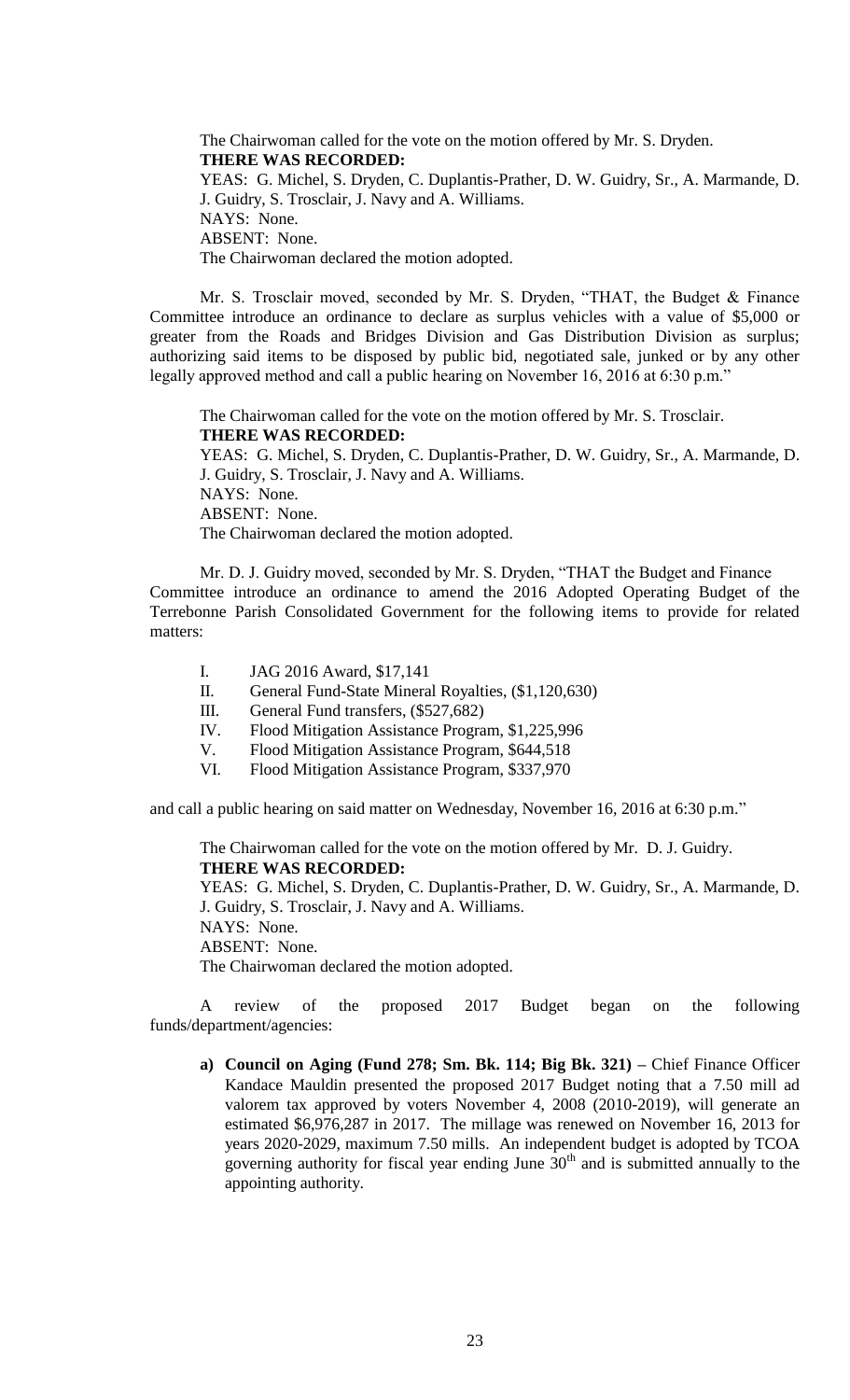The Chairwoman called for the vote on the motion offered by Mr. S. Dryden. **THERE WAS RECORDED:** YEAS: G. Michel, S. Dryden, C. Duplantis-Prather, D. W. Guidry, Sr., A. Marmande, D. J. Guidry, S. Trosclair, J. Navy and A. Williams. NAYS: None. ABSENT: None. The Chairwoman declared the motion adopted.

Mr. S. Trosclair moved, seconded by Mr. S. Dryden, "THAT, the Budget & Finance Committee introduce an ordinance to declare as surplus vehicles with a value of \$5,000 or greater from the Roads and Bridges Division and Gas Distribution Division as surplus; authorizing said items to be disposed by public bid, negotiated sale, junked or by any other legally approved method and call a public hearing on November 16, 2016 at 6:30 p.m."

The Chairwoman called for the vote on the motion offered by Mr. S. Trosclair. **THERE WAS RECORDED:**

YEAS: G. Michel, S. Dryden, C. Duplantis-Prather, D. W. Guidry, Sr., A. Marmande, D. J. Guidry, S. Trosclair, J. Navy and A. Williams. NAYS: None. ABSENT: None. The Chairwoman declared the motion adopted.

Mr. D. J. Guidry moved, seconded by Mr. S. Dryden, "THAT the Budget and Finance Committee introduce an ordinance to amend the 2016 Adopted Operating Budget of the Terrebonne Parish Consolidated Government for the following items to provide for related matters:

- I. JAG 2016 Award, \$17,141
- II. General Fund-State Mineral Royalties, (\$1,120,630)
- III. General Fund transfers, (\$527,682)
- IV. Flood Mitigation Assistance Program, \$1,225,996
- V. Flood Mitigation Assistance Program, \$644,518
- VI. Flood Mitigation Assistance Program, \$337,970

and call a public hearing on said matter on Wednesday, November 16, 2016 at 6:30 p.m."

The Chairwoman called for the vote on the motion offered by Mr. D. J. Guidry. **THERE WAS RECORDED:**

YEAS: G. Michel, S. Dryden, C. Duplantis-Prather, D. W. Guidry, Sr., A. Marmande, D. J. Guidry, S. Trosclair, J. Navy and A. Williams.

NAYS: None.

ABSENT: None.

The Chairwoman declared the motion adopted.

A review of the proposed 2017 Budget began on the following funds/department/agencies:

**a) Council on Aging (Fund 278; Sm. Bk. 114; Big Bk. 321) –** Chief Finance Officer Kandace Mauldin presented the proposed 2017 Budget noting that a 7.50 mill ad valorem tax approved by voters November 4, 2008 (2010-2019), will generate an estimated \$6,976,287 in 2017. The millage was renewed on November 16, 2013 for years 2020-2029, maximum 7.50 mills. An independent budget is adopted by TCOA governing authority for fiscal year ending June  $30<sup>th</sup>$  and is submitted annually to the appointing authority.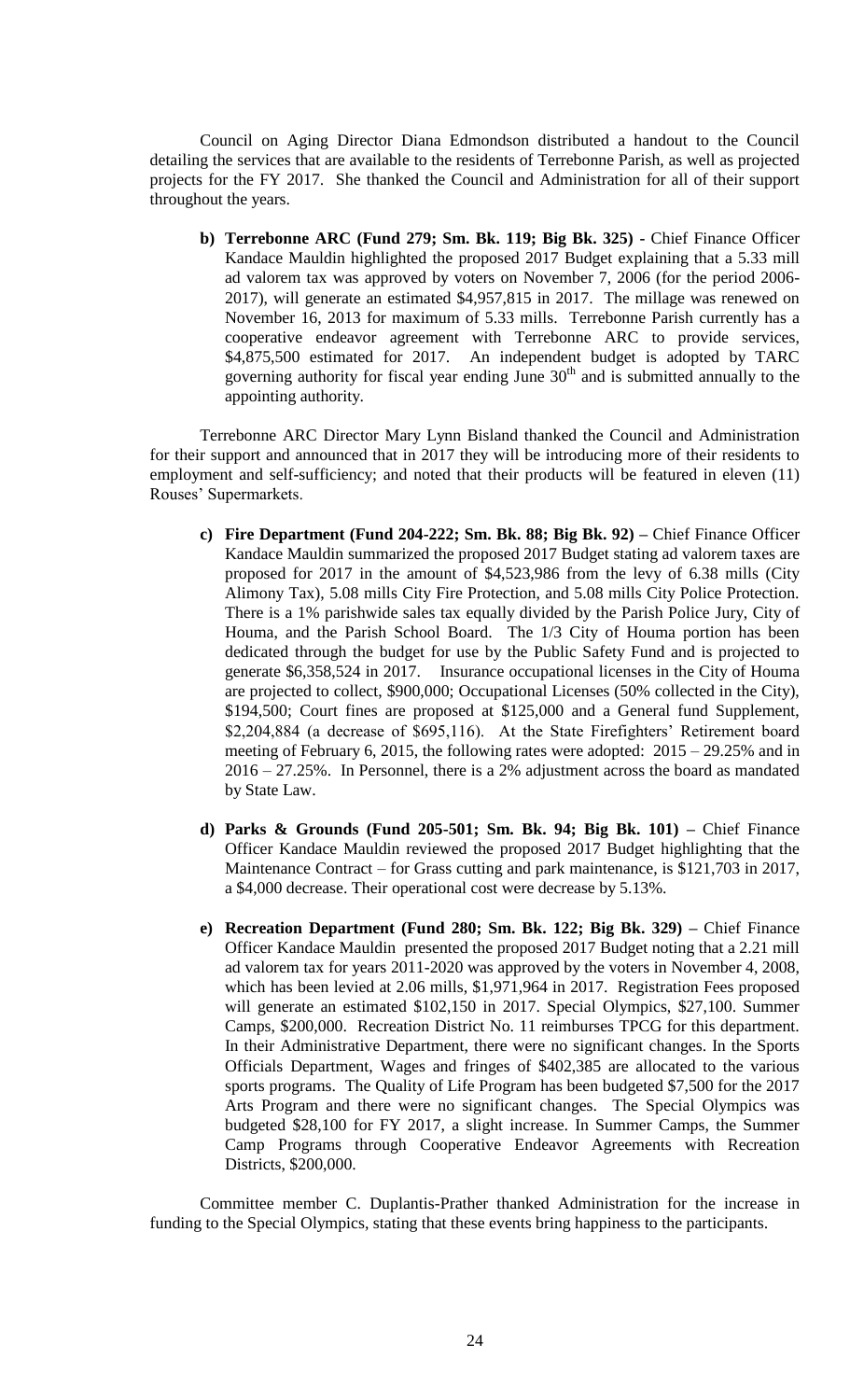Council on Aging Director Diana Edmondson distributed a handout to the Council detailing the services that are available to the residents of Terrebonne Parish, as well as projected projects for the FY 2017. She thanked the Council and Administration for all of their support throughout the years.

**b) Terrebonne ARC (Fund 279; Sm. Bk. 119; Big Bk. 325) -** Chief Finance Officer Kandace Mauldin highlighted the proposed 2017 Budget explaining that a 5.33 mill ad valorem tax was approved by voters on November 7, 2006 (for the period 2006- 2017), will generate an estimated \$4,957,815 in 2017. The millage was renewed on November 16, 2013 for maximum of 5.33 mills. Terrebonne Parish currently has a cooperative endeavor agreement with Terrebonne ARC to provide services, \$4,875,500 estimated for 2017. An independent budget is adopted by TARC governing authority for fiscal year ending June  $30<sup>th</sup>$  and is submitted annually to the appointing authority.

Terrebonne ARC Director Mary Lynn Bisland thanked the Council and Administration for their support and announced that in 2017 they will be introducing more of their residents to employment and self-sufficiency; and noted that their products will be featured in eleven (11) Rouses' Supermarkets.

- **c) Fire Department (Fund 204-222; Sm. Bk. 88; Big Bk. 92) –** Chief Finance Officer Kandace Mauldin summarized the proposed 2017 Budget stating ad valorem taxes are proposed for 2017 in the amount of \$4,523,986 from the levy of 6.38 mills (City Alimony Tax), 5.08 mills City Fire Protection, and 5.08 mills City Police Protection. There is a 1% parishwide sales tax equally divided by the Parish Police Jury, City of Houma, and the Parish School Board. The 1/3 City of Houma portion has been dedicated through the budget for use by the Public Safety Fund and is projected to generate \$6,358,524 in 2017. Insurance occupational licenses in the City of Houma are projected to collect, \$900,000; Occupational Licenses (50% collected in the City), \$194,500; Court fines are proposed at \$125,000 and a General fund Supplement, \$2,204,884 (a decrease of \$695,116). At the State Firefighters' Retirement board meeting of February 6, 2015, the following rates were adopted: 2015 – 29.25% and in 2016 – 27.25%. In Personnel, there is a 2% adjustment across the board as mandated by State Law.
- **d) Parks & Grounds (Fund 205-501; Sm. Bk. 94; Big Bk. 101) –** Chief Finance Officer Kandace Mauldin reviewed the proposed 2017 Budget highlighting that the Maintenance Contract – for Grass cutting and park maintenance, is \$121,703 in 2017, a \$4,000 decrease. Their operational cost were decrease by 5.13%.
- **e) Recreation Department (Fund 280; Sm. Bk. 122; Big Bk. 329) –** Chief Finance Officer Kandace Mauldin presented the proposed 2017 Budget noting that a 2.21 mill ad valorem tax for years 2011-2020 was approved by the voters in November 4, 2008, which has been levied at 2.06 mills, \$1,971,964 in 2017. Registration Fees proposed will generate an estimated \$102,150 in 2017. Special Olympics, \$27,100. Summer Camps, \$200,000. Recreation District No. 11 reimburses TPCG for this department. In their Administrative Department, there were no significant changes. In the Sports Officials Department, Wages and fringes of \$402,385 are allocated to the various sports programs. The Quality of Life Program has been budgeted \$7,500 for the 2017 Arts Program and there were no significant changes. The Special Olympics was budgeted \$28,100 for FY 2017, a slight increase. In Summer Camps, the Summer Camp Programs through Cooperative Endeavor Agreements with Recreation Districts, \$200,000.

Committee member C. Duplantis-Prather thanked Administration for the increase in funding to the Special Olympics, stating that these events bring happiness to the participants.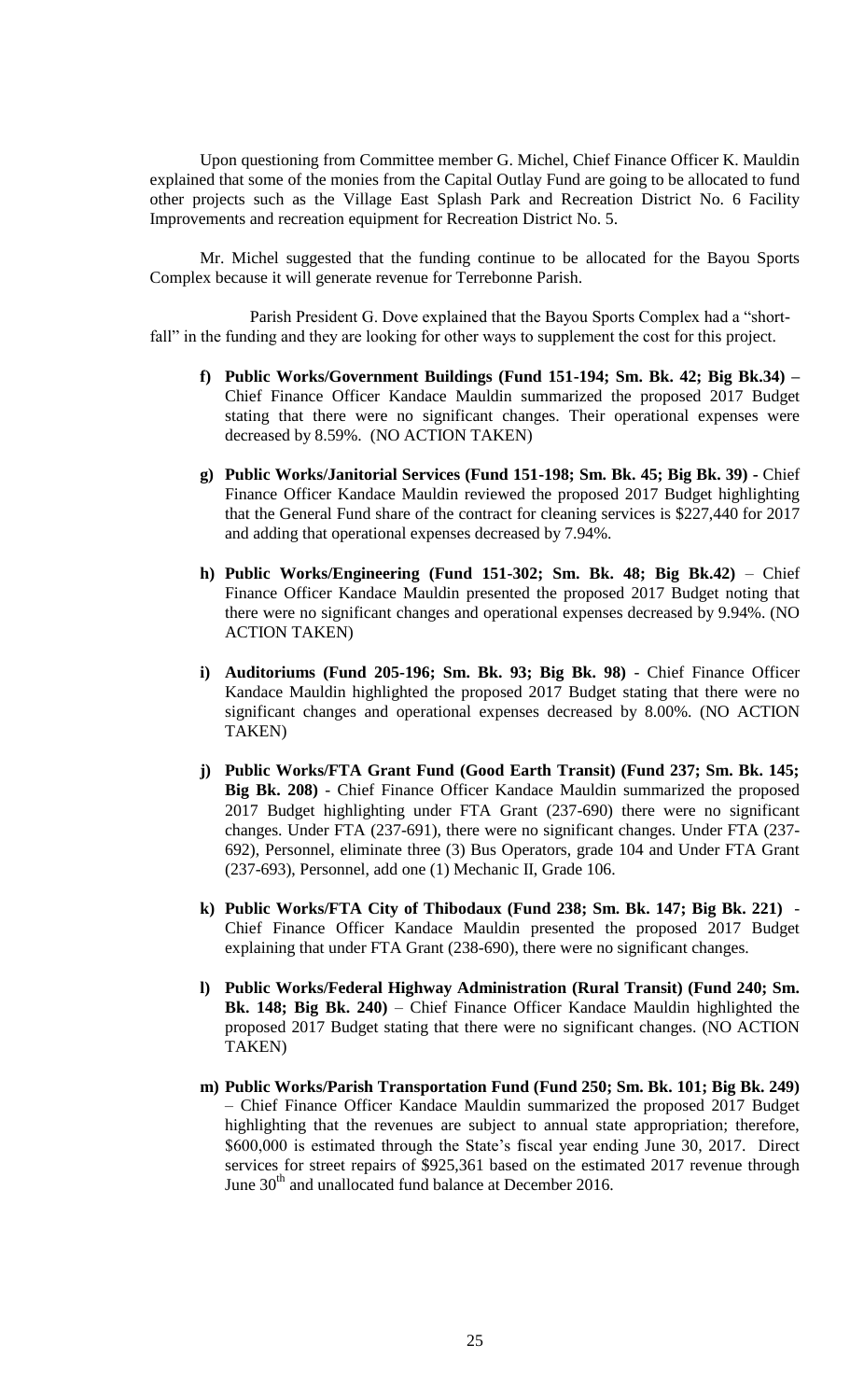Upon questioning from Committee member G. Michel, Chief Finance Officer K. Mauldin explained that some of the monies from the Capital Outlay Fund are going to be allocated to fund other projects such as the Village East Splash Park and Recreation District No. 6 Facility Improvements and recreation equipment for Recreation District No. 5.

Mr. Michel suggested that the funding continue to be allocated for the Bayou Sports Complex because it will generate revenue for Terrebonne Parish.

Parish President G. Dove explained that the Bayou Sports Complex had a "shortfall" in the funding and they are looking for other ways to supplement the cost for this project.

- **f) Public Works/Government Buildings (Fund 151-194; Sm. Bk. 42; Big Bk.34) –** Chief Finance Officer Kandace Mauldin summarized the proposed 2017 Budget stating that there were no significant changes. Their operational expenses were decreased by 8.59%. (NO ACTION TAKEN)
- **g) Public Works/Janitorial Services (Fund 151-198; Sm. Bk. 45; Big Bk. 39) -** Chief Finance Officer Kandace Mauldin reviewed the proposed 2017 Budget highlighting that the General Fund share of the contract for cleaning services is \$227,440 for 2017 and adding that operational expenses decreased by 7.94%.
- **h) Public Works/Engineering (Fund 151-302; Sm. Bk. 48; Big Bk.42)** Chief Finance Officer Kandace Mauldin presented the proposed 2017 Budget noting that there were no significant changes and operational expenses decreased by 9.94%. (NO ACTION TAKEN)
- **i) Auditoriums (Fund 205-196; Sm. Bk. 93; Big Bk. 98)**  Chief Finance Officer Kandace Mauldin highlighted the proposed 2017 Budget stating that there were no significant changes and operational expenses decreased by 8.00%. (NO ACTION TAKEN)
- **j) Public Works/FTA Grant Fund (Good Earth Transit) (Fund 237; Sm. Bk. 145; Big Bk. 208)** - Chief Finance Officer Kandace Mauldin summarized the proposed 2017 Budget highlighting under FTA Grant (237-690) there were no significant changes. Under FTA (237-691), there were no significant changes. Under FTA (237- 692), Personnel, eliminate three (3) Bus Operators, grade 104 and Under FTA Grant (237-693), Personnel, add one (1) Mechanic II, Grade 106.
- **k) Public Works/FTA City of Thibodaux (Fund 238; Sm. Bk. 147; Big Bk. 221)**  Chief Finance Officer Kandace Mauldin presented the proposed 2017 Budget explaining that under FTA Grant (238-690), there were no significant changes.
- **l) Public Works/Federal Highway Administration (Rural Transit) (Fund 240; Sm. Bk. 148; Big Bk. 240)** – Chief Finance Officer Kandace Mauldin highlighted the proposed 2017 Budget stating that there were no significant changes. (NO ACTION TAKEN)
- **m) Public Works/Parish Transportation Fund (Fund 250; Sm. Bk. 101; Big Bk. 249)** – Chief Finance Officer Kandace Mauldin summarized the proposed 2017 Budget highlighting that the revenues are subject to annual state appropriation; therefore, \$600,000 is estimated through the State's fiscal year ending June 30, 2017. Direct services for street repairs of \$925,361 based on the estimated 2017 revenue through June 30<sup>th</sup> and unallocated fund balance at December 2016.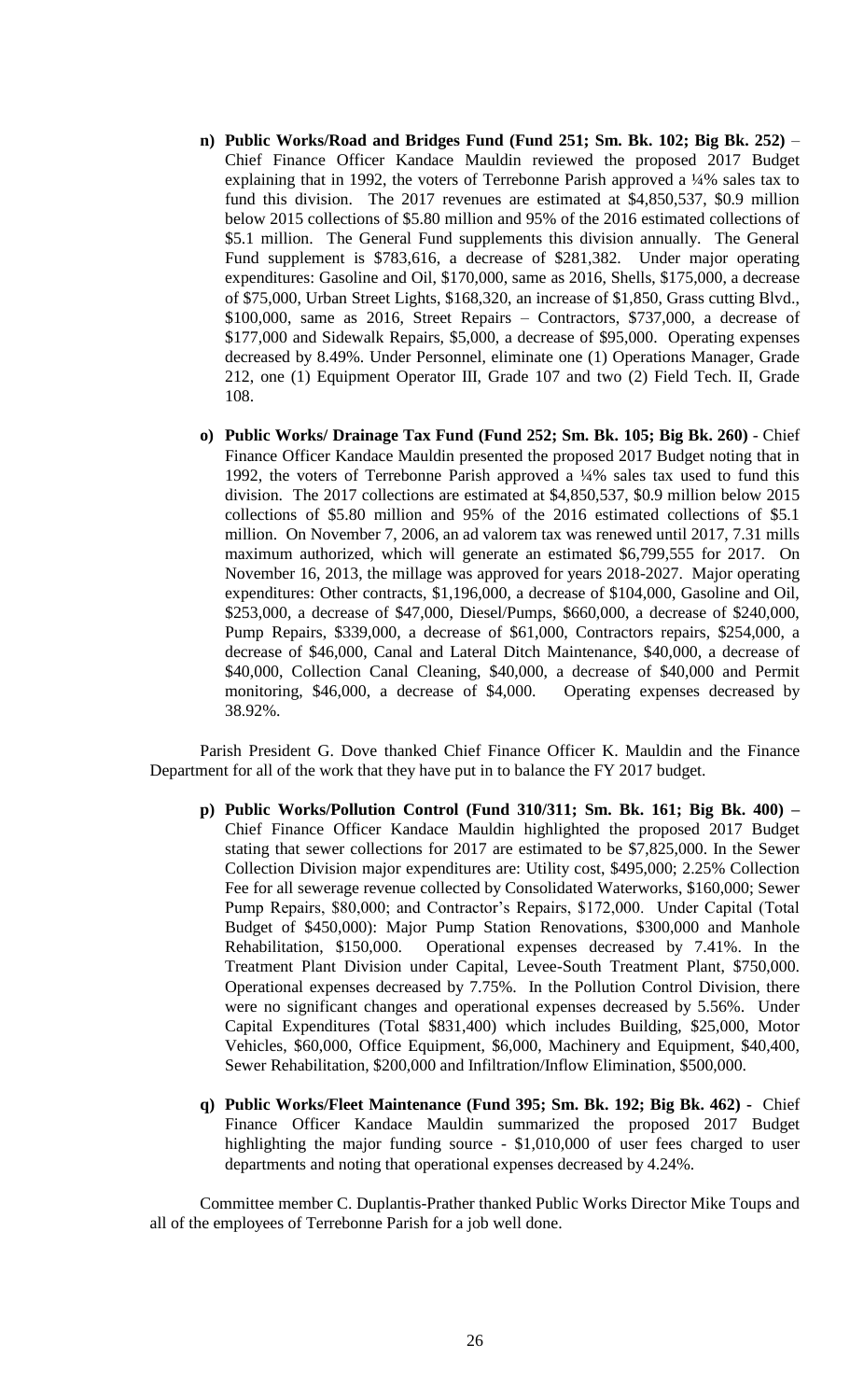- **n) Public Works/Road and Bridges Fund (Fund 251; Sm. Bk. 102; Big Bk. 252)** Chief Finance Officer Kandace Mauldin reviewed the proposed 2017 Budget explaining that in 1992, the voters of Terrebonne Parish approved a ¼% sales tax to fund this division. The 2017 revenues are estimated at \$4,850,537, \$0.9 million below 2015 collections of \$5.80 million and 95% of the 2016 estimated collections of \$5.1 million. The General Fund supplements this division annually. The General Fund supplement is \$783,616, a decrease of \$281,382. Under major operating expenditures: Gasoline and Oil, \$170,000, same as 2016, Shells, \$175,000, a decrease of \$75,000, Urban Street Lights, \$168,320, an increase of \$1,850, Grass cutting Blvd., \$100,000, same as 2016, Street Repairs – Contractors, \$737,000, a decrease of \$177,000 and Sidewalk Repairs, \$5,000, a decrease of \$95,000. Operating expenses decreased by 8.49%. Under Personnel, eliminate one (1) Operations Manager, Grade 212, one (1) Equipment Operator III, Grade 107 and two (2) Field Tech. II, Grade 108.
- **o) Public Works/ Drainage Tax Fund (Fund 252; Sm. Bk. 105; Big Bk. 260)**  Chief Finance Officer Kandace Mauldin presented the proposed 2017 Budget noting that in 1992, the voters of Terrebonne Parish approved a ¼% sales tax used to fund this division. The 2017 collections are estimated at \$4,850,537, \$0.9 million below 2015 collections of \$5.80 million and 95% of the 2016 estimated collections of \$5.1 million. On November 7, 2006, an ad valorem tax was renewed until 2017, 7.31 mills maximum authorized, which will generate an estimated \$6,799,555 for 2017. On November 16, 2013, the millage was approved for years 2018-2027. Major operating expenditures: Other contracts, \$1,196,000, a decrease of \$104,000, Gasoline and Oil, \$253,000, a decrease of \$47,000, Diesel/Pumps, \$660,000, a decrease of \$240,000, Pump Repairs, \$339,000, a decrease of \$61,000, Contractors repairs, \$254,000, a decrease of \$46,000, Canal and Lateral Ditch Maintenance, \$40,000, a decrease of \$40,000, Collection Canal Cleaning, \$40,000, a decrease of \$40,000 and Permit monitoring, \$46,000, a decrease of \$4,000. Operating expenses decreased by 38.92%.

Parish President G. Dove thanked Chief Finance Officer K. Mauldin and the Finance Department for all of the work that they have put in to balance the FY 2017 budget.

- **p) Public Works/Pollution Control (Fund 310/311; Sm. Bk. 161; Big Bk. 400) –** Chief Finance Officer Kandace Mauldin highlighted the proposed 2017 Budget stating that sewer collections for 2017 are estimated to be \$7,825,000. In the Sewer Collection Division major expenditures are: Utility cost, \$495,000; 2.25% Collection Fee for all sewerage revenue collected by Consolidated Waterworks, \$160,000; Sewer Pump Repairs, \$80,000; and Contractor's Repairs, \$172,000. Under Capital (Total Budget of \$450,000): Major Pump Station Renovations, \$300,000 and Manhole Rehabilitation, \$150,000. Operational expenses decreased by 7.41%. In the Treatment Plant Division under Capital, Levee-South Treatment Plant, \$750,000. Operational expenses decreased by 7.75%. In the Pollution Control Division, there were no significant changes and operational expenses decreased by 5.56%. Under Capital Expenditures (Total \$831,400) which includes Building, \$25,000, Motor Vehicles, \$60,000, Office Equipment, \$6,000, Machinery and Equipment, \$40,400, Sewer Rehabilitation, \$200,000 and Infiltration/Inflow Elimination, \$500,000.
- **q) Public Works/Fleet Maintenance (Fund 395; Sm. Bk. 192; Big Bk. 462) -** Chief Finance Officer Kandace Mauldin summarized the proposed 2017 Budget highlighting the major funding source - \$1,010,000 of user fees charged to user departments and noting that operational expenses decreased by 4.24%.

Committee member C. Duplantis-Prather thanked Public Works Director Mike Toups and all of the employees of Terrebonne Parish for a job well done.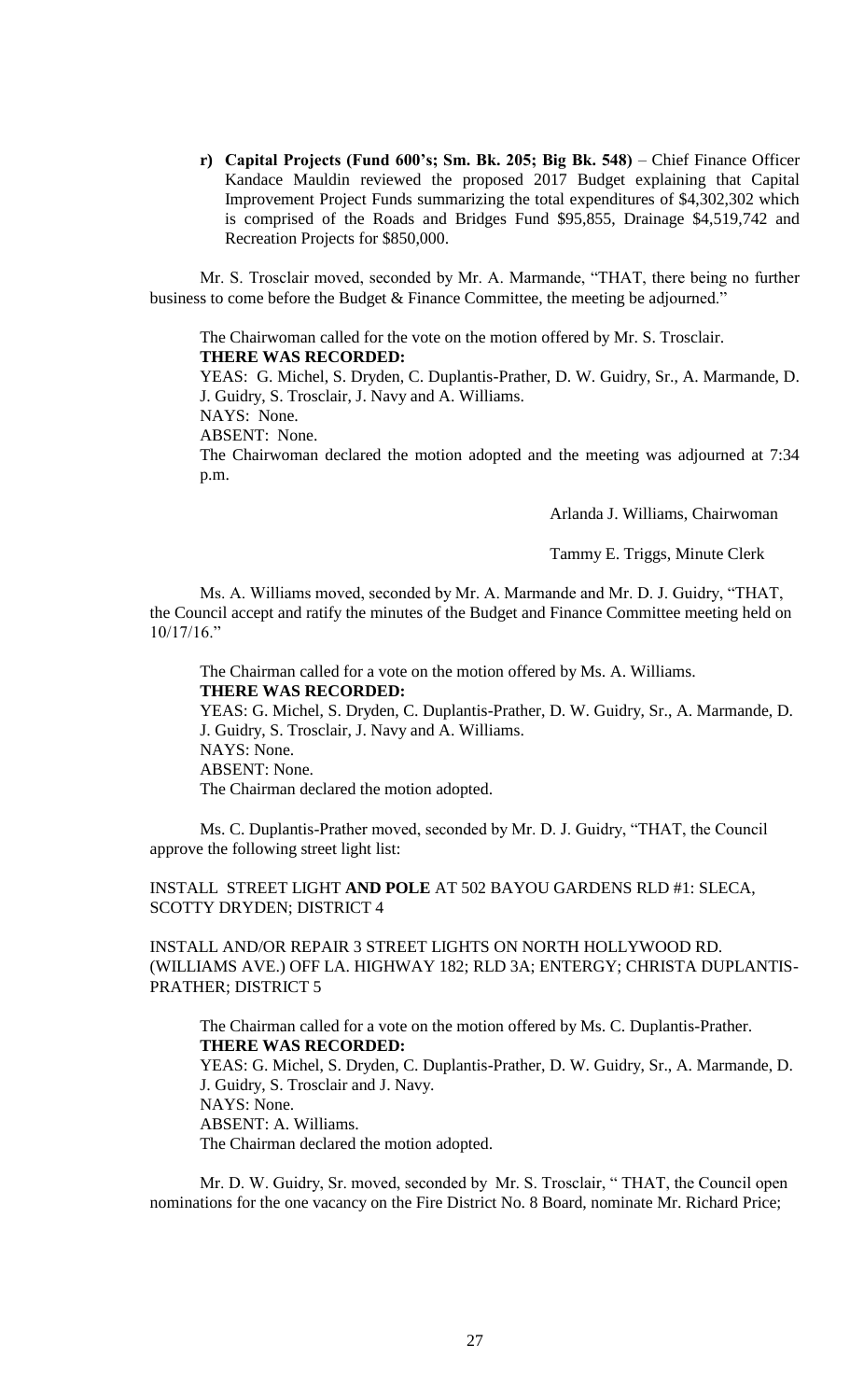**r) Capital Projects (Fund 600's; Sm. Bk. 205; Big Bk. 548)** – Chief Finance Officer Kandace Mauldin reviewed the proposed 2017 Budget explaining that Capital Improvement Project Funds summarizing the total expenditures of \$4,302,302 which is comprised of the Roads and Bridges Fund \$95,855, Drainage \$4,519,742 and Recreation Projects for \$850,000.

Mr. S. Trosclair moved, seconded by Mr. A. Marmande, "THAT, there being no further business to come before the Budget & Finance Committee, the meeting be adjourned."

The Chairwoman called for the vote on the motion offered by Mr. S. Trosclair. **THERE WAS RECORDED:**

YEAS: G. Michel, S. Dryden, C. Duplantis-Prather, D. W. Guidry, Sr., A. Marmande, D. J. Guidry, S. Trosclair, J. Navy and A. Williams.

NAYS: None.

ABSENT: None.

The Chairwoman declared the motion adopted and the meeting was adjourned at 7:34 p.m.

Arlanda J. Williams, Chairwoman

Tammy E. Triggs, Minute Clerk

Ms. A. Williams moved, seconded by Mr. A. Marmande and Mr. D. J. Guidry, "THAT, the Council accept and ratify the minutes of the Budget and Finance Committee meeting held on 10/17/16."

The Chairman called for a vote on the motion offered by Ms. A. Williams. **THERE WAS RECORDED:**

YEAS: G. Michel, S. Dryden, C. Duplantis-Prather, D. W. Guidry, Sr., A. Marmande, D. J. Guidry, S. Trosclair, J. Navy and A. Williams. NAYS: None. ABSENT: None. The Chairman declared the motion adopted.

Ms. C. Duplantis-Prather moved, seconded by Mr. D. J. Guidry, "THAT, the Council approve the following street light list:

INSTALL STREET LIGHT **AND POLE** AT 502 BAYOU GARDENS RLD #1: SLECA, SCOTTY DRYDEN; DISTRICT 4

INSTALL AND/OR REPAIR 3 STREET LIGHTS ON NORTH HOLLYWOOD RD. (WILLIAMS AVE.) OFF LA. HIGHWAY 182; RLD 3A; ENTERGY; CHRISTA DUPLANTIS-PRATHER; DISTRICT 5

The Chairman called for a vote on the motion offered by Ms. C. Duplantis-Prather. **THERE WAS RECORDED:** YEAS: G. Michel, S. Dryden, C. Duplantis-Prather, D. W. Guidry, Sr., A. Marmande, D. J. Guidry, S. Trosclair and J. Navy. NAYS: None. ABSENT: A. Williams. The Chairman declared the motion adopted.

Mr. D. W. Guidry, Sr. moved, seconded by Mr. S. Trosclair, " THAT, the Council open nominations for the one vacancy on the Fire District No. 8 Board, nominate Mr. Richard Price;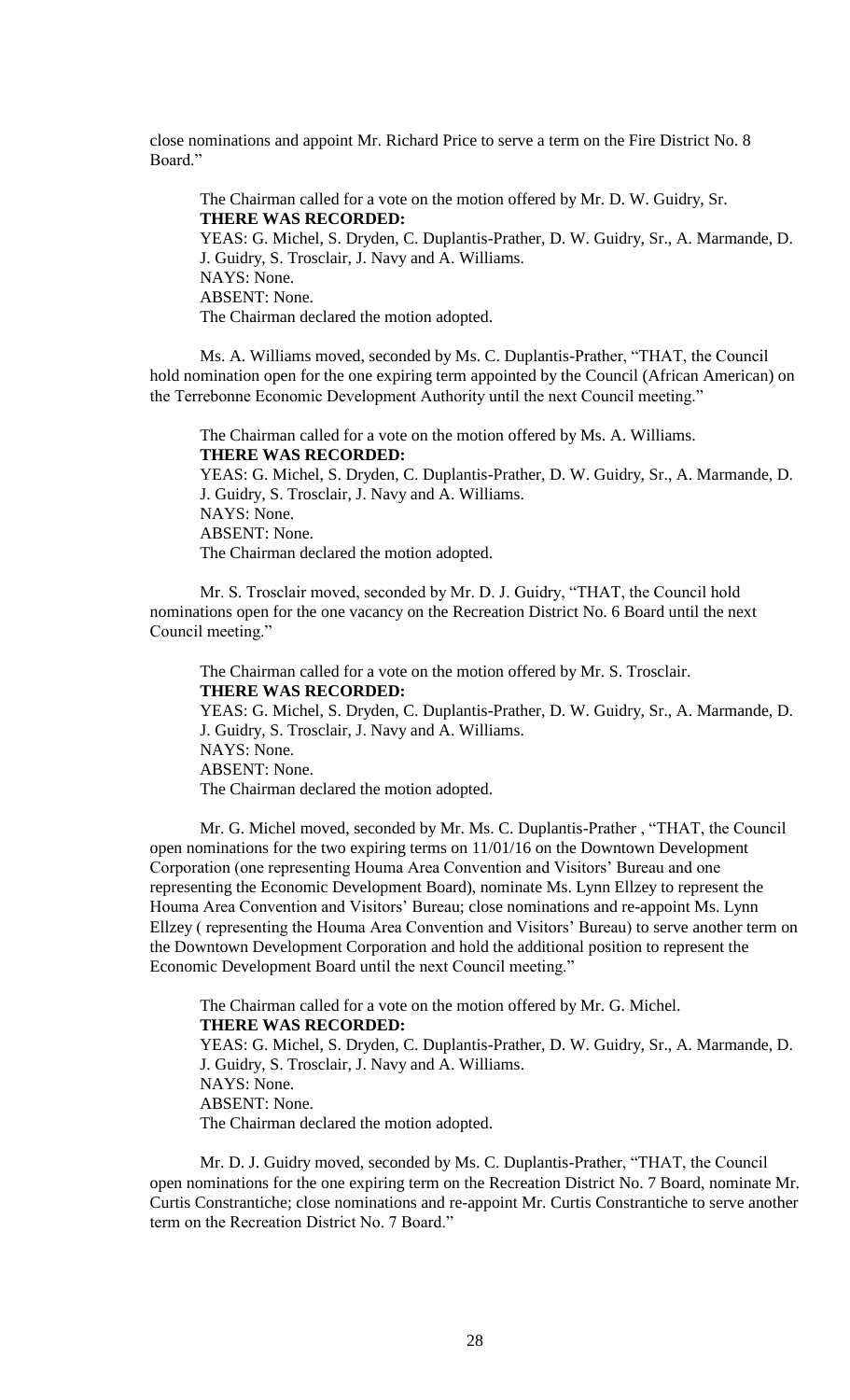close nominations and appoint Mr. Richard Price to serve a term on the Fire District No. 8 Board."

The Chairman called for a vote on the motion offered by Mr. D. W. Guidry, Sr. **THERE WAS RECORDED:** YEAS: G. Michel, S. Dryden, C. Duplantis-Prather, D. W. Guidry, Sr., A. Marmande, D. J. Guidry, S. Trosclair, J. Navy and A. Williams. NAYS: None. ABSENT: None. The Chairman declared the motion adopted.

Ms. A. Williams moved, seconded by Ms. C. Duplantis-Prather, "THAT, the Council hold nomination open for the one expiring term appointed by the Council (African American) on the Terrebonne Economic Development Authority until the next Council meeting."

The Chairman called for a vote on the motion offered by Ms. A. Williams. **THERE WAS RECORDED:** YEAS: G. Michel, S. Dryden, C. Duplantis-Prather, D. W. Guidry, Sr., A. Marmande, D. J. Guidry, S. Trosclair, J. Navy and A. Williams. NAYS: None. ABSENT: None. The Chairman declared the motion adopted.

Mr. S. Trosclair moved, seconded by Mr. D. J. Guidry, "THAT, the Council hold nominations open for the one vacancy on the Recreation District No. 6 Board until the next Council meeting."

 The Chairman called for a vote on the motion offered by Mr. S. Trosclair. **THERE WAS RECORDED:** YEAS: G. Michel, S. Dryden, C. Duplantis-Prather, D. W. Guidry, Sr., A. Marmande, D. J. Guidry, S. Trosclair, J. Navy and A. Williams. NAYS: None. ABSENT: None. The Chairman declared the motion adopted.

Mr. G. Michel moved, seconded by Mr. Ms. C. Duplantis-Prather , "THAT, the Council open nominations for the two expiring terms on 11/01/16 on the Downtown Development Corporation (one representing Houma Area Convention and Visitors' Bureau and one representing the Economic Development Board), nominate Ms. Lynn Ellzey to represent the Houma Area Convention and Visitors' Bureau; close nominations and re-appoint Ms. Lynn Ellzey ( representing the Houma Area Convention and Visitors' Bureau) to serve another term on the Downtown Development Corporation and hold the additional position to represent the Economic Development Board until the next Council meeting."

The Chairman called for a vote on the motion offered by Mr. G. Michel. **THERE WAS RECORDED:** YEAS: G. Michel, S. Dryden, C. Duplantis-Prather, D. W. Guidry, Sr., A. Marmande, D. J. Guidry, S. Trosclair, J. Navy and A. Williams. NAYS: None. ABSENT: None. The Chairman declared the motion adopted.

Mr. D. J. Guidry moved, seconded by Ms. C. Duplantis-Prather, "THAT, the Council open nominations for the one expiring term on the Recreation District No. 7 Board, nominate Mr. Curtis Constrantiche; close nominations and re-appoint Mr. Curtis Constrantiche to serve another term on the Recreation District No. 7 Board."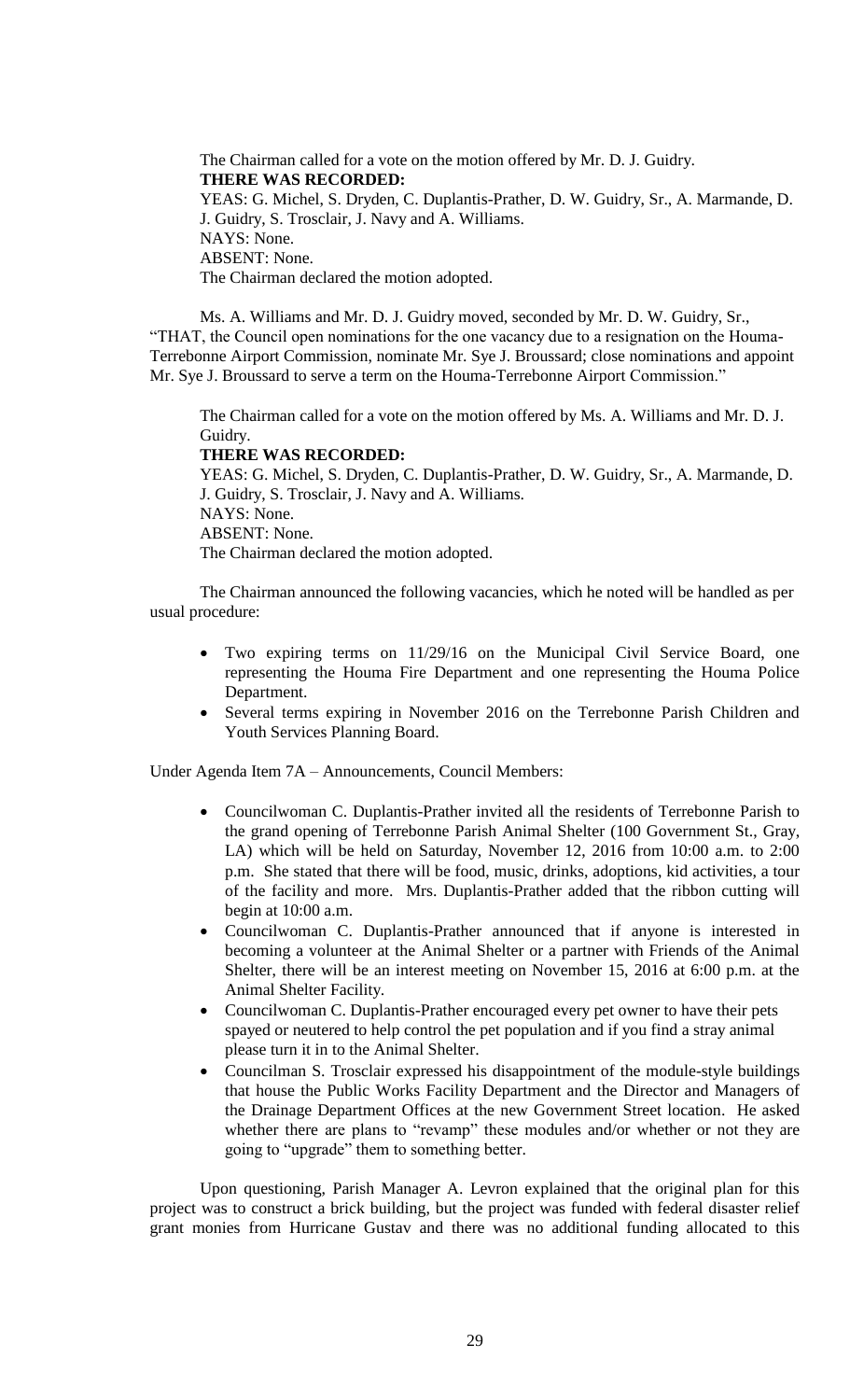The Chairman called for a vote on the motion offered by Mr. D. J. Guidry. **THERE WAS RECORDED:** YEAS: G. Michel, S. Dryden, C. Duplantis-Prather, D. W. Guidry, Sr., A. Marmande, D. J. Guidry, S. Trosclair, J. Navy and A. Williams. NAYS: None. ABSENT: None. The Chairman declared the motion adopted.

Ms. A. Williams and Mr. D. J. Guidry moved, seconded by Mr. D. W. Guidry, Sr., "THAT, the Council open nominations for the one vacancy due to a resignation on the Houma-Terrebonne Airport Commission, nominate Mr. Sye J. Broussard; close nominations and appoint Mr. Sye J. Broussard to serve a term on the Houma-Terrebonne Airport Commission."

The Chairman called for a vote on the motion offered by Ms. A. Williams and Mr. D. J. Guidry.

# **THERE WAS RECORDED:**

YEAS: G. Michel, S. Dryden, C. Duplantis-Prather, D. W. Guidry, Sr., A. Marmande, D. J. Guidry, S. Trosclair, J. Navy and A. Williams. NAYS: None. ABSENT: None. The Chairman declared the motion adopted.

The Chairman announced the following vacancies, which he noted will be handled as per usual procedure:

- Two expiring terms on 11/29/16 on the Municipal Civil Service Board, one representing the Houma Fire Department and one representing the Houma Police Department.
- Several terms expiring in November 2016 on the Terrebonne Parish Children and Youth Services Planning Board.

Under Agenda Item 7A – Announcements, Council Members:

- Councilwoman C. Duplantis-Prather invited all the residents of Terrebonne Parish to the grand opening of Terrebonne Parish Animal Shelter (100 Government St., Gray, LA) which will be held on Saturday, November 12, 2016 from 10:00 a.m. to 2:00 p.m. She stated that there will be food, music, drinks, adoptions, kid activities, a tour of the facility and more. Mrs. Duplantis-Prather added that the ribbon cutting will begin at 10:00 a.m.
- Councilwoman C. Duplantis-Prather announced that if anyone is interested in becoming a volunteer at the Animal Shelter or a partner with Friends of the Animal Shelter, there will be an interest meeting on November 15, 2016 at 6:00 p.m. at the Animal Shelter Facility.
- Councilwoman C. Duplantis-Prather encouraged every pet owner to have their pets spayed or neutered to help control the pet population and if you find a stray animal please turn it in to the Animal Shelter.
- Councilman S. Trosclair expressed his disappointment of the module-style buildings that house the Public Works Facility Department and the Director and Managers of the Drainage Department Offices at the new Government Street location. He asked whether there are plans to "revamp" these modules and/or whether or not they are going to "upgrade" them to something better.

Upon questioning, Parish Manager A. Levron explained that the original plan for this project was to construct a brick building, but the project was funded with federal disaster relief grant monies from Hurricane Gustav and there was no additional funding allocated to this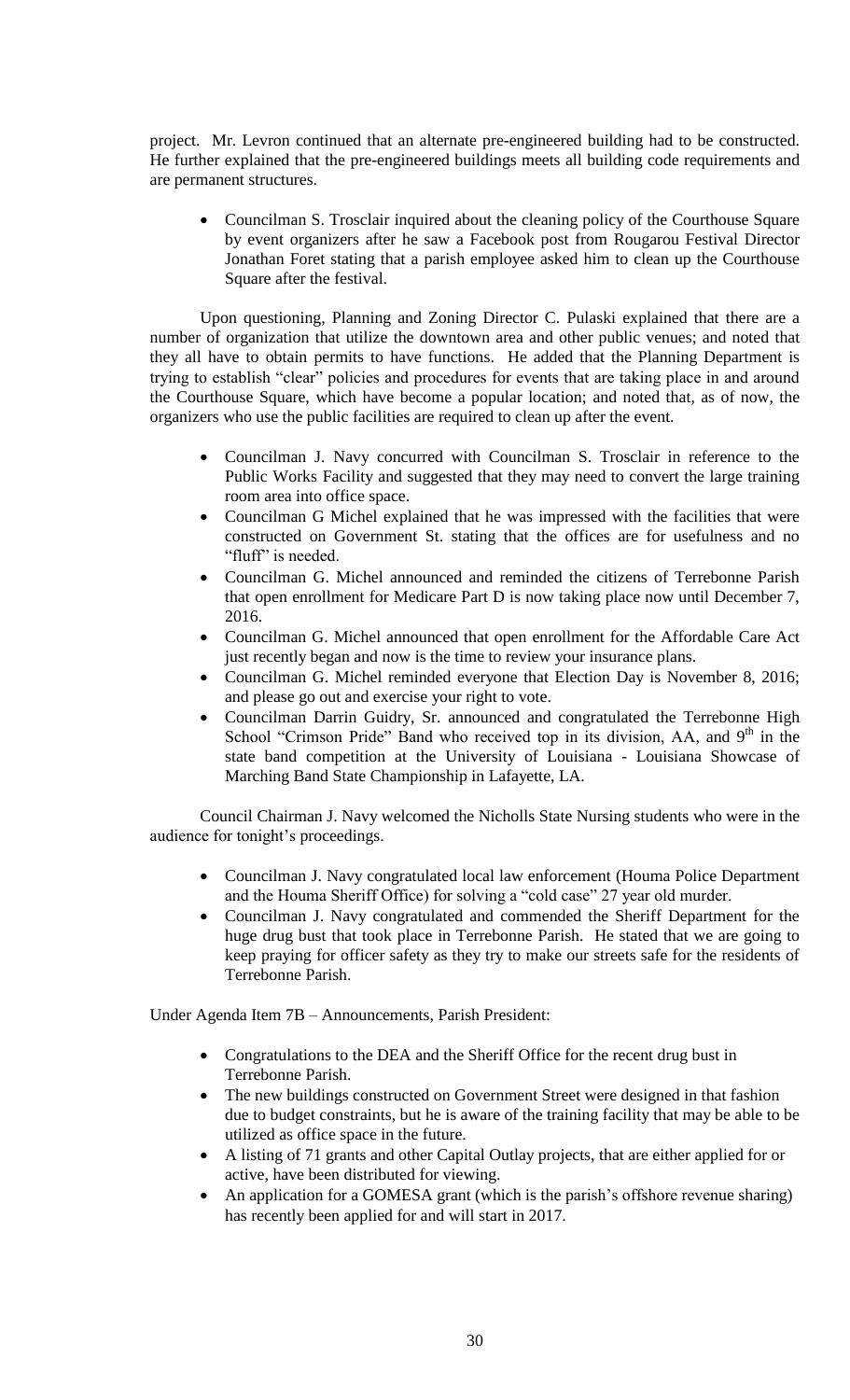project. Mr. Levron continued that an alternate pre-engineered building had to be constructed. He further explained that the pre-engineered buildings meets all building code requirements and are permanent structures.

 Councilman S. Trosclair inquired about the cleaning policy of the Courthouse Square by event organizers after he saw a Facebook post from Rougarou Festival Director Jonathan Foret stating that a parish employee asked him to clean up the Courthouse Square after the festival.

Upon questioning, Planning and Zoning Director C. Pulaski explained that there are a number of organization that utilize the downtown area and other public venues; and noted that they all have to obtain permits to have functions. He added that the Planning Department is trying to establish "clear" policies and procedures for events that are taking place in and around the Courthouse Square, which have become a popular location; and noted that, as of now, the organizers who use the public facilities are required to clean up after the event.

- Councilman J. Navy concurred with Councilman S. Trosclair in reference to the Public Works Facility and suggested that they may need to convert the large training room area into office space.
- Councilman G Michel explained that he was impressed with the facilities that were constructed on Government St. stating that the offices are for usefulness and no "fluff" is needed.
- Councilman G. Michel announced and reminded the citizens of Terrebonne Parish that open enrollment for Medicare Part D is now taking place now until December 7, 2016.
- Councilman G. Michel announced that open enrollment for the Affordable Care Act just recently began and now is the time to review your insurance plans.
- Councilman G. Michel reminded everyone that Election Day is November 8, 2016; and please go out and exercise your right to vote.
- Councilman Darrin Guidry, Sr. announced and congratulated the Terrebonne High School "Crimson Pride" Band who received top in its division,  $AA$ , and  $9<sup>th</sup>$  in the state band competition at the University of Louisiana - Louisiana Showcase of Marching Band State Championship in Lafayette, LA.

Council Chairman J. Navy welcomed the Nicholls State Nursing students who were in the audience for tonight's proceedings.

- Councilman J. Navy congratulated local law enforcement (Houma Police Department and the Houma Sheriff Office) for solving a "cold case" 27 year old murder.
- Councilman J. Navy congratulated and commended the Sheriff Department for the huge drug bust that took place in Terrebonne Parish. He stated that we are going to keep praying for officer safety as they try to make our streets safe for the residents of Terrebonne Parish.

Under Agenda Item 7B – Announcements, Parish President:

- Congratulations to the DEA and the Sheriff Office for the recent drug bust in Terrebonne Parish.
- The new buildings constructed on Government Street were designed in that fashion due to budget constraints, but he is aware of the training facility that may be able to be utilized as office space in the future.
- A listing of 71 grants and other Capital Outlay projects, that are either applied for or active, have been distributed for viewing.
- An application for a GOMESA grant (which is the parish's offshore revenue sharing) has recently been applied for and will start in 2017.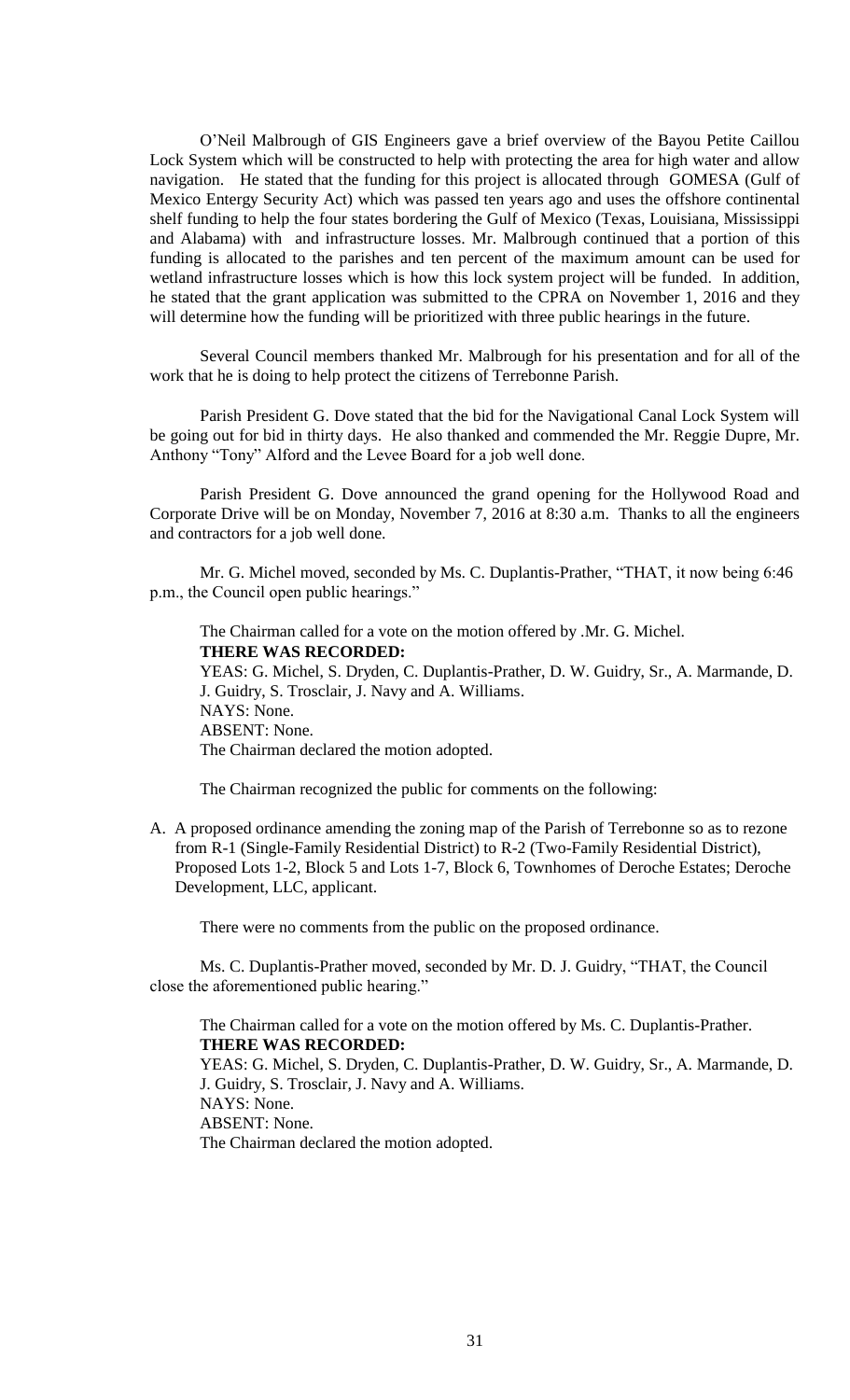O'Neil Malbrough of GIS Engineers gave a brief overview of the Bayou Petite Caillou Lock System which will be constructed to help with protecting the area for high water and allow navigation. He stated that the funding for this project is allocated through GOMESA (Gulf of Mexico Entergy Security Act) which was passed ten years ago and uses the offshore continental shelf funding to help the four states bordering the Gulf of Mexico (Texas, Louisiana, Mississippi and Alabama) with and infrastructure losses. Mr. Malbrough continued that a portion of this funding is allocated to the parishes and ten percent of the maximum amount can be used for wetland infrastructure losses which is how this lock system project will be funded. In addition, he stated that the grant application was submitted to the CPRA on November 1, 2016 and they will determine how the funding will be prioritized with three public hearings in the future.

Several Council members thanked Mr. Malbrough for his presentation and for all of the work that he is doing to help protect the citizens of Terrebonne Parish.

Parish President G. Dove stated that the bid for the Navigational Canal Lock System will be going out for bid in thirty days. He also thanked and commended the Mr. Reggie Dupre, Mr. Anthony "Tony" Alford and the Levee Board for a job well done.

Parish President G. Dove announced the grand opening for the Hollywood Road and Corporate Drive will be on Monday, November 7, 2016 at 8:30 a.m. Thanks to all the engineers and contractors for a job well done.

Mr. G. Michel moved, seconded by Ms. C. Duplantis-Prather, "THAT, it now being 6:46 p.m., the Council open public hearings."

The Chairman called for a vote on the motion offered by .Mr. G. Michel. **THERE WAS RECORDED:** YEAS: G. Michel, S. Dryden, C. Duplantis-Prather, D. W. Guidry, Sr., A. Marmande, D. J. Guidry, S. Trosclair, J. Navy and A. Williams. NAYS: None. ABSENT: None. The Chairman declared the motion adopted.

The Chairman recognized the public for comments on the following:

A. A proposed ordinance amending the zoning map of the Parish of Terrebonne so as to rezone from R-1 (Single-Family Residential District) to R-2 (Two-Family Residential District), Proposed Lots 1-2, Block 5 and Lots 1-7, Block 6, Townhomes of Deroche Estates; Deroche Development, LLC, applicant.

There were no comments from the public on the proposed ordinance.

Ms. C. Duplantis-Prather moved, seconded by Mr. D. J. Guidry, "THAT, the Council close the aforementioned public hearing."

The Chairman called for a vote on the motion offered by Ms. C. Duplantis-Prather. **THERE WAS RECORDED:** YEAS: G. Michel, S. Dryden, C. Duplantis-Prather, D. W. Guidry, Sr., A. Marmande, D. J. Guidry, S. Trosclair, J. Navy and A. Williams. NAYS: None. ABSENT: None. The Chairman declared the motion adopted.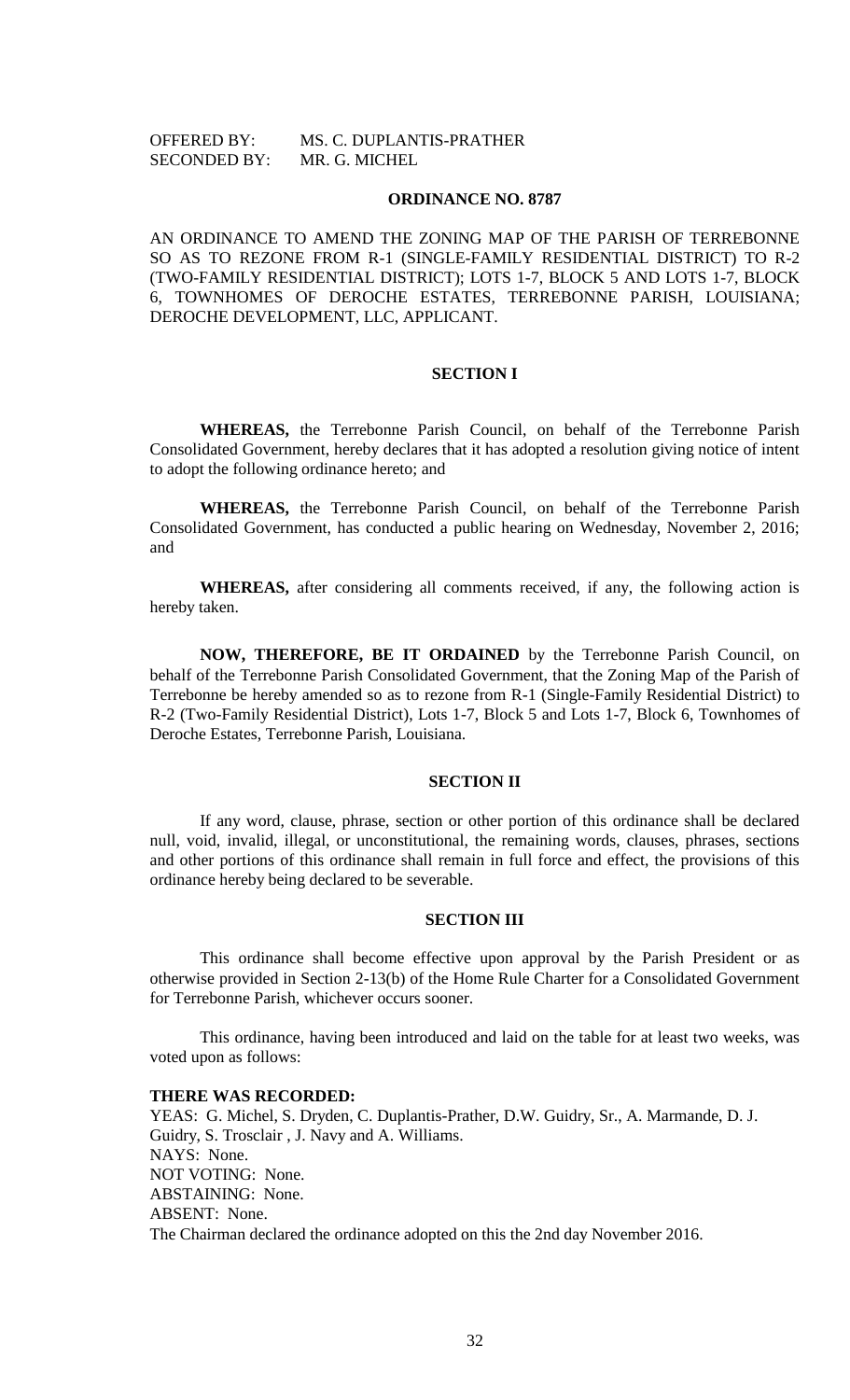# OFFERED BY: MS. C. DUPLANTIS-PRATHER SECONDED BY: MR. G. MICHEL

#### **ORDINANCE NO. 8787**

AN ORDINANCE TO AMEND THE ZONING MAP OF THE PARISH OF TERREBONNE SO AS TO REZONE FROM R-1 (SINGLE-FAMILY RESIDENTIAL DISTRICT) TO R-2 (TWO-FAMILY RESIDENTIAL DISTRICT); LOTS 1-7, BLOCK 5 AND LOTS 1-7, BLOCK 6, TOWNHOMES OF DEROCHE ESTATES, TERREBONNE PARISH, LOUISIANA; DEROCHE DEVELOPMENT, LLC, APPLICANT.

#### **SECTION I**

**WHEREAS,** the Terrebonne Parish Council, on behalf of the Terrebonne Parish Consolidated Government, hereby declares that it has adopted a resolution giving notice of intent to adopt the following ordinance hereto; and

**WHEREAS,** the Terrebonne Parish Council, on behalf of the Terrebonne Parish Consolidated Government, has conducted a public hearing on Wednesday, November 2, 2016; and

**WHEREAS,** after considering all comments received, if any, the following action is hereby taken.

**NOW, THEREFORE, BE IT ORDAINED** by the Terrebonne Parish Council, on behalf of the Terrebonne Parish Consolidated Government, that the Zoning Map of the Parish of Terrebonne be hereby amended so as to rezone from R-1 (Single-Family Residential District) to R-2 (Two-Family Residential District), Lots 1-7, Block 5 and Lots 1-7, Block 6, Townhomes of Deroche Estates, Terrebonne Parish, Louisiana.

# **SECTION II**

If any word, clause, phrase, section or other portion of this ordinance shall be declared null, void, invalid, illegal, or unconstitutional, the remaining words, clauses, phrases, sections and other portions of this ordinance shall remain in full force and effect, the provisions of this ordinance hereby being declared to be severable.

## **SECTION III**

This ordinance shall become effective upon approval by the Parish President or as otherwise provided in Section 2-13(b) of the Home Rule Charter for a Consolidated Government for Terrebonne Parish, whichever occurs sooner.

This ordinance, having been introduced and laid on the table for at least two weeks, was voted upon as follows:

#### **THERE WAS RECORDED:**

YEAS: G. Michel, S. Dryden, C. Duplantis-Prather, D.W. Guidry, Sr., A. Marmande, D. J. Guidry, S. Trosclair , J. Navy and A. Williams. NAYS: None. NOT VOTING: None. ABSTAINING: None. ABSENT: None. The Chairman declared the ordinance adopted on this the 2nd day November 2016.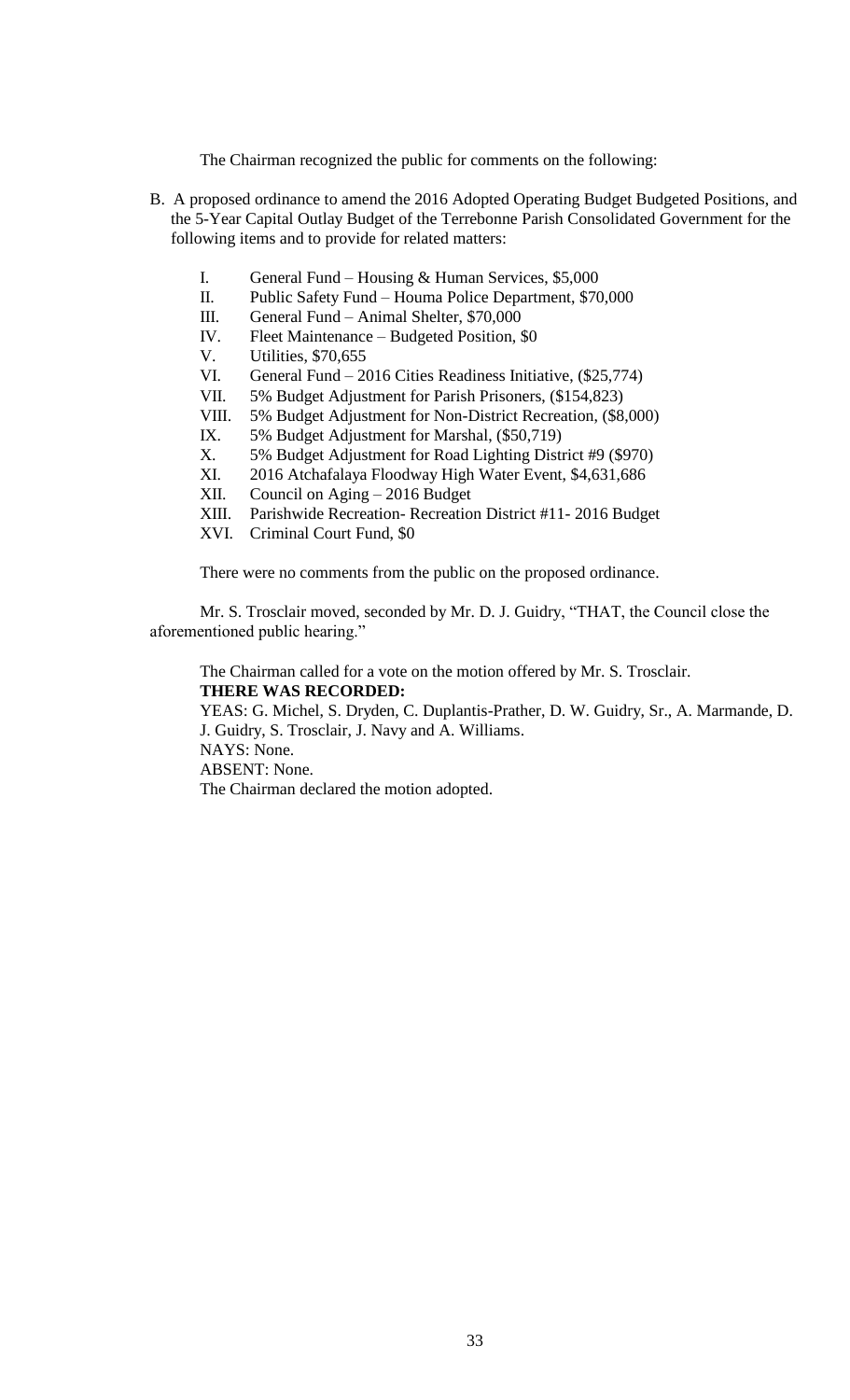The Chairman recognized the public for comments on the following:

- B. A proposed ordinance to amend the 2016 Adopted Operating Budget Budgeted Positions, and the 5-Year Capital Outlay Budget of the Terrebonne Parish Consolidated Government for the following items and to provide for related matters:
	- I. General Fund Housing & Human Services, \$5,000
	- II. Public Safety Fund Houma Police Department, \$70,000
	- III. General Fund Animal Shelter, \$70,000
	- IV. Fleet Maintenance Budgeted Position, \$0
	- V. Utilities, \$70,655
	- VI. General Fund 2016 Cities Readiness Initiative, (\$25,774)
	- VII. 5% Budget Adjustment for Parish Prisoners, (\$154,823)
	- VIII. 5% Budget Adjustment for Non-District Recreation, (\$8,000)
	- IX. 5% Budget Adjustment for Marshal, (\$50,719)
	- X. 5% Budget Adjustment for Road Lighting District #9 (\$970)
	- XI. 2016 Atchafalaya Floodway High Water Event, \$4,631,686
	- XII. Council on Aging 2016 Budget
	- XIII. Parishwide Recreation- Recreation District #11- 2016 Budget
	- XVI. Criminal Court Fund, \$0

There were no comments from the public on the proposed ordinance.

Mr. S. Trosclair moved, seconded by Mr. D. J. Guidry, "THAT, the Council close the aforementioned public hearing."

The Chairman called for a vote on the motion offered by Mr. S. Trosclair.

**THERE WAS RECORDED:**

YEAS: G. Michel, S. Dryden, C. Duplantis-Prather, D. W. Guidry, Sr., A. Marmande, D. J. Guidry, S. Trosclair, J. Navy and A. Williams. NAYS: None. ABSENT: None.

The Chairman declared the motion adopted.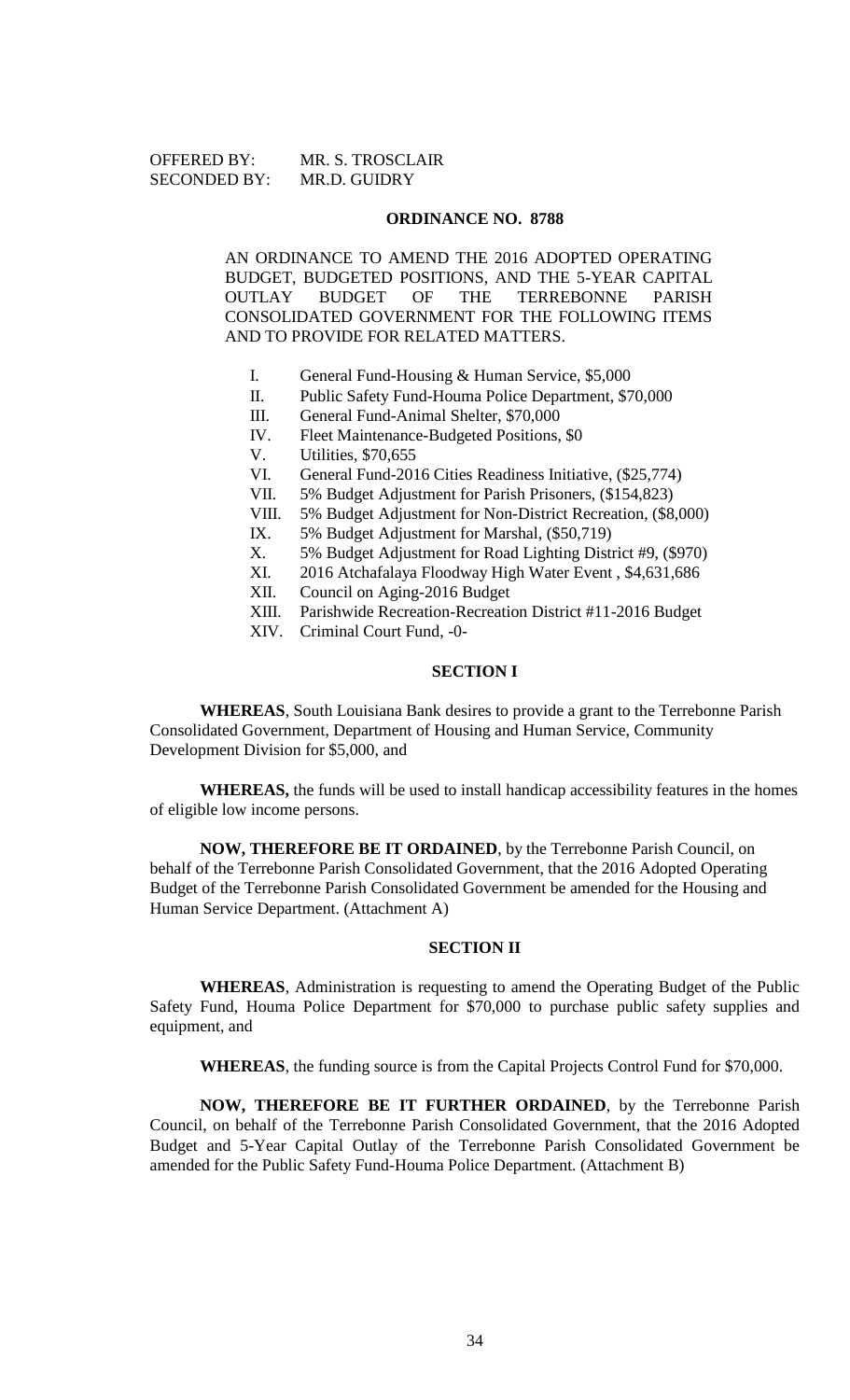# OFFERED BY: MR. S. TROSCLAIR SECONDED BY: MR.D. GUIDRY

## **ORDINANCE NO. 8788**

AN ORDINANCE TO AMEND THE 2016 ADOPTED OPERATING BUDGET, BUDGETED POSITIONS, AND THE 5-YEAR CAPITAL OUTLAY BUDGET OF THE TERREBONNE PARISH CONSOLIDATED GOVERNMENT FOR THE FOLLOWING ITEMS AND TO PROVIDE FOR RELATED MATTERS.

- I. General Fund-Housing & Human Service, \$5,000
- II. Public Safety Fund-Houma Police Department, \$70,000
- III. General Fund-Animal Shelter, \$70,000
- IV. Fleet Maintenance-Budgeted Positions, \$0
- V. Utilities, \$70,655
- VI. General Fund-2016 Cities Readiness Initiative, (\$25,774)
- VII. 5% Budget Adjustment for Parish Prisoners, (\$154,823)
- VIII. 5% Budget Adjustment for Non-District Recreation, (\$8,000)
- IX. 5% Budget Adjustment for Marshal, (\$50,719)<br>X. 5% Budget Adjustment for Road Lighting Disti
- 5% Budget Adjustment for Road Lighting District #9, (\$970)
- XI. 2016 Atchafalaya Floodway High Water Event , \$4,631,686
- XII. Council on Aging-2016 Budget
- XIII. Parishwide Recreation-Recreation District #11-2016 Budget
- XIV. Criminal Court Fund, -0-

# **SECTION I**

**WHEREAS**, South Louisiana Bank desires to provide a grant to the Terrebonne Parish Consolidated Government, Department of Housing and Human Service, Community Development Division for \$5,000, and

**WHEREAS,** the funds will be used to install handicap accessibility features in the homes of eligible low income persons.

**NOW, THEREFORE BE IT ORDAINED**, by the Terrebonne Parish Council, on behalf of the Terrebonne Parish Consolidated Government, that the 2016 Adopted Operating Budget of the Terrebonne Parish Consolidated Government be amended for the Housing and Human Service Department. (Attachment A)

#### **SECTION II**

**WHEREAS**, Administration is requesting to amend the Operating Budget of the Public Safety Fund, Houma Police Department for \$70,000 to purchase public safety supplies and equipment, and

**WHEREAS**, the funding source is from the Capital Projects Control Fund for \$70,000.

**NOW, THEREFORE BE IT FURTHER ORDAINED**, by the Terrebonne Parish Council, on behalf of the Terrebonne Parish Consolidated Government, that the 2016 Adopted Budget and 5-Year Capital Outlay of the Terrebonne Parish Consolidated Government be amended for the Public Safety Fund-Houma Police Department. (Attachment B)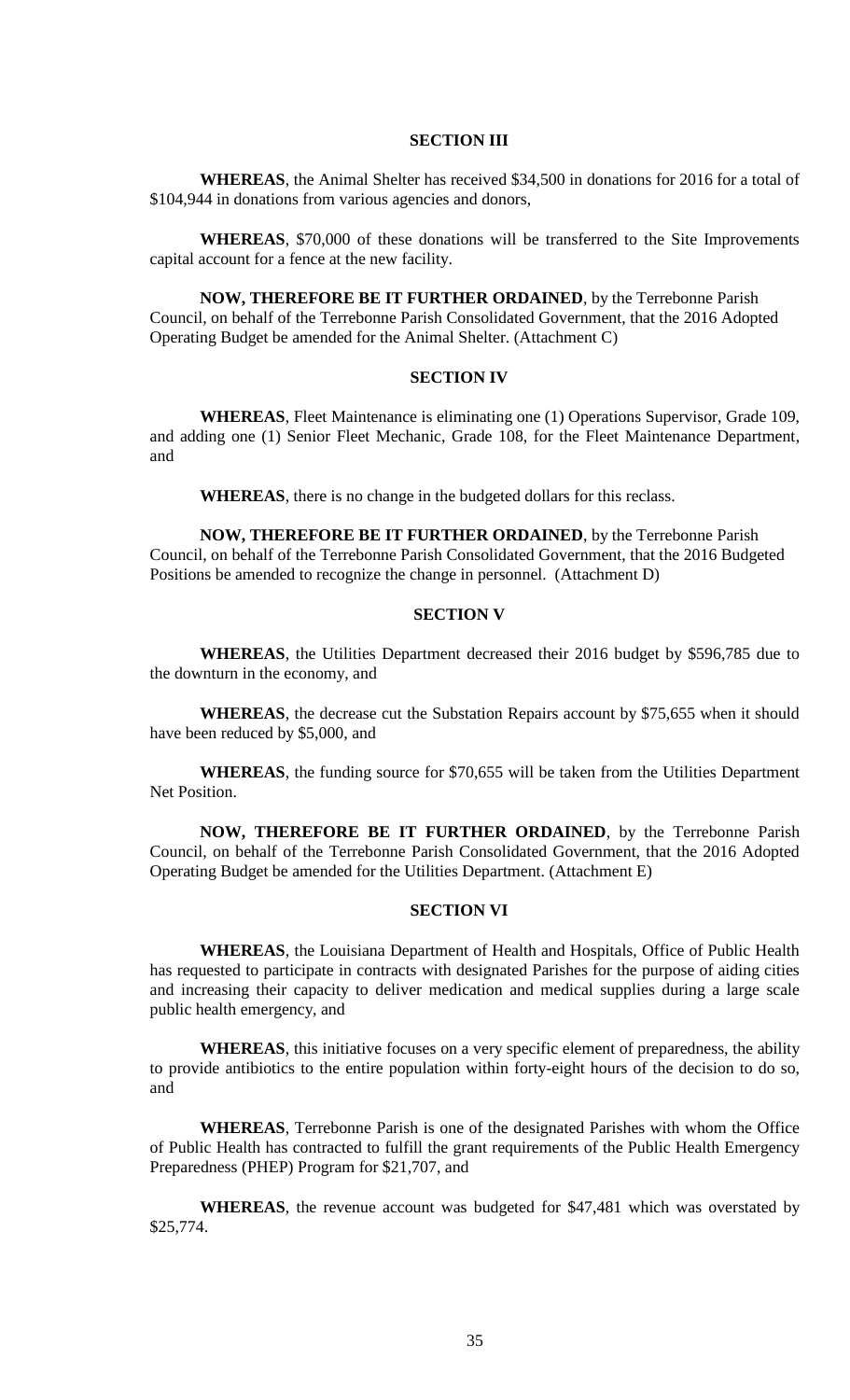#### **SECTION III**

**WHEREAS**, the Animal Shelter has received \$34,500 in donations for 2016 for a total of \$104,944 in donations from various agencies and donors,

**WHEREAS**, \$70,000 of these donations will be transferred to the Site Improvements capital account for a fence at the new facility.

**NOW, THEREFORE BE IT FURTHER ORDAINED**, by the Terrebonne Parish Council, on behalf of the Terrebonne Parish Consolidated Government, that the 2016 Adopted Operating Budget be amended for the Animal Shelter. (Attachment C)

#### **SECTION IV**

**WHEREAS**, Fleet Maintenance is eliminating one (1) Operations Supervisor, Grade 109, and adding one (1) Senior Fleet Mechanic, Grade 108, for the Fleet Maintenance Department, and

**WHEREAS**, there is no change in the budgeted dollars for this reclass.

**NOW, THEREFORE BE IT FURTHER ORDAINED**, by the Terrebonne Parish Council, on behalf of the Terrebonne Parish Consolidated Government, that the 2016 Budgeted Positions be amended to recognize the change in personnel. (Attachment D)

# **SECTION V**

**WHEREAS**, the Utilities Department decreased their 2016 budget by \$596,785 due to the downturn in the economy, and

**WHEREAS**, the decrease cut the Substation Repairs account by \$75,655 when it should have been reduced by \$5,000, and

**WHEREAS**, the funding source for \$70,655 will be taken from the Utilities Department Net Position.

**NOW, THEREFORE BE IT FURTHER ORDAINED**, by the Terrebonne Parish Council, on behalf of the Terrebonne Parish Consolidated Government, that the 2016 Adopted Operating Budget be amended for the Utilities Department. (Attachment E)

### **SECTION VI**

**WHEREAS**, the Louisiana Department of Health and Hospitals, Office of Public Health has requested to participate in contracts with designated Parishes for the purpose of aiding cities and increasing their capacity to deliver medication and medical supplies during a large scale public health emergency, and

**WHEREAS**, this initiative focuses on a very specific element of preparedness, the ability to provide antibiotics to the entire population within forty-eight hours of the decision to do so, and

**WHEREAS**, Terrebonne Parish is one of the designated Parishes with whom the Office of Public Health has contracted to fulfill the grant requirements of the Public Health Emergency Preparedness (PHEP) Program for \$21,707, and

**WHEREAS**, the revenue account was budgeted for \$47,481 which was overstated by \$25,774.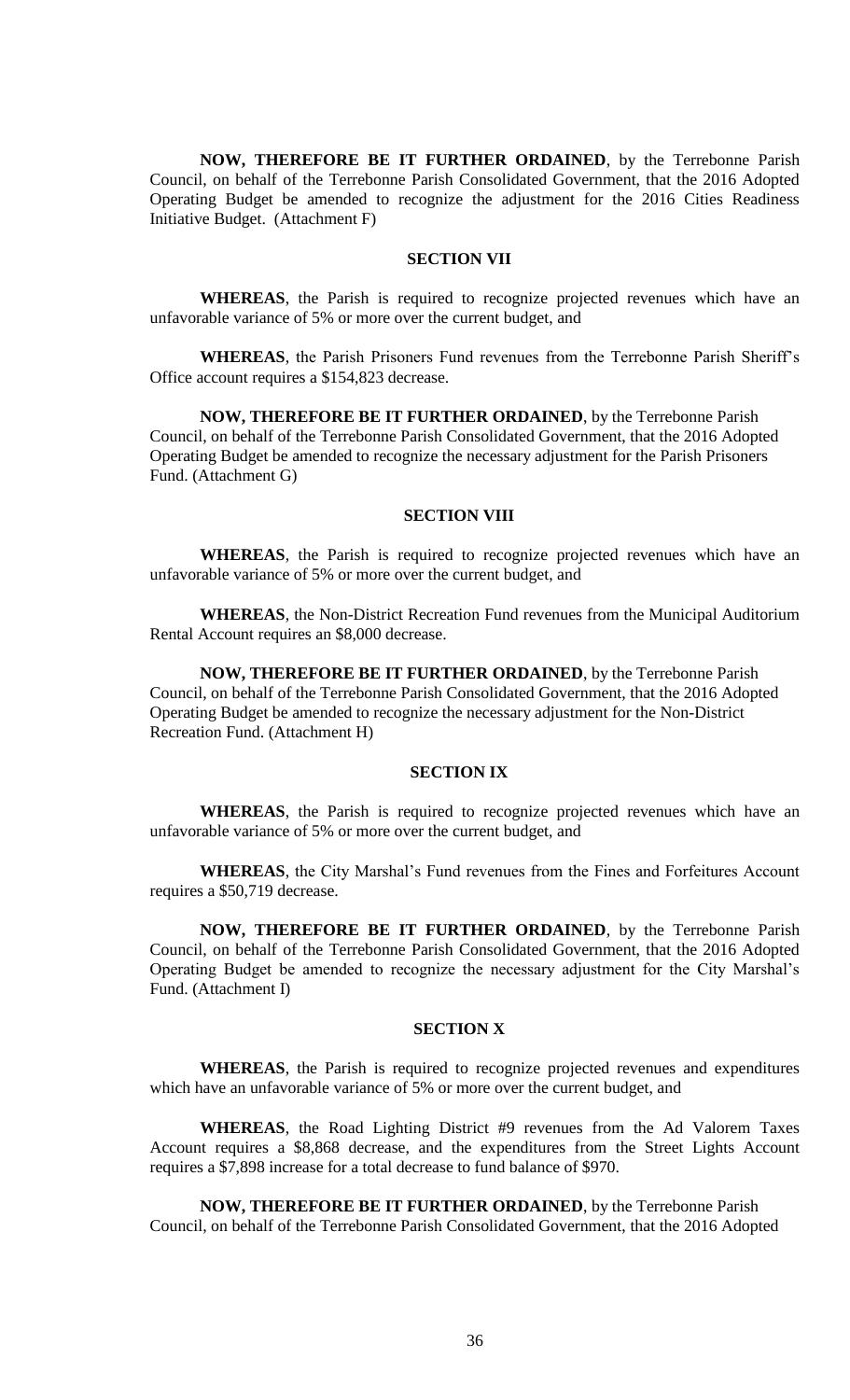**NOW, THEREFORE BE IT FURTHER ORDAINED**, by the Terrebonne Parish Council, on behalf of the Terrebonne Parish Consolidated Government, that the 2016 Adopted Operating Budget be amended to recognize the adjustment for the 2016 Cities Readiness Initiative Budget. (Attachment F)

# **SECTION VII**

**WHEREAS**, the Parish is required to recognize projected revenues which have an unfavorable variance of 5% or more over the current budget, and

**WHEREAS**, the Parish Prisoners Fund revenues from the Terrebonne Parish Sheriff's Office account requires a \$154,823 decrease.

**NOW, THEREFORE BE IT FURTHER ORDAINED**, by the Terrebonne Parish Council, on behalf of the Terrebonne Parish Consolidated Government, that the 2016 Adopted Operating Budget be amended to recognize the necessary adjustment for the Parish Prisoners Fund. (Attachment G)

#### **SECTION VIII**

**WHEREAS**, the Parish is required to recognize projected revenues which have an unfavorable variance of 5% or more over the current budget, and

**WHEREAS**, the Non-District Recreation Fund revenues from the Municipal Auditorium Rental Account requires an \$8,000 decrease.

**NOW, THEREFORE BE IT FURTHER ORDAINED**, by the Terrebonne Parish Council, on behalf of the Terrebonne Parish Consolidated Government, that the 2016 Adopted Operating Budget be amended to recognize the necessary adjustment for the Non-District Recreation Fund. (Attachment H)

# **SECTION IX**

**WHEREAS**, the Parish is required to recognize projected revenues which have an unfavorable variance of 5% or more over the current budget, and

**WHEREAS**, the City Marshal's Fund revenues from the Fines and Forfeitures Account requires a \$50,719 decrease.

**NOW, THEREFORE BE IT FURTHER ORDAINED**, by the Terrebonne Parish Council, on behalf of the Terrebonne Parish Consolidated Government, that the 2016 Adopted Operating Budget be amended to recognize the necessary adjustment for the City Marshal's Fund. (Attachment I)

#### **SECTION X**

**WHEREAS**, the Parish is required to recognize projected revenues and expenditures which have an unfavorable variance of 5% or more over the current budget, and

**WHEREAS**, the Road Lighting District #9 revenues from the Ad Valorem Taxes Account requires a \$8,868 decrease, and the expenditures from the Street Lights Account requires a \$7,898 increase for a total decrease to fund balance of \$970.

**NOW, THEREFORE BE IT FURTHER ORDAINED**, by the Terrebonne Parish Council, on behalf of the Terrebonne Parish Consolidated Government, that the 2016 Adopted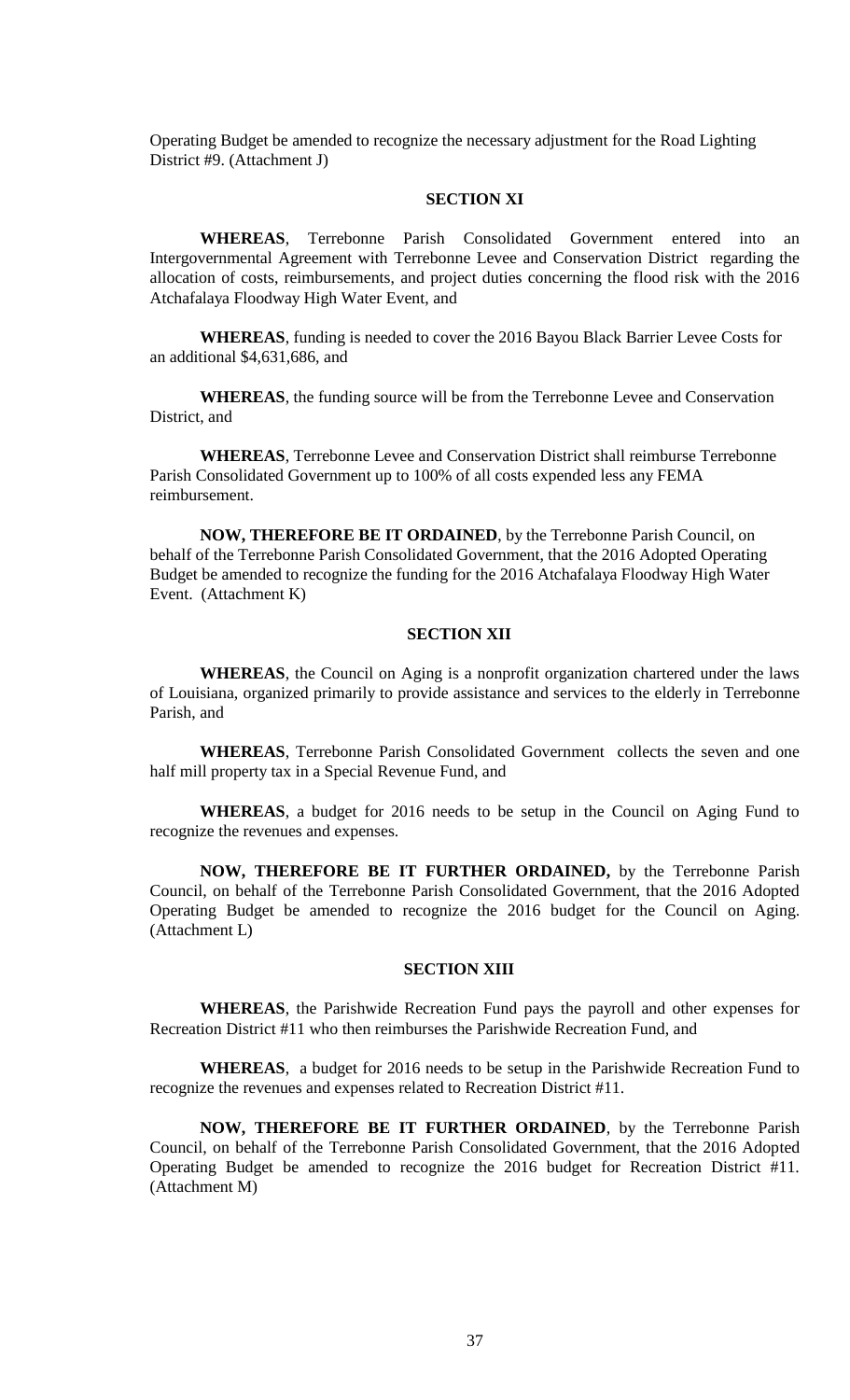Operating Budget be amended to recognize the necessary adjustment for the Road Lighting District #9. (Attachment J)

# **SECTION XI**

**WHEREAS**, Terrebonne Parish Consolidated Government entered into an Intergovernmental Agreement with Terrebonne Levee and Conservation District regarding the allocation of costs, reimbursements, and project duties concerning the flood risk with the 2016 Atchafalaya Floodway High Water Event, and

**WHEREAS**, funding is needed to cover the 2016 Bayou Black Barrier Levee Costs for an additional \$4,631,686, and

**WHEREAS**, the funding source will be from the Terrebonne Levee and Conservation District, and

**WHEREAS**, Terrebonne Levee and Conservation District shall reimburse Terrebonne Parish Consolidated Government up to 100% of all costs expended less any FEMA reimbursement.

**NOW, THEREFORE BE IT ORDAINED**, by the Terrebonne Parish Council, on behalf of the Terrebonne Parish Consolidated Government, that the 2016 Adopted Operating Budget be amended to recognize the funding for the 2016 Atchafalaya Floodway High Water Event. (Attachment K)

# **SECTION XII**

**WHEREAS**, the Council on Aging is a nonprofit organization chartered under the laws of Louisiana, organized primarily to provide assistance and services to the elderly in Terrebonne Parish, and

**WHEREAS**, Terrebonne Parish Consolidated Government collects the seven and one half mill property tax in a Special Revenue Fund, and

**WHEREAS**, a budget for 2016 needs to be setup in the Council on Aging Fund to recognize the revenues and expenses.

**NOW, THEREFORE BE IT FURTHER ORDAINED,** by the Terrebonne Parish Council, on behalf of the Terrebonne Parish Consolidated Government, that the 2016 Adopted Operating Budget be amended to recognize the 2016 budget for the Council on Aging. (Attachment L)

#### **SECTION XIII**

**WHEREAS**, the Parishwide Recreation Fund pays the payroll and other expenses for Recreation District #11 who then reimburses the Parishwide Recreation Fund, and

**WHEREAS**, a budget for 2016 needs to be setup in the Parishwide Recreation Fund to recognize the revenues and expenses related to Recreation District #11.

**NOW, THEREFORE BE IT FURTHER ORDAINED**, by the Terrebonne Parish Council, on behalf of the Terrebonne Parish Consolidated Government, that the 2016 Adopted Operating Budget be amended to recognize the 2016 budget for Recreation District #11. (Attachment M)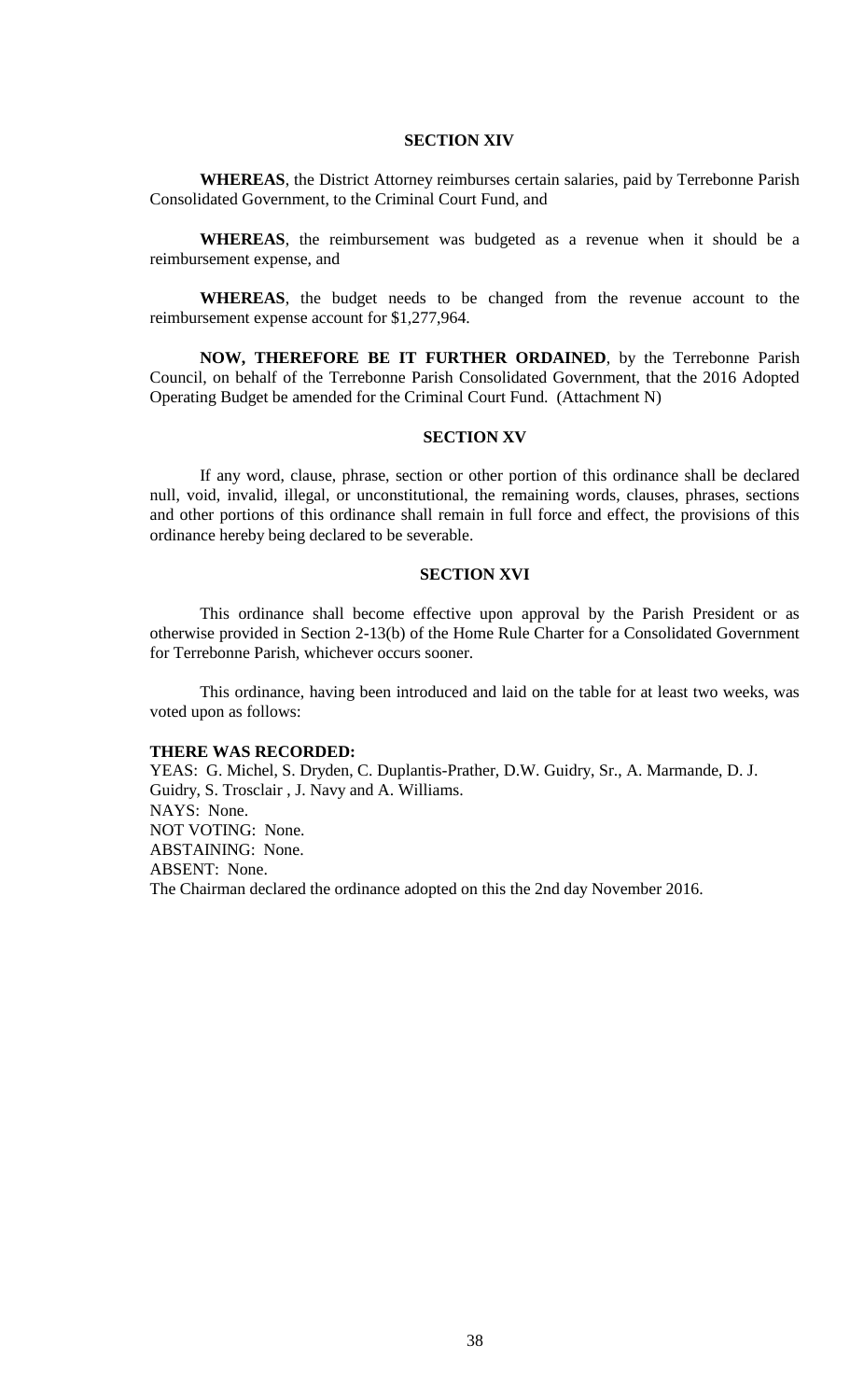#### **SECTION XIV**

**WHEREAS**, the District Attorney reimburses certain salaries, paid by Terrebonne Parish Consolidated Government, to the Criminal Court Fund, and

**WHEREAS**, the reimbursement was budgeted as a revenue when it should be a reimbursement expense, and

**WHEREAS**, the budget needs to be changed from the revenue account to the reimbursement expense account for \$1,277,964.

**NOW, THEREFORE BE IT FURTHER ORDAINED**, by the Terrebonne Parish Council, on behalf of the Terrebonne Parish Consolidated Government, that the 2016 Adopted Operating Budget be amended for the Criminal Court Fund. (Attachment N)

#### **SECTION XV**

If any word, clause, phrase, section or other portion of this ordinance shall be declared null, void, invalid, illegal, or unconstitutional, the remaining words, clauses, phrases, sections and other portions of this ordinance shall remain in full force and effect, the provisions of this ordinance hereby being declared to be severable.

#### **SECTION XVI**

This ordinance shall become effective upon approval by the Parish President or as otherwise provided in Section 2-13(b) of the Home Rule Charter for a Consolidated Government for Terrebonne Parish, whichever occurs sooner.

This ordinance, having been introduced and laid on the table for at least two weeks, was voted upon as follows:

#### **THERE WAS RECORDED:**

YEAS: G. Michel, S. Dryden, C. Duplantis-Prather, D.W. Guidry, Sr., A. Marmande, D. J. Guidry, S. Trosclair , J. Navy and A. Williams. NAYS: None. NOT VOTING: None. ABSTAINING: None. ABSENT: None. The Chairman declared the ordinance adopted on this the 2nd day November 2016.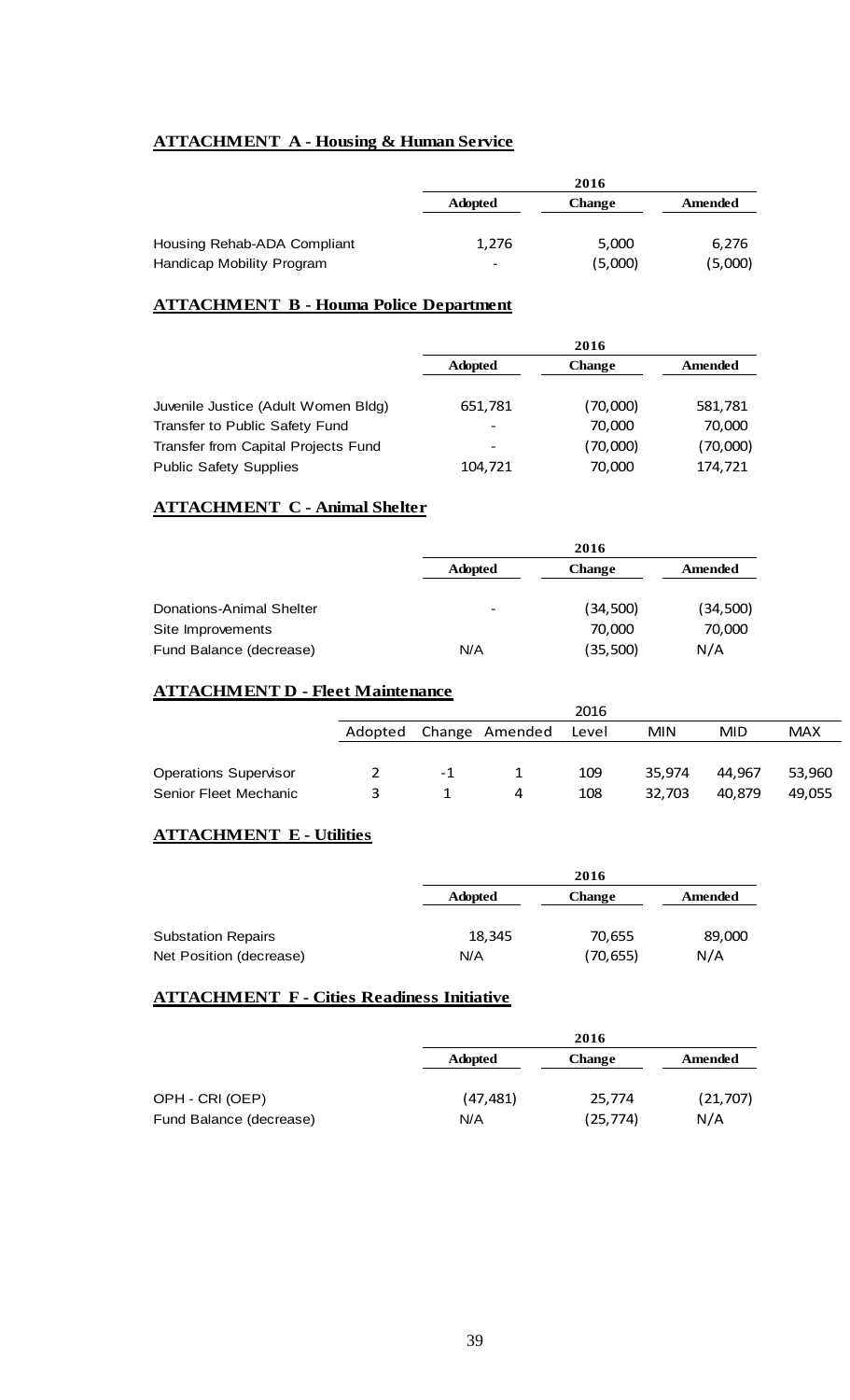# **ATTACHMENT A - Housing & Human Service**

|                             |                              | 2016    |         |
|-----------------------------|------------------------------|---------|---------|
|                             | <b>Adopted</b>               | Change  | Amended |
|                             |                              |         |         |
| Housing Rehab-ADA Compliant | 1,276                        | 5,000   | 6,276   |
| Handicap Mobility Program   | $\qquad \qquad \blacksquare$ | (5,000) | (5,000) |

# **ATTACHMENT B - Houma Police Department**

|                                     | 2016           |               |          |
|-------------------------------------|----------------|---------------|----------|
|                                     | <b>Adopted</b> | <b>Change</b> | Amended  |
| Juvenile Justice (Adult Women Bldg) | 651,781        | (70,000)      | 581,781  |
| Transfer to Public Safety Fund      |                | 70,000        | 70,000   |
| Transfer from Capital Projects Fund |                | (70,000)      | (70,000) |
| <b>Public Safety Supplies</b>       | 104,721        | 70,000        | 174,721  |

# **ATTACHMENT C - Animal Shelter**

|                                 |                | 2016          |          |
|---------------------------------|----------------|---------------|----------|
|                                 | <b>Adopted</b> | <b>Change</b> | Amended  |
|                                 |                |               |          |
| <b>Donations-Animal Shelter</b> |                | (34,500)      | (34,500) |
| Site Improvements               |                | 70,000        | 70,000   |
| Fund Balance (decrease)         | N/A            | (35,500)      | N/A      |

# **ATTACHMENT D - Fleet Maintenance**

|                              |         |    |                | 2016  |            |        |            |
|------------------------------|---------|----|----------------|-------|------------|--------|------------|
|                              | Adopted |    | Change Amended | Level | <b>MIN</b> | MID    | <b>MAX</b> |
|                              |         |    |                |       |            |        |            |
| <b>Operations Supervisor</b> |         | -1 |                | 109   | 35.974     | 44.967 | 53,960     |
| Senior Fleet Mechanic        | 3       |    | 4              | 108   | 32.703     | 40.879 | 49.055     |

# **ATTACHMENT E - Utilities**

|                           | 2016           |               |         |  |
|---------------------------|----------------|---------------|---------|--|
|                           | <b>Adopted</b> | <b>Change</b> | Amended |  |
| <b>Substation Repairs</b> | 18,345         | 70,655        | 89,000  |  |
| Net Position (decrease)   | N/A            | (70, 655)     | N/A     |  |

# **ATTACHMENT F - Cities Readiness Initiative**

|                         |                | 2016          |           |  |
|-------------------------|----------------|---------------|-----------|--|
|                         | <b>Adopted</b> | <b>Change</b> | Amended   |  |
| OPH - CRI (OEP)         | (47, 481)      | 25,774        | (21, 707) |  |
| Fund Balance (decrease) | N/A            | (25, 774)     | N/A       |  |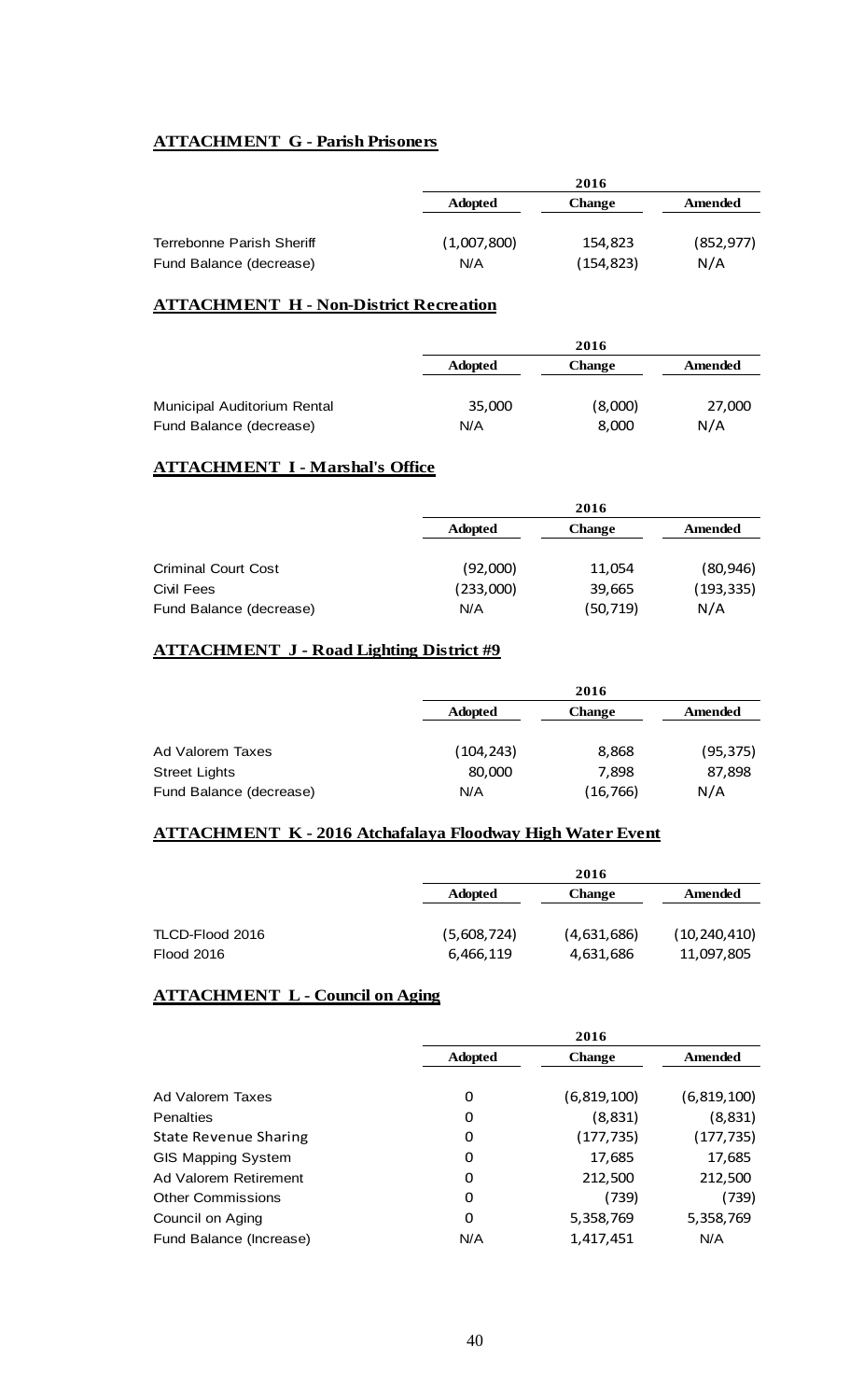# **ATTACHMENT G - Parish Prisoners**

|                           | 2016           |               |            |
|---------------------------|----------------|---------------|------------|
|                           | <b>Adopted</b> | <b>Change</b> | Amended    |
|                           |                |               |            |
| Terrebonne Parish Sheriff | (1,007,800)    | 154,823       | (852, 977) |
| Fund Balance (decrease)   | N/A            | (154, 823)    | N/A        |

# **ATTACHMENT H - Non-District Recreation**

|                             | 2016           |               |         |
|-----------------------------|----------------|---------------|---------|
|                             | <b>Adopted</b> | <b>Change</b> | Amended |
| Municipal Auditorium Rental | 35,000         | (8,000)       | 27,000  |
| Fund Balance (decrease)     | N/A            | 8,000         | N/A     |

# **ATTACHMENT I - Marshal's Office**

|                            |                | 2016          |            |  |
|----------------------------|----------------|---------------|------------|--|
|                            | <b>Adopted</b> | <b>Change</b> | Amended    |  |
|                            |                |               |            |  |
| <b>Criminal Court Cost</b> | (92,000)       | 11,054        | (80, 946)  |  |
| Civil Fees                 | (233,000)      | 39,665        | (193, 335) |  |
| Fund Balance (decrease)    | N/A            | (50,719)      | N/A        |  |

# **ATTACHMENT J - Road Lighting District #9**

|                         |                | 2016          |           |  |
|-------------------------|----------------|---------------|-----------|--|
|                         | <b>Adopted</b> | <b>Change</b> | Amended   |  |
|                         |                |               |           |  |
| Ad Valorem Taxes        | (104,243)      | 8,868         | (95, 375) |  |
| <b>Street Lights</b>    | 80,000         | 7,898         | 87,898    |  |
| Fund Balance (decrease) | N/A            | (16, 766)     | N/A       |  |

# **ATTACHMENT K - 2016 Atchafalaya Floodway High Water Event**

|                 | 2016           |               |                |
|-----------------|----------------|---------------|----------------|
|                 | <b>Adopted</b> | <b>Change</b> | Amended        |
| TLCD-Flood 2016 | (5,608,724)    | (4,631,686)   | (10, 240, 410) |
| Flood 2016      | 6,466,119      | 4,631,686     | 11,097,805     |

# **ATTACHMENT L - Council on Aging**

|                              | 2016           |               |             |
|------------------------------|----------------|---------------|-------------|
|                              | <b>Adopted</b> | <b>Change</b> | Amended     |
|                              |                |               |             |
| Ad Valorem Taxes             | 0              | (6,819,100)   | (6,819,100) |
| Penalties                    | 0              | (8,831)       | (8,831)     |
| <b>State Revenue Sharing</b> | 0              | (177,735)     | (177, 735)  |
| <b>GIS Mapping System</b>    | 0              | 17,685        | 17,685      |
| Ad Valorem Retirement        | 0              | 212,500       | 212,500     |
| <b>Other Commissions</b>     | 0              | (739)         | (739)       |
| Council on Aging             | 0              | 5,358,769     | 5,358,769   |
| Fund Balance (Increase)      | N/A            | 1.417.451     | N/A         |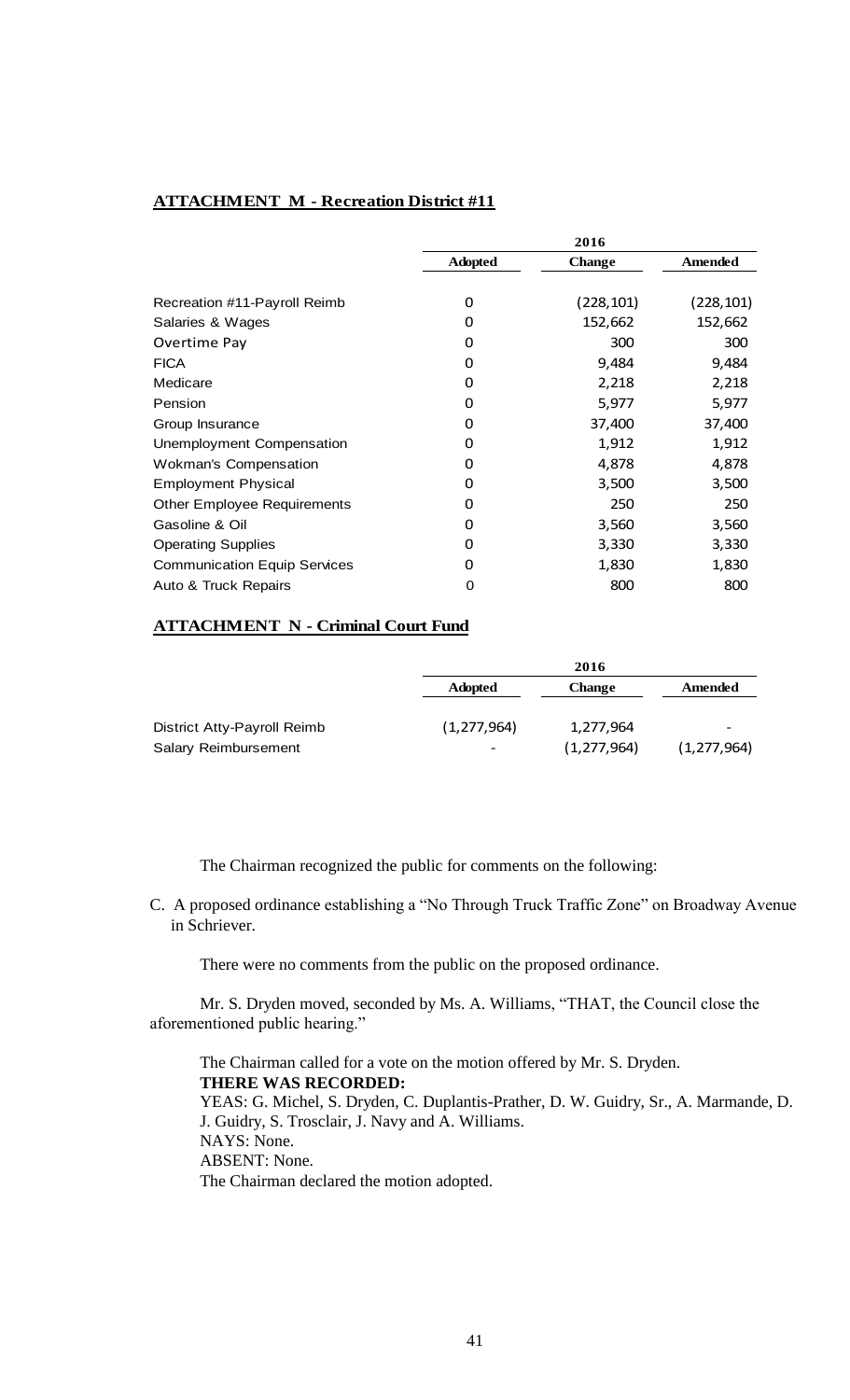# **ATTACHMENT M - Recreation District #11**

|                                     | 2016           |               |            |
|-------------------------------------|----------------|---------------|------------|
|                                     | <b>Adopted</b> | <b>Change</b> | Amended    |
|                                     |                |               |            |
| Recreation #11-Payroll Reimb        | 0              | (228, 101)    | (228, 101) |
| Salaries & Wages                    | 0              | 152,662       | 152,662    |
| Overtime Pay                        | 0              | 300           | 300        |
| <b>FICA</b>                         | 0              | 9,484         | 9,484      |
| Medicare                            | 0              | 2,218         | 2,218      |
| Pension                             | 0              | 5,977         | 5,977      |
| Group Insurance                     | Ω              | 37,400        | 37,400     |
| Unemployment Compensation           | O              | 1,912         | 1,912      |
| <b>Wokman's Compensation</b>        | 0              | 4,878         | 4,878      |
| <b>Employment Physical</b>          | 0              | 3,500         | 3,500      |
| <b>Other Employee Requirements</b>  | 0              | 250           | 250        |
| Gasoline & Oil                      | 0              | 3,560         | 3,560      |
| <b>Operating Supplies</b>           | 0              | 3,330         | 3,330      |
| <b>Communication Equip Services</b> | 0              | 1,830         | 1,830      |
| Auto & Truck Repairs                | O              | 800           | 800        |

# **ATTACHMENT N - Criminal Court Fund**

|                             | 2016           |               |               |
|-----------------------------|----------------|---------------|---------------|
|                             | <b>Adopted</b> | <b>Change</b> | Amended       |
|                             |                |               |               |
| District Atty-Payroll Reimb | (1, 277, 964)  | 1,277,964     | -             |
| <b>Salary Reimbursement</b> | -              | (1, 277, 964) | (1, 277, 964) |

The Chairman recognized the public for comments on the following:

C. A proposed ordinance establishing a "No Through Truck Traffic Zone" on Broadway Avenue in Schriever.

There were no comments from the public on the proposed ordinance.

Mr. S. Dryden moved, seconded by Ms. A. Williams, "THAT, the Council close the aforementioned public hearing."

The Chairman called for a vote on the motion offered by Mr. S. Dryden. **THERE WAS RECORDED:** YEAS: G. Michel, S. Dryden, C. Duplantis-Prather, D. W. Guidry, Sr., A. Marmande, D. J. Guidry, S. Trosclair, J. Navy and A. Williams. NAYS: None. ABSENT: None. The Chairman declared the motion adopted.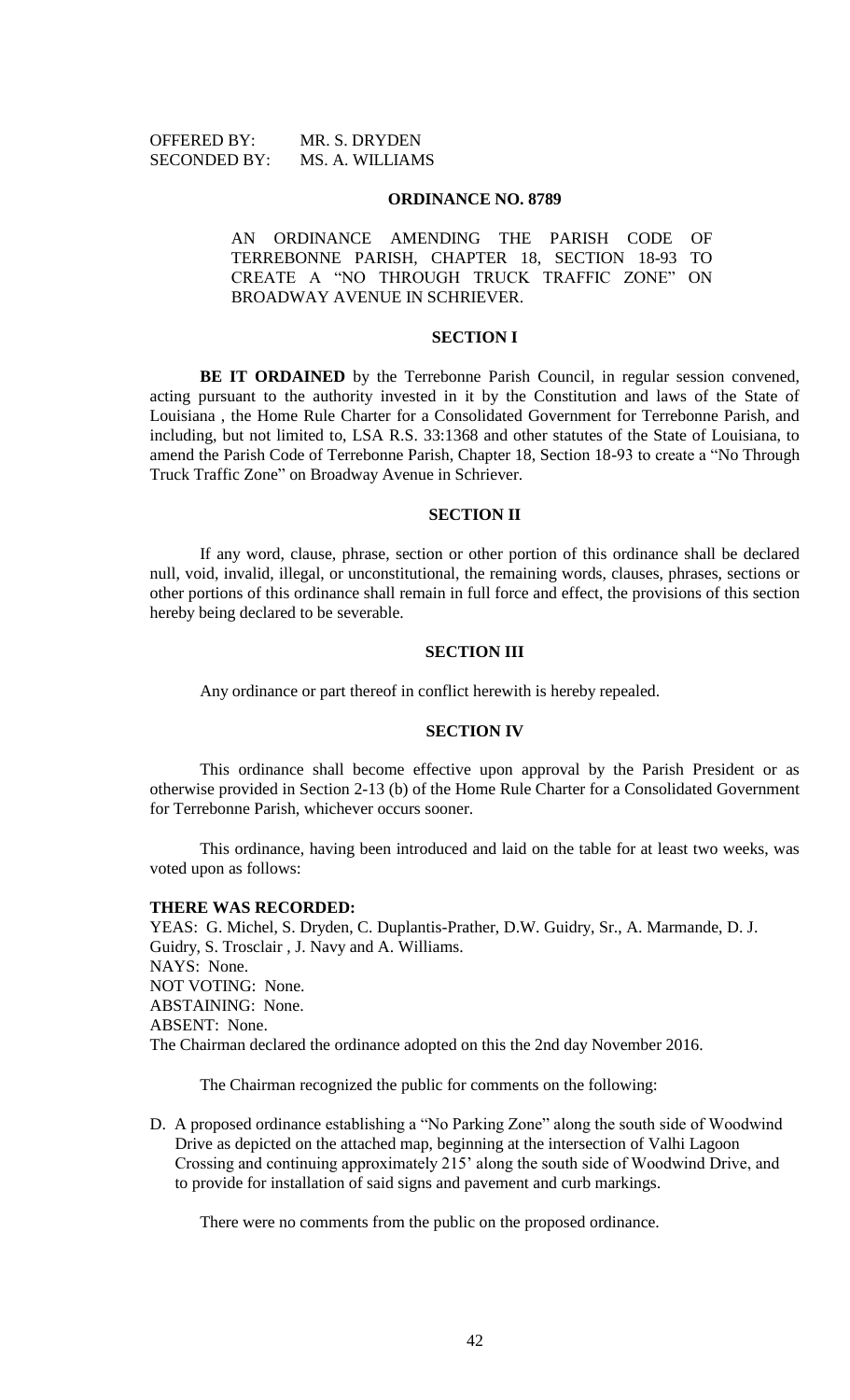OFFERED BY: MR. S. DRYDEN SECONDED BY: MS. A. WILLIAMS

#### **ORDINANCE NO. 8789**

AN ORDINANCE AMENDING THE PARISH CODE OF TERREBONNE PARISH, CHAPTER 18, SECTION 18-93 TO CREATE A "NO THROUGH TRUCK TRAFFIC ZONE" ON BROADWAY AVENUE IN SCHRIEVER.

#### **SECTION I**

**BE IT ORDAINED** by the Terrebonne Parish Council, in regular session convened, acting pursuant to the authority invested in it by the Constitution and laws of the State of Louisiana , the Home Rule Charter for a Consolidated Government for Terrebonne Parish, and including, but not limited to, LSA R.S. 33:1368 and other statutes of the State of Louisiana, to amend the Parish Code of Terrebonne Parish, Chapter 18, Section 18-93 to create a "No Through Truck Traffic Zone" on Broadway Avenue in Schriever.

#### **SECTION II**

If any word, clause, phrase, section or other portion of this ordinance shall be declared null, void, invalid, illegal, or unconstitutional, the remaining words, clauses, phrases, sections or other portions of this ordinance shall remain in full force and effect, the provisions of this section hereby being declared to be severable.

#### **SECTION III**

Any ordinance or part thereof in conflict herewith is hereby repealed.

## **SECTION IV**

This ordinance shall become effective upon approval by the Parish President or as otherwise provided in Section 2-13 (b) of the Home Rule Charter for a Consolidated Government for Terrebonne Parish, whichever occurs sooner.

This ordinance, having been introduced and laid on the table for at least two weeks, was voted upon as follows:

#### **THERE WAS RECORDED:**

YEAS: G. Michel, S. Dryden, C. Duplantis-Prather, D.W. Guidry, Sr., A. Marmande, D. J. Guidry, S. Trosclair , J. Navy and A. Williams. NAYS: None. NOT VOTING: None. ABSTAINING: None. ABSENT: None. The Chairman declared the ordinance adopted on this the 2nd day November 2016.

The Chairman recognized the public for comments on the following:

D. A proposed ordinance establishing a "No Parking Zone" along the south side of Woodwind Drive as depicted on the attached map, beginning at the intersection of Valhi Lagoon Crossing and continuing approximately 215' along the south side of Woodwind Drive, and to provide for installation of said signs and pavement and curb markings.

There were no comments from the public on the proposed ordinance.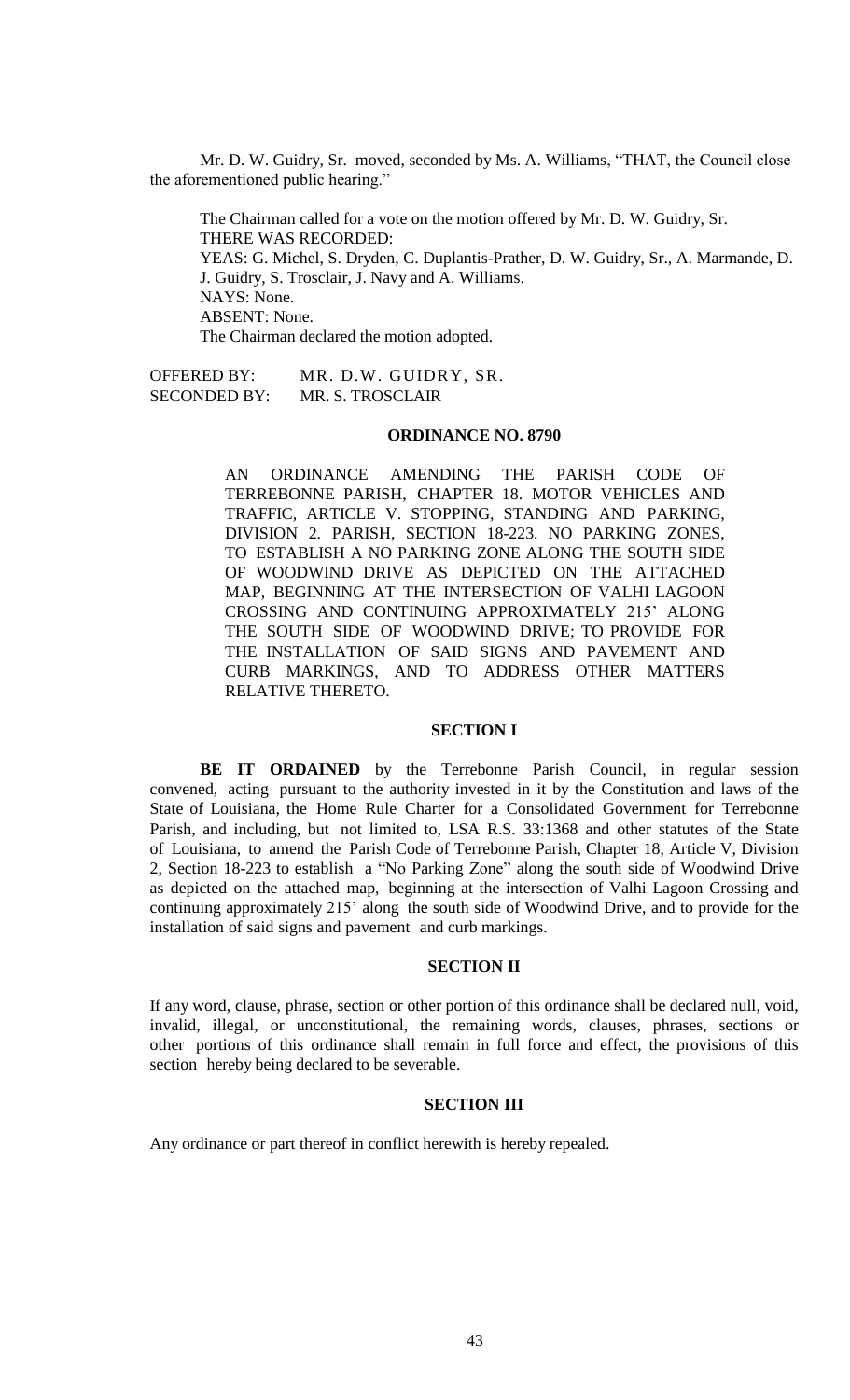Mr. D. W. Guidry, Sr. moved, seconded by Ms. A. Williams, "THAT, the Council close the aforementioned public hearing."

The Chairman called for a vote on the motion offered by Mr. D. W. Guidry, Sr. THERE WAS RECORDED: YEAS: G. Michel, S. Dryden, C. Duplantis-Prather, D. W. Guidry, Sr., A. Marmande, D. J. Guidry, S. Trosclair, J. Navy and A. Williams. NAYS: None. ABSENT: None. The Chairman declared the motion adopted.

OFFERED BY: MR. D.W. GUIDRY, SR. SECONDED BY: MR. S. TROSCLAIR

# **ORDINANCE NO. 8790**

AN ORDINANCE AMENDING THE PARISH CODE OF TERREBONNE PARISH, CHAPTER 18. MOTOR VEHICLES AND TRAFFIC, ARTICLE V. STOPPING, STANDING AND PARKING, DIVISION 2. PARISH, SECTION 18-223. NO PARKING ZONES, TO ESTABLISH A NO PARKING ZONE ALONG THE SOUTH SIDE OF WOODWIND DRIVE AS DEPICTED ON THE ATTACHED MAP, BEGINNING AT THE INTERSECTION OF VALHI LAGOON CROSSING AND CONTINUING APPROXIMATELY 215' ALONG THE SOUTH SIDE OF WOODWIND DRIVE; TO PROVIDE FOR THE INSTALLATION OF SAID SIGNS AND PAVEMENT AND CURB MARKINGS, AND TO ADDRESS OTHER MATTERS RELATIVE THERETO.

# **SECTION I**

**BE IT ORDAINED** by the Terrebonne Parish Council, in regular session convened, acting pursuant to the authority invested in it by the Constitution and laws of the State of Louisiana, the Home Rule Charter for a Consolidated Government for Terrebonne Parish, and including, but not limited to, LSA R.S. 33:1368 and other statutes of the State of Louisiana, to amend the Parish Code of Terrebonne Parish, Chapter 18, Article V, Division 2, Section 18-223 to establish a "No Parking Zone" along the south side of Woodwind Drive as depicted on the attached map, beginning at the intersection of Valhi Lagoon Crossing and continuing approximately 215' along the south side of Woodwind Drive, and to provide for the installation of said signs and pavement and curb markings.

# **SECTION II**

If any word, clause, phrase, section or other portion of this ordinance shall be declared null, void, invalid, illegal, or unconstitutional, the remaining words, clauses, phrases, sections or other portions of this ordinance shall remain in full force and effect, the provisions of this section hereby being declared to be severable.

## **SECTION III**

Any ordinance or part thereof in conflict herewith is hereby repealed.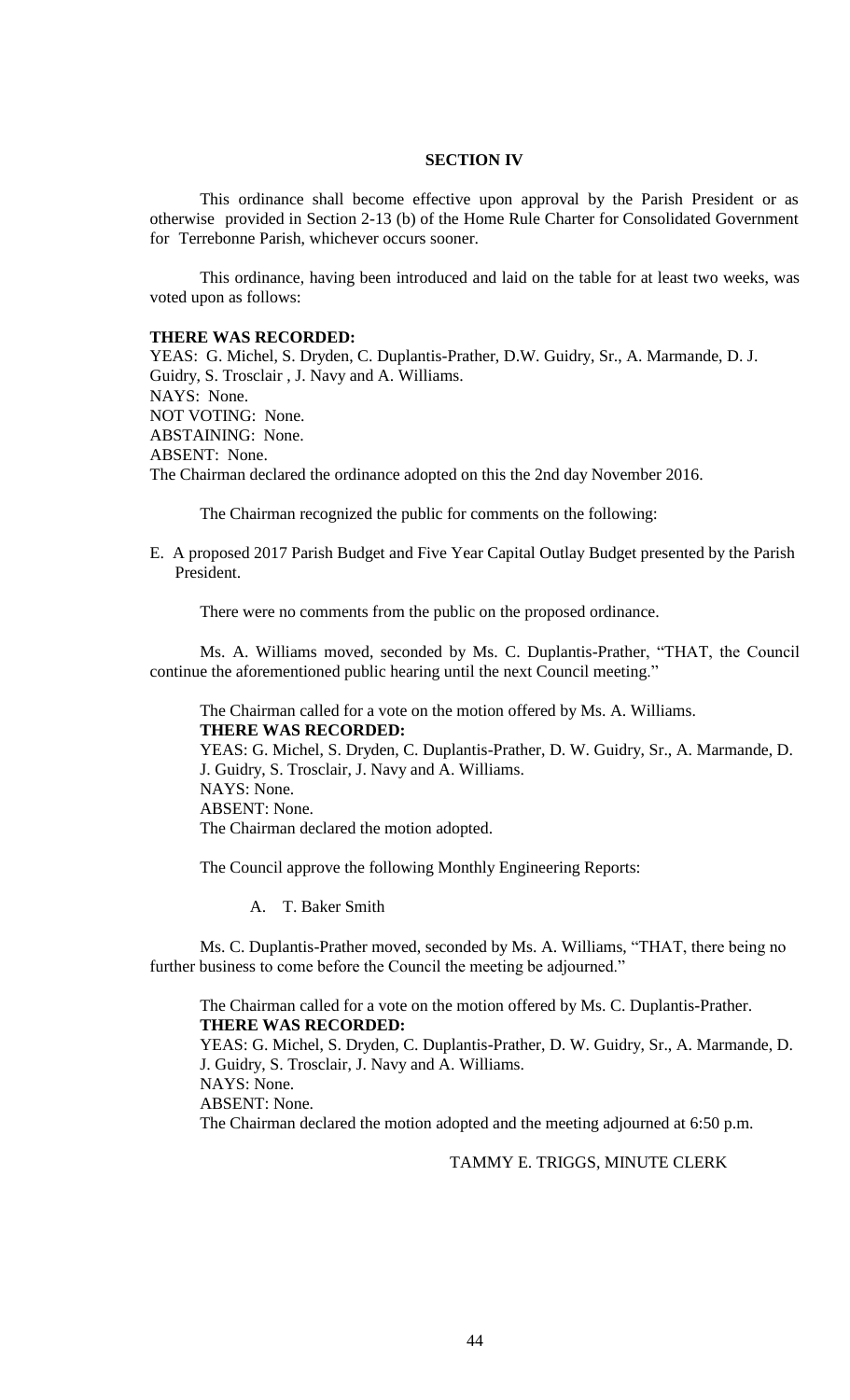# **SECTION IV**

This ordinance shall become effective upon approval by the Parish President or as otherwise provided in Section 2-13 (b) of the Home Rule Charter for Consolidated Government for Terrebonne Parish, whichever occurs sooner.

This ordinance, having been introduced and laid on the table for at least two weeks, was voted upon as follows:

#### **THERE WAS RECORDED:**

YEAS: G. Michel, S. Dryden, C. Duplantis-Prather, D.W. Guidry, Sr., A. Marmande, D. J. Guidry, S. Trosclair , J. Navy and A. Williams. NAYS: None. NOT VOTING: None. ABSTAINING: None. ABSENT: None. The Chairman declared the ordinance adopted on this the 2nd day November 2016.

The Chairman recognized the public for comments on the following:

E. A proposed 2017 Parish Budget and Five Year Capital Outlay Budget presented by the Parish President.

There were no comments from the public on the proposed ordinance.

Ms. A. Williams moved, seconded by Ms. C. Duplantis-Prather, "THAT, the Council continue the aforementioned public hearing until the next Council meeting."

The Chairman called for a vote on the motion offered by Ms. A. Williams. **THERE WAS RECORDED:**

YEAS: G. Michel, S. Dryden, C. Duplantis-Prather, D. W. Guidry, Sr., A. Marmande, D. J. Guidry, S. Trosclair, J. Navy and A. Williams. NAYS: None. ABSENT: None. The Chairman declared the motion adopted.

The Council approve the following Monthly Engineering Reports:

A. T. Baker Smith

Ms. C. Duplantis-Prather moved, seconded by Ms. A. Williams, "THAT, there being no further business to come before the Council the meeting be adjourned."

The Chairman called for a vote on the motion offered by Ms. C. Duplantis-Prather. **THERE WAS RECORDED:**

YEAS: G. Michel, S. Dryden, C. Duplantis-Prather, D. W. Guidry, Sr., A. Marmande, D. J. Guidry, S. Trosclair, J. Navy and A. Williams. NAYS: None. ABSENT: None.

The Chairman declared the motion adopted and the meeting adjourned at 6:50 p.m.

# TAMMY E. TRIGGS, MINUTE CLERK